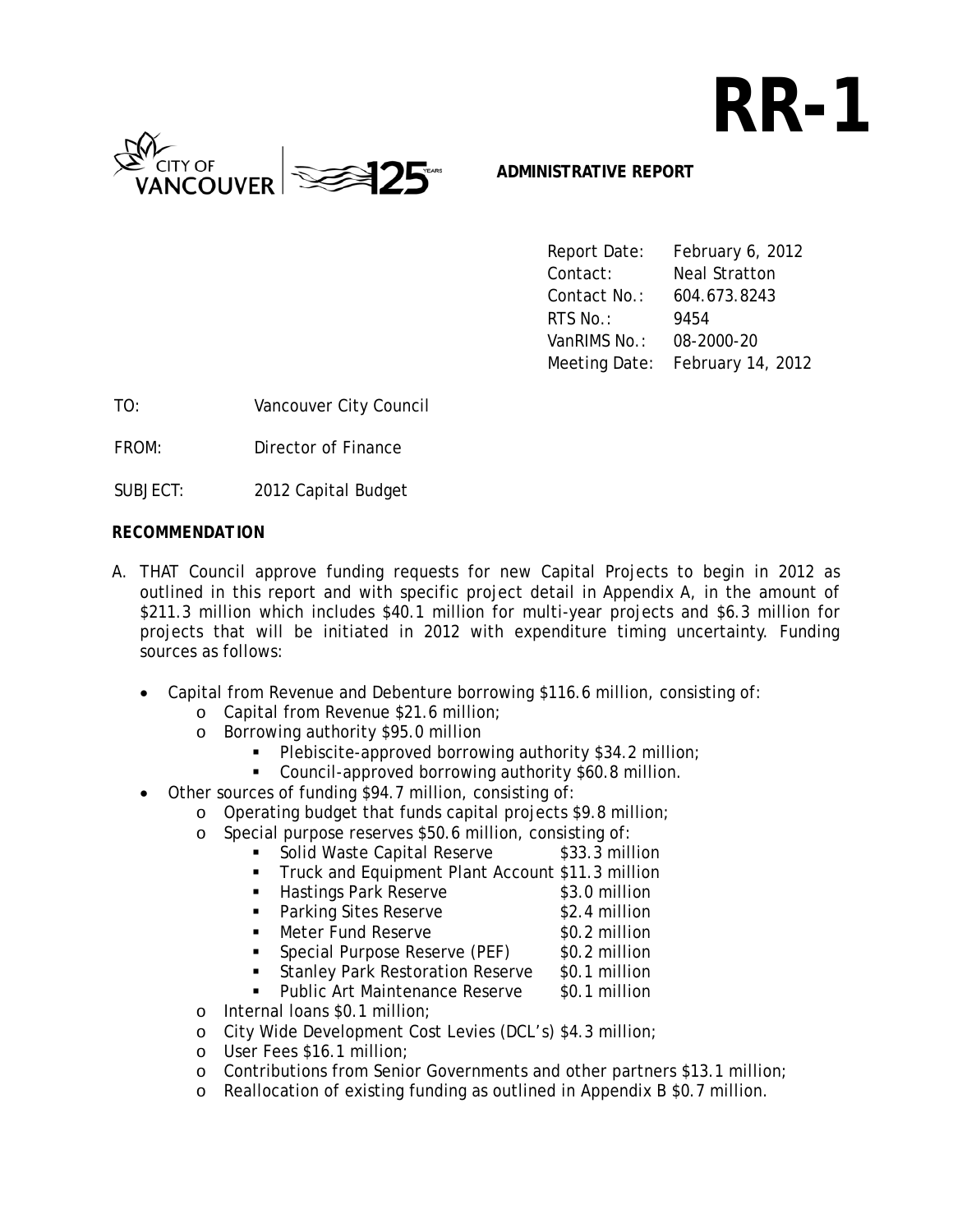# **RR-1**



#### **ADMINISTRATIVE REPORT**

 Report Date: February 6, 2012 Contact: Neal Stratton Contact No.: 604.673.8243 **RTS No.:** 9454 VanRIMS No.: 08-2000-20 Meeting Date: February 14, 2012

TO: Vancouver City Council

FROM: Director of Finance

SUBJECT: 2012 Capital Budget

#### *RECOMMENDATION*

- A. THAT Council approve funding requests for new Capital Projects to begin in 2012 as outlined in this report and with specific project detail in Appendix A, in the amount of \$211.3 million which includes \$40.1 million for multi-year projects and \$6.3 million for projects that will be initiated in 2012 with expenditure timing uncertainty. Funding sources as follows:
	- Capital from Revenue and Debenture borrowing \$116.6 million, consisting of:
		- o Capital from Revenue \$21.6 million;
		- o Borrowing authority \$95.0 million
			- Plebiscite-approved borrowing authority \$34.2 million;
			- Council-approved borrowing authority \$60.8 million.
	- Other sources of funding \$94.7 million, consisting of:
		- o Operating budget that funds capital projects \$9.8 million;
		- o Special purpose reserves \$50.6 million, consisting of:
			- Solid Waste Capital Reserve \$33.3 million
			- **Truck and Equipment Plant Account \$11.3 million** 
				- Hastings Park Reserve \$3.0 million
					- Parking Sites Reserve \$2.4 million
			- Meter Fund Reserve \$0.2 million
				-
			- **Special Purpose Reserve (PEF)** \$0.2 million
			- Stanley Park Restoration Reserve \$0.1 million
			- Public Art Maintenance Reserve \$0.1 million
		- o Internal loans \$0.1 million;
		- o City Wide Development Cost Levies (DCL's) \$4.3 million;
		- o User Fees \$16.1 million;
		- o Contributions from Senior Governments and other partners \$13.1 million;
		- o Reallocation of existing funding as outlined in Appendix B \$0.7 million.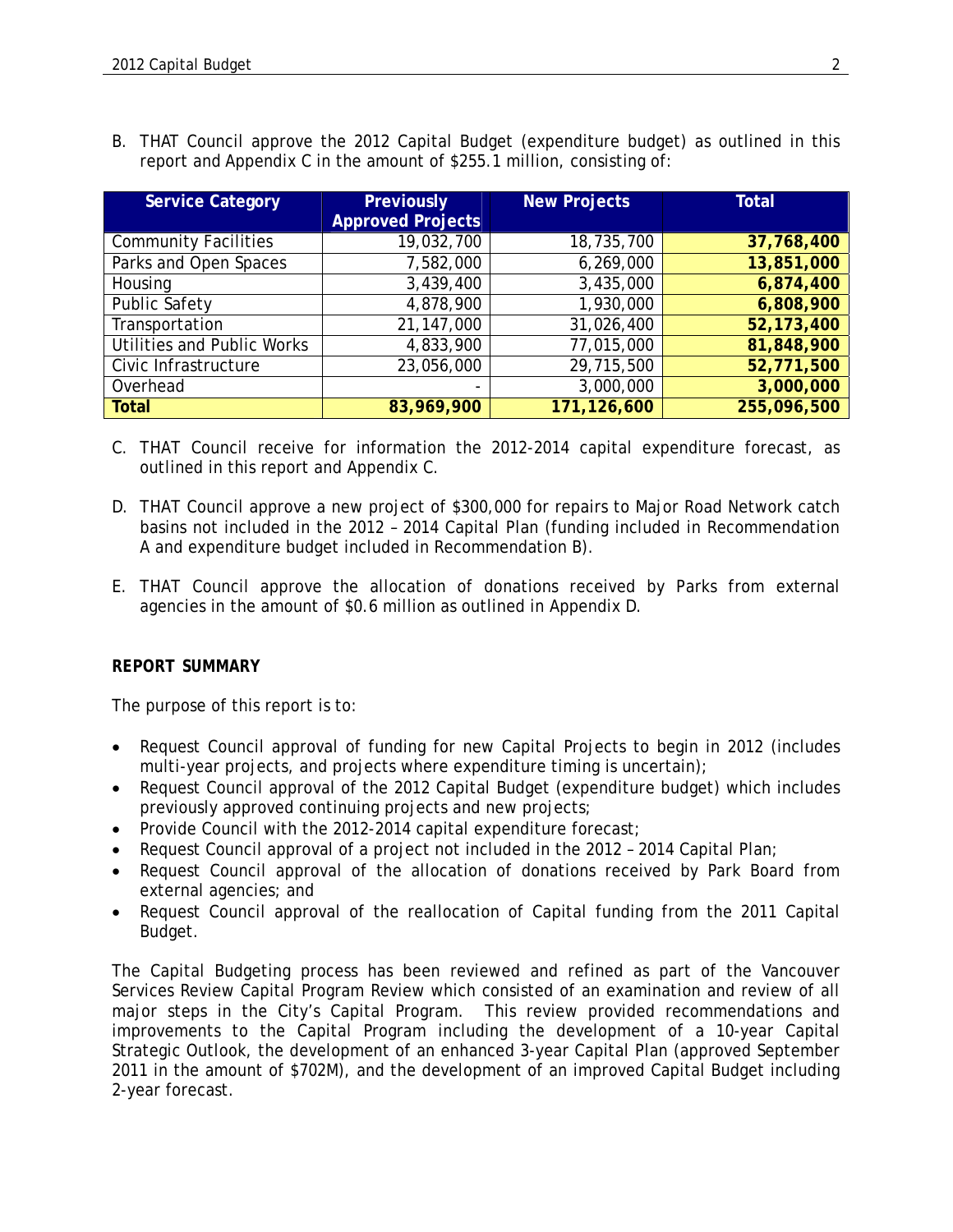B. THAT Council approve the 2012 Capital Budget (expenditure budget) as outlined in this report and Appendix C in the amount of \$255.1 million, consisting of:

| <b>Service Category</b>     | Previously               | <b>New Projects</b> | <b>Total</b> |
|-----------------------------|--------------------------|---------------------|--------------|
|                             | <b>Approved Projects</b> |                     |              |
| <b>Community Facilities</b> | 19,032,700               | 18,735,700          | 37,768,400   |
| Parks and Open Spaces       | 7,582,000                | 6,269,000           | 13,851,000   |
| Housing                     | 3,439,400                | 3,435,000           | 6,874,400    |
| <b>Public Safety</b>        | 4,878,900                | 1,930,000           | 6,808,900    |
| Transportation              | 21,147,000               | 31,026,400          | 52,173,400   |
| Utilities and Public Works  | 4,833,900                | 77,015,000          | 81,848,900   |
| Civic Infrastructure        | 23,056,000               | 29,715,500          | 52,771,500   |
| Overhead                    | $\overline{\phantom{0}}$ | 3,000,000           | 3,000,000    |
| <b>Total</b>                | 83,969,900               | 171,126,600         | 255,096,500  |

- C. THAT Council receive for information the 2012-2014 capital expenditure forecast, as outlined in this report and Appendix C.
- D. THAT Council approve a new project of \$300,000 for repairs to Major Road Network catch basins not included in the 2012 – 2014 Capital Plan (funding included in Recommendation A and expenditure budget included in Recommendation B).
- E. THAT Council approve the allocation of donations received by Parks from external agencies in the amount of \$0.6 million as outlined in Appendix D.

#### *REPORT SUMMARY*

The purpose of this report is to:

- Request Council approval of funding for new Capital Projects to begin in 2012 (includes multi-year projects, and projects where expenditure timing is uncertain);
- Request Council approval of the 2012 Capital Budget (expenditure budget) which includes previously approved continuing projects and new projects;
- Provide Council with the 2012-2014 capital expenditure forecast;
- Request Council approval of a project not included in the 2012 2014 Capital Plan;
- Request Council approval of the allocation of donations received by Park Board from external agencies; and
- Request Council approval of the reallocation of Capital funding from the 2011 Capital Budget.

The Capital Budgeting process has been reviewed and refined as part of the Vancouver Services Review Capital Program Review which consisted of an examination and review of all major steps in the City's Capital Program. This review provided recommendations and improvements to the Capital Program including the development of a 10-year Capital Strategic Outlook, the development of an enhanced 3-year Capital Plan (approved September 2011 in the amount of \$702M), and the development of an improved Capital Budget including 2-year forecast.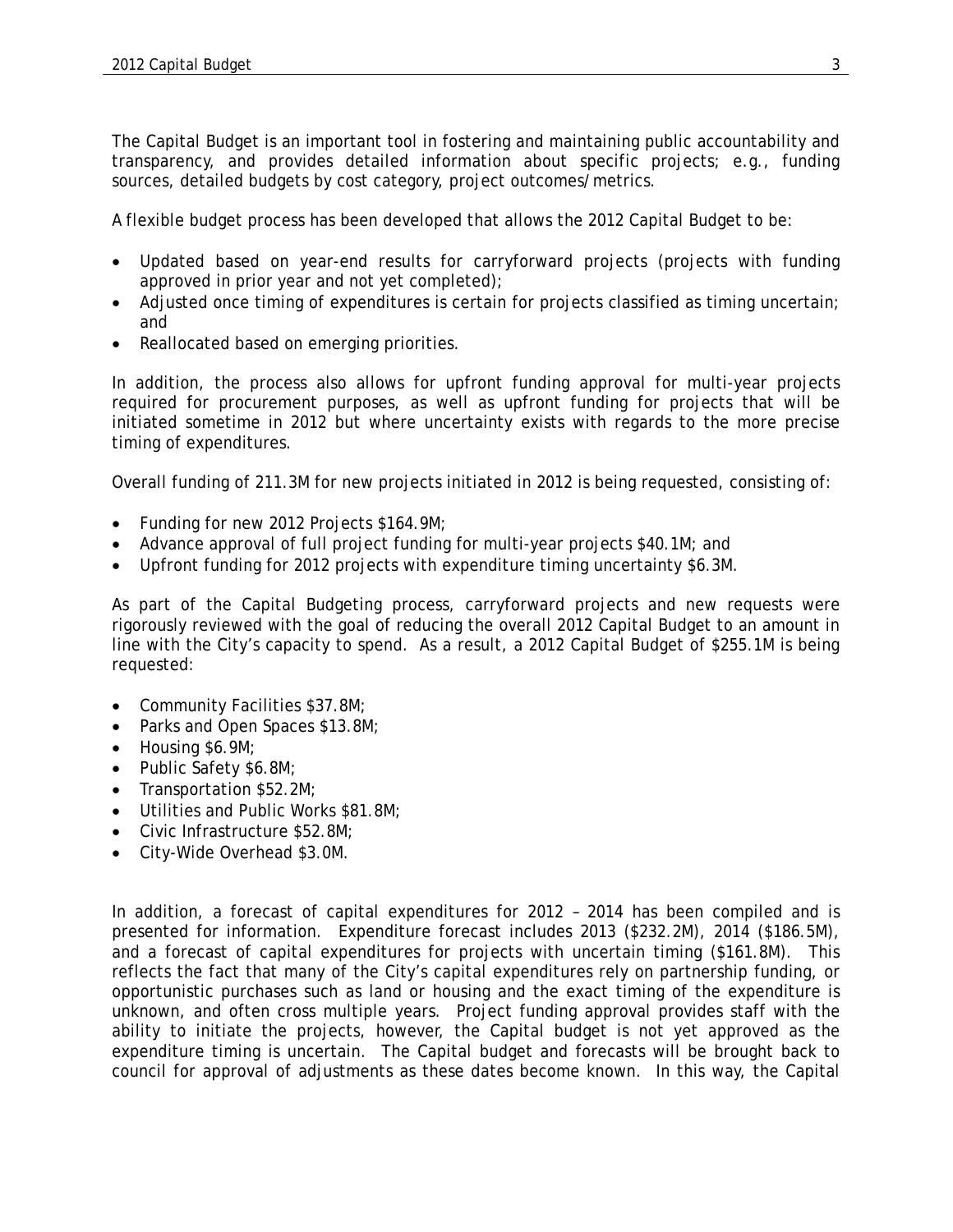The Capital Budget is an important tool in fostering and maintaining public accountability and transparency, and provides detailed information about specific projects; e.g., funding sources, detailed budgets by cost category, project outcomes/metrics.

A flexible budget process has been developed that allows the 2012 Capital Budget to be:

- Updated based on year-end results for carryforward projects (projects with funding approved in prior year and not yet completed);
- Adjusted once timing of expenditures is certain for projects classified as timing uncertain; and
- Reallocated based on emerging priorities.

In addition, the process also allows for upfront funding approval for multi-year projects required for procurement purposes, as well as upfront funding for projects that will be initiated sometime in 2012 but where uncertainty exists with regards to the more precise timing of expenditures.

Overall funding of 211.3M for new projects initiated in 2012 is being requested, consisting of:

- Funding for new 2012 Projects \$164.9M;
- Advance approval of full project funding for multi-year projects \$40.1M; and
- Upfront funding for 2012 projects with expenditure timing uncertainty \$6.3M.

As part of the Capital Budgeting process, carryforward projects and new requests were rigorously reviewed with the goal of reducing the overall 2012 Capital Budget to an amount in line with the City's capacity to spend. As a result, a 2012 Capital Budget of \$255.1M is being requested:

- Community Facilities \$37.8M;
- Parks and Open Spaces \$13.8M;
- Housing \$6.9M;
- Public Safety \$6.8M;
- Transportation \$52.2M;
- Utilities and Public Works \$81.8M;
- Civic Infrastructure \$52.8M;
- City-Wide Overhead \$3.0M.

In addition, a forecast of capital expenditures for 2012 – 2014 has been compiled and is presented for information. Expenditure forecast includes 2013 (\$232.2M), 2014 (\$186.5M), and a forecast of capital expenditures for projects with uncertain timing (\$161.8M). This reflects the fact that many of the City's capital expenditures rely on partnership funding, or opportunistic purchases such as land or housing and the exact timing of the expenditure is unknown, and often cross multiple years. Project funding approval provides staff with the ability to initiate the projects, however, the Capital budget is not yet approved as the expenditure timing is uncertain. The Capital budget and forecasts will be brought back to council for approval of adjustments as these dates become known. In this way, the Capital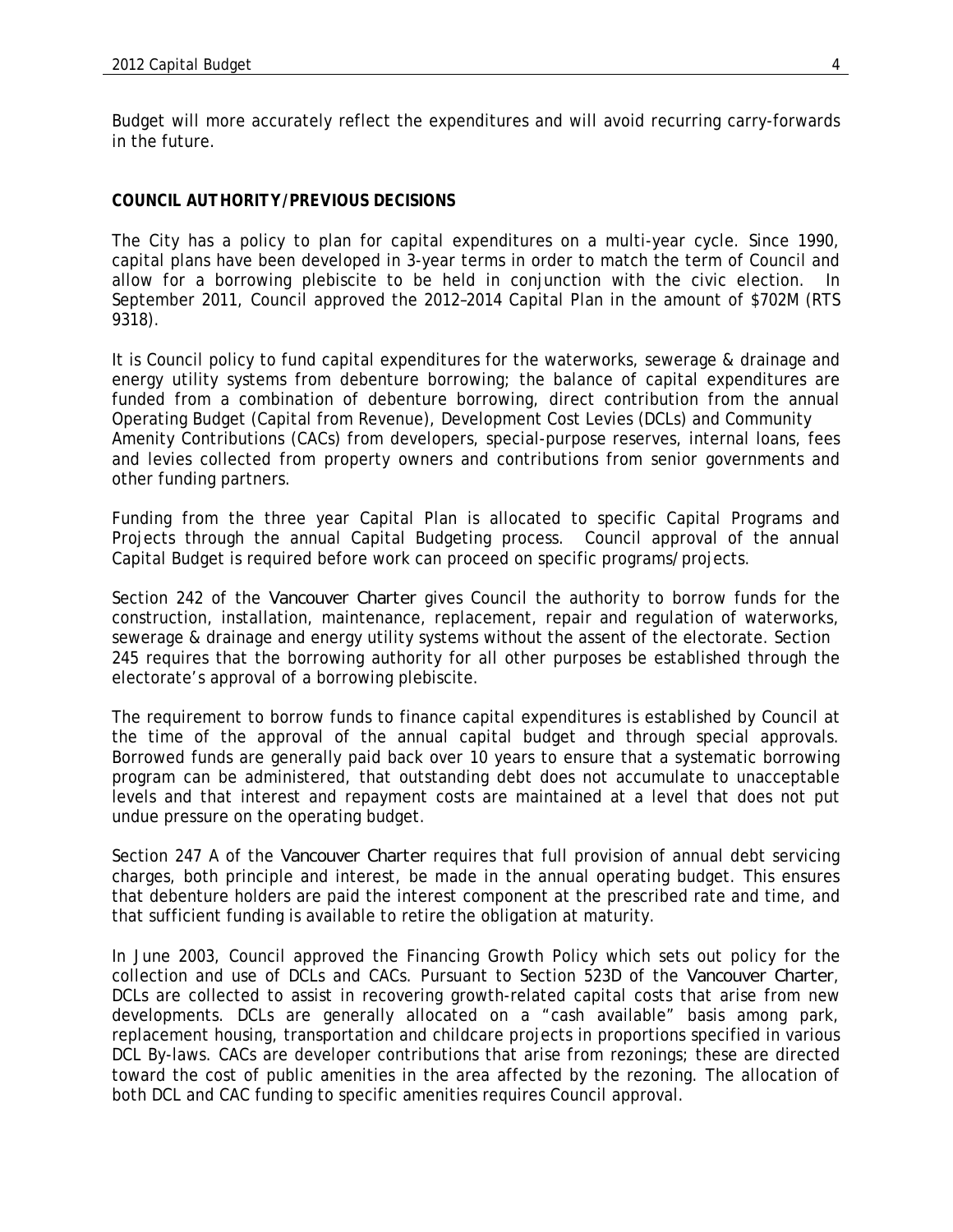Budget will more accurately reflect the expenditures and will avoid recurring carry-forwards in the future.

#### *COUNCIL AUTHORITY/PREVIOUS DECISIONS*

The City has a policy to plan for capital expenditures on a multi-year cycle. Since 1990, capital plans have been developed in 3-year terms in order to match the term of Council and allow for a borrowing plebiscite to be held in conjunction with the civic election. In September 2011, Council approved the 2012–2014 Capital Plan in the amount of \$702M (RTS 9318).

It is Council policy to fund capital expenditures for the waterworks, sewerage & drainage and energy utility systems from debenture borrowing; the balance of capital expenditures are funded from a combination of debenture borrowing, direct contribution from the annual Operating Budget (Capital from Revenue), Development Cost Levies (DCLs) and Community Amenity Contributions (CACs) from developers, special-purpose reserves, internal loans, fees and levies collected from property owners and contributions from senior governments and other funding partners.

Funding from the three year Capital Plan is allocated to specific Capital Programs and Projects through the annual Capital Budgeting process. Council approval of the annual Capital Budget is required before work can proceed on specific programs/projects.

Section 242 of the *Vancouver Charter* gives Council the authority to borrow funds for the construction, installation, maintenance, replacement, repair and regulation of waterworks, sewerage & drainage and energy utility systems without the assent of the electorate. Section 245 requires that the borrowing authority for all other purposes be established through the electorate's approval of a borrowing plebiscite.

The requirement to borrow funds to finance capital expenditures is established by Council at the time of the approval of the annual capital budget and through special approvals. Borrowed funds are generally paid back over 10 years to ensure that a systematic borrowing program can be administered, that outstanding debt does not accumulate to unacceptable levels and that interest and repayment costs are maintained at a level that does not put undue pressure on the operating budget.

Section 247 A of the *Vancouver Charter* requires that full provision of annual debt servicing charges, both principle and interest, be made in the annual operating budget. This ensures that debenture holders are paid the interest component at the prescribed rate and time, and that sufficient funding is available to retire the obligation at maturity.

In June 2003, Council approved the Financing Growth Policy which sets out policy for the collection and use of DCLs and CACs. Pursuant to Section 523D of the *Vancouver Charter*, DCLs are collected to assist in recovering growth-related capital costs that arise from new developments. DCLs are generally allocated on a "cash available" basis among park, replacement housing, transportation and childcare projects in proportions specified in various DCL By-laws. CACs are developer contributions that arise from rezonings; these are directed toward the cost of public amenities in the area affected by the rezoning. The allocation of both DCL and CAC funding to specific amenities requires Council approval.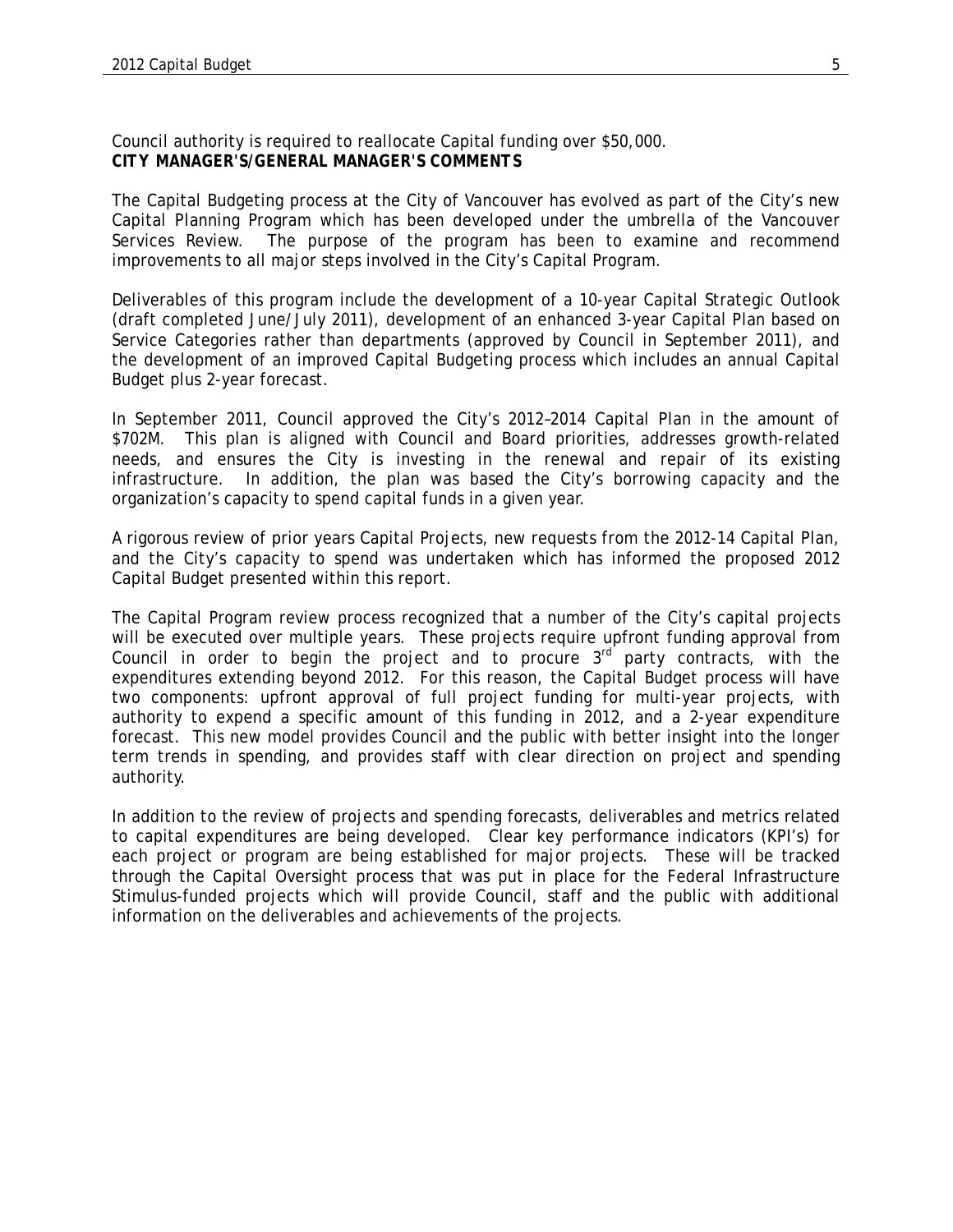Council authority is required to reallocate Capital funding over \$50,000. *CITY MANAGER'S/GENERAL MANAGER'S COMMENTS* 

The Capital Budgeting process at the City of Vancouver has evolved as part of the City's new Capital Planning Program which has been developed under the umbrella of the Vancouver Services Review. The purpose of the program has been to examine and recommend improvements to all major steps involved in the City's Capital Program.

Deliverables of this program include the development of a 10-year Capital Strategic Outlook (draft completed June/July 2011), development of an enhanced 3-year Capital Plan based on Service Categories rather than departments (approved by Council in September 2011), and the development of an improved Capital Budgeting process which includes an annual Capital Budget plus 2-year forecast.

In September 2011, Council approved the City's 2012–2014 Capital Plan in the amount of \$702M. This plan is aligned with Council and Board priorities, addresses growth-related needs, and ensures the City is investing in the renewal and repair of its existing infrastructure. In addition, the plan was based the City's borrowing capacity and the organization's capacity to spend capital funds in a given year.

A rigorous review of prior years Capital Projects, new requests from the 2012-14 Capital Plan, and the City's capacity to spend was undertaken which has informed the proposed 2012 Capital Budget presented within this report.

The Capital Program review process recognized that a number of the City's capital projects will be executed over multiple years. These projects require upfront funding approval from Council in order to begin the project and to procure  $3<sup>rd</sup>$  party contracts, with the expenditures extending beyond 2012. For this reason, the Capital Budget process will have two components: upfront approval of full project funding for multi-year projects, with authority to expend a specific amount of this funding in 2012, and a 2-year expenditure forecast. This new model provides Council and the public with better insight into the longer term trends in spending, and provides staff with clear direction on project and spending authority.

In addition to the review of projects and spending forecasts, deliverables and metrics related to capital expenditures are being developed. Clear key performance indicators (KPI's) for each project or program are being established for major projects. These will be tracked through the Capital Oversight process that was put in place for the Federal Infrastructure Stimulus-funded projects which will provide Council, staff and the public with additional information on the deliverables and achievements of the projects.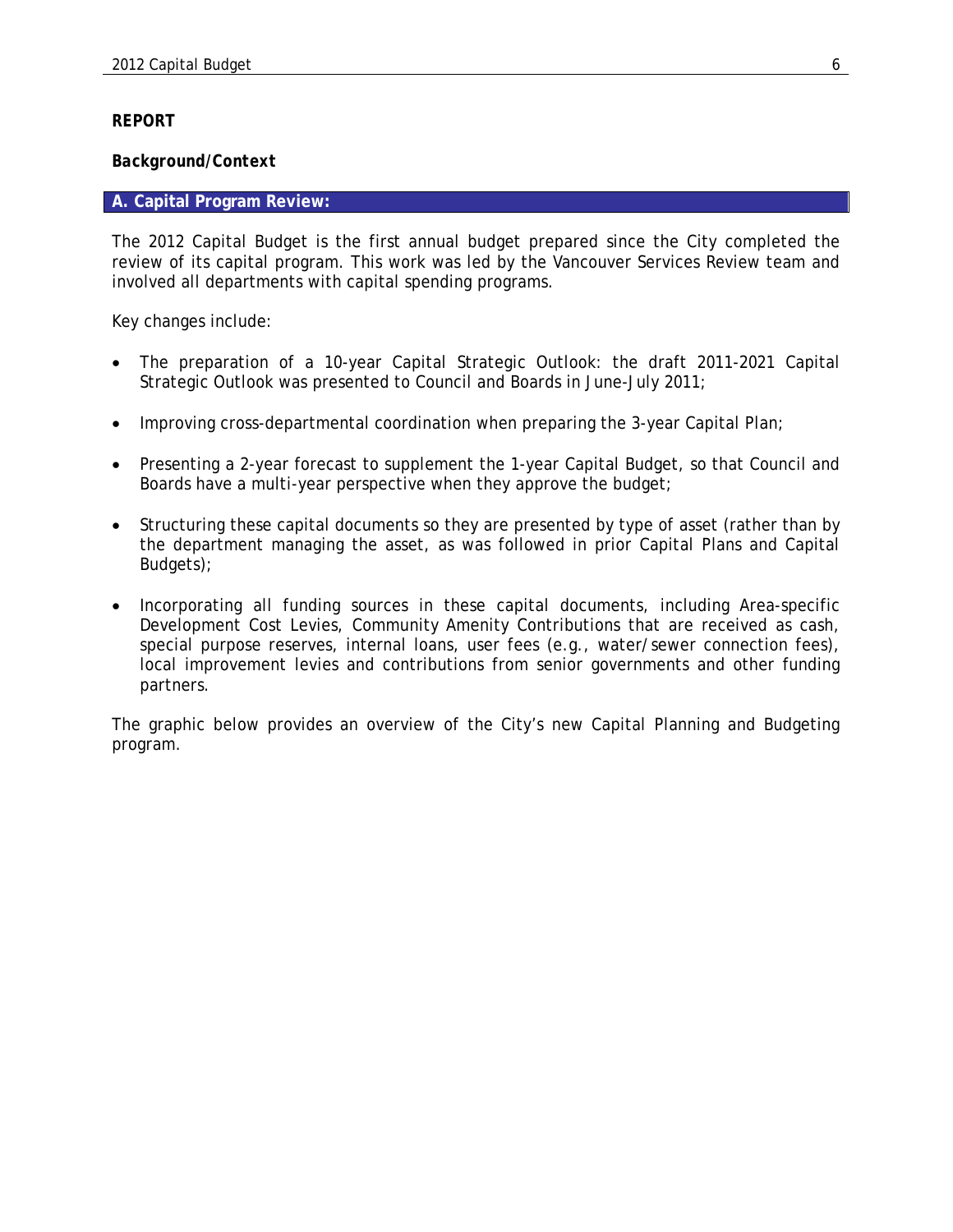#### *REPORT*

#### *Background/Context*

#### **A. Capital Program Review:**

The 2012 Capital Budget is the first annual budget prepared since the City completed the review of its capital program. This work was led by the Vancouver Services Review team and involved all departments with capital spending programs.

Key changes include:

- The preparation of a 10-year Capital Strategic Outlook: the draft 2011-2021 Capital Strategic Outlook was presented to Council and Boards in June-July 2011;
- Improving cross-departmental coordination when preparing the 3-year Capital Plan;
- Presenting a 2-year forecast to supplement the 1-year Capital Budget, so that Council and Boards have a multi-year perspective when they approve the budget;
- Structuring these capital documents so they are presented by type of asset (rather than by the department managing the asset, as was followed in prior Capital Plans and Capital Budgets);
- Incorporating all funding sources in these capital documents, including Area-specific Development Cost Levies, Community Amenity Contributions that are received as cash, special purpose reserves, internal loans, user fees (e.g., water/sewer connection fees), local improvement levies and contributions from senior governments and other funding partners.

The graphic below provides an overview of the City's new Capital Planning and Budgeting program.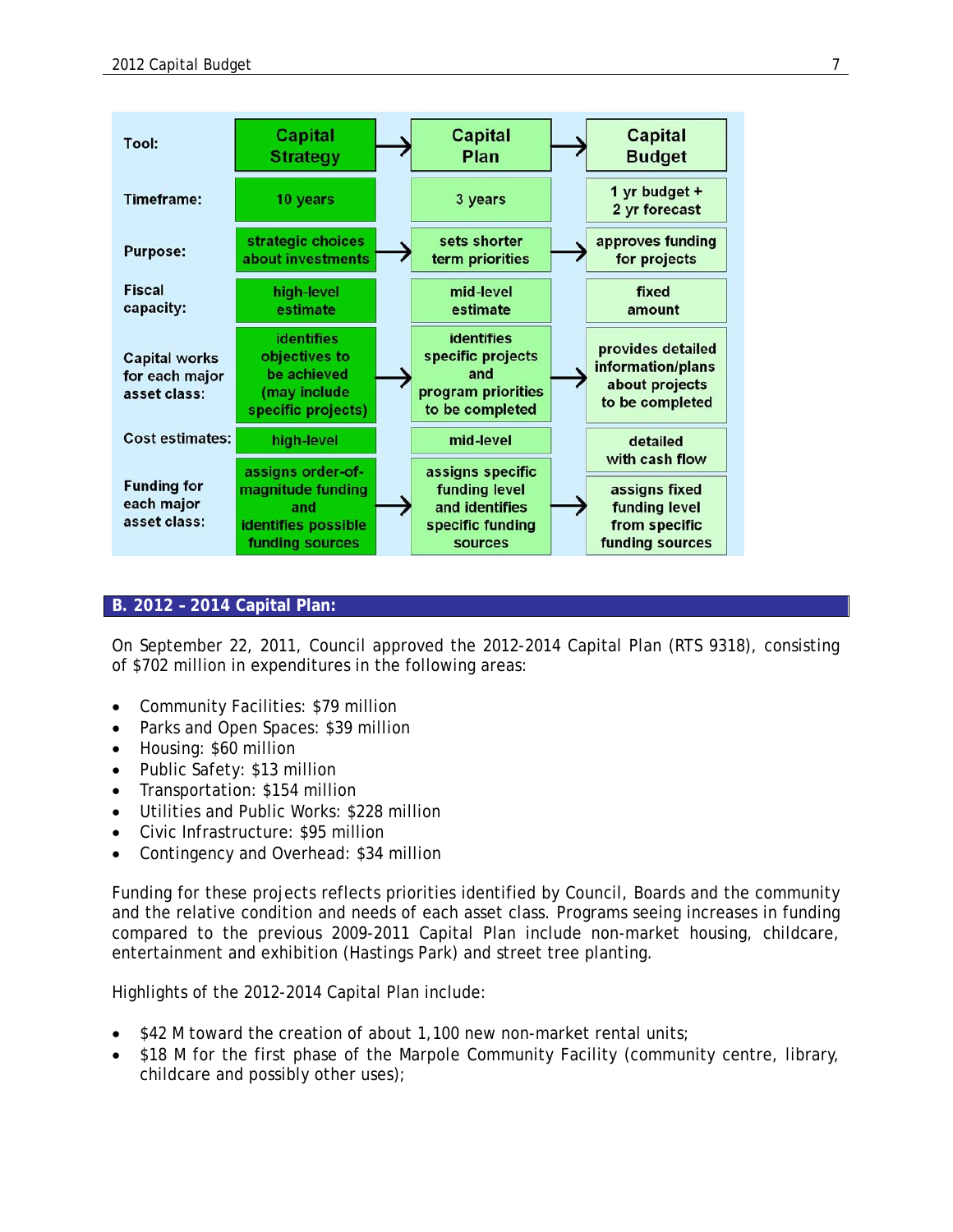| Tool:                                                  | <b>Capital</b><br><b>Strategy</b>                                                       | Capital<br>Plan                                                                        | Capital<br><b>Budget</b>                                                    |
|--------------------------------------------------------|-----------------------------------------------------------------------------------------|----------------------------------------------------------------------------------------|-----------------------------------------------------------------------------|
| Timeframe:                                             | 10 years                                                                                | 3 years                                                                                | 1 yr budget +<br>2 yr forecast                                              |
| <b>Purpose:</b>                                        | strategic choices<br>about investments                                                  | sets shorter<br>term priorities                                                        | approves funding<br>for projects                                            |
| <b>Fiscal</b><br>capacity:                             | high-level<br>estimate                                                                  | mid-level<br>estimate                                                                  | fixed<br>amount                                                             |
| <b>Capital works</b><br>for each major<br>asset class: | <b>identifies</b><br>objectives to<br>be achieved<br>(may include<br>specific projects) | <b>identifies</b><br>specific projects<br>and<br>program priorities<br>to be completed | provides detailed<br>information/plans<br>about projects<br>to be completed |
| <b>Cost estimates:</b>                                 | high-level                                                                              | mid-level                                                                              | detailed<br>with cash flow                                                  |
| <b>Funding for</b><br>each major<br>asset class:       | assigns order-of-<br>magnitude funding<br>and<br>identifies possible<br>funding sources | assigns specific<br>funding level<br>and identifies<br>specific funding<br>sources     | assigns fixed<br>funding level<br>from specific<br>funding sources          |

#### **B. 2012 – 2014 Capital Plan:**

On September 22, 2011, Council approved the 2012-2014 Capital Plan (RTS 9318), consisting of \$702 million in expenditures in the following areas:

- Community Facilities: \$79 million
- Parks and Open Spaces: \$39 million
- Housing: \$60 million
- Public Safety: \$13 million
- Transportation: \$154 million
- Utilities and Public Works: \$228 million
- Civic Infrastructure: \$95 million
- Contingency and Overhead: \$34 million

Funding for these projects reflects priorities identified by Council, Boards and the community and the relative condition and needs of each asset class. Programs seeing increases in funding compared to the previous 2009-2011 Capital Plan include non-market housing, childcare, entertainment and exhibition (Hastings Park) and street tree planting.

Highlights of the 2012-2014 Capital Plan include:

- $\bullet$  \$42 M toward the creation of about 1,100 new non-market rental units;
- \$18 M for the first phase of the Marpole Community Facility (community centre, library, childcare and possibly other uses);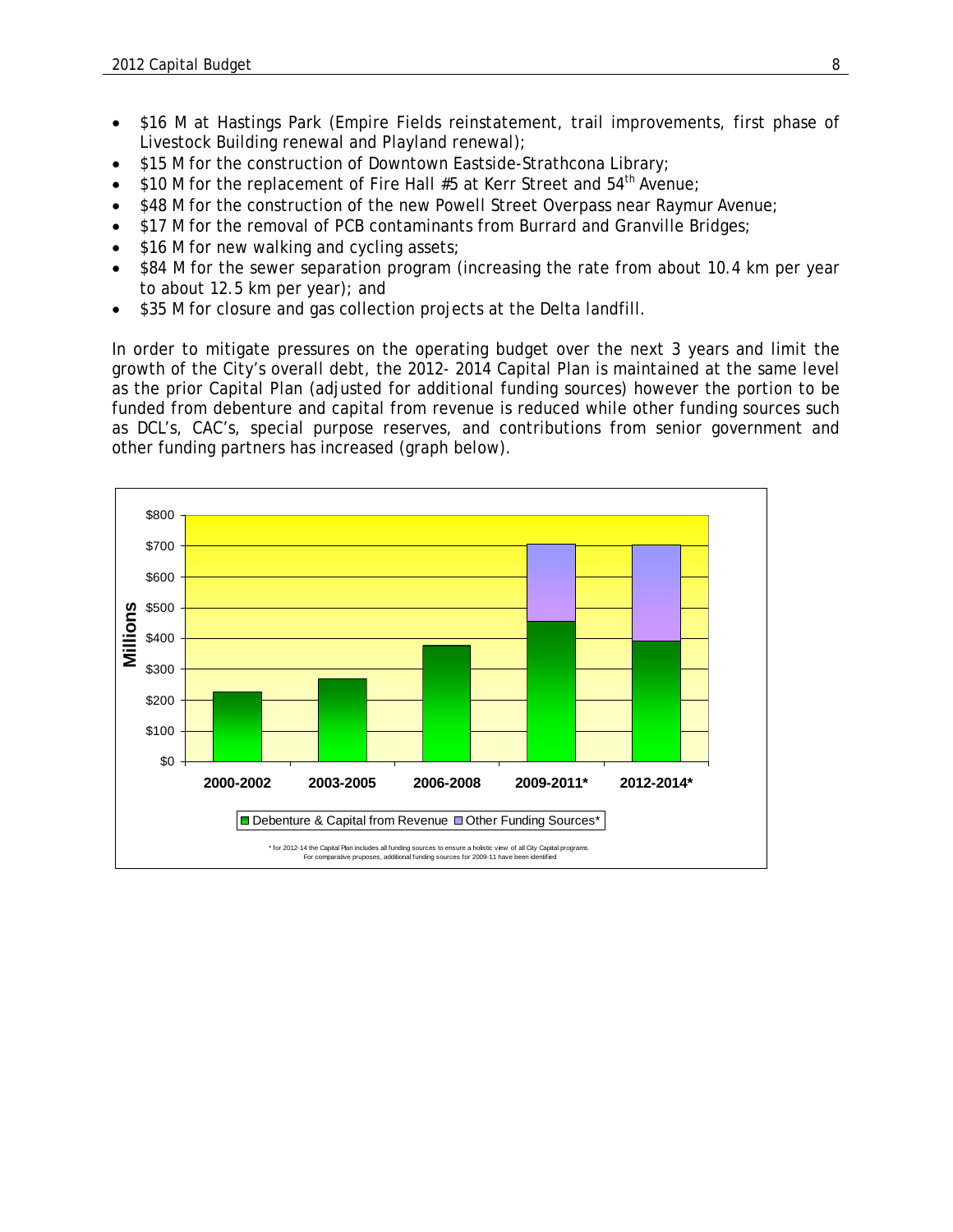- \$16 M at Hastings Park (Empire Fields reinstatement, trail improvements, first phase of Livestock Building renewal and Playland renewal);
- \$15 M for the construction of Downtown Eastside-Strathcona Library;
- \$10 M for the replacement of Fire Hall #5 at Kerr Street and 54<sup>th</sup> Avenue;
- \$48 M for the construction of the new Powell Street Overpass near Raymur Avenue;
- \$17 M for the removal of PCB contaminants from Burrard and Granville Bridges;
- \$16 M for new walking and cycling assets;
- \$84 M for the sewer separation program (increasing the rate from about 10.4 km per year to about 12.5 km per year); and
- \$35 M for closure and gas collection projects at the Delta landfill.

In order to mitigate pressures on the operating budget over the next 3 years and limit the growth of the City's overall debt, the 2012- 2014 Capital Plan is maintained at the same level as the prior Capital Plan (adjusted for additional funding sources) however the portion to be funded from debenture and capital from revenue is reduced while other funding sources such as DCL's, CAC's, special purpose reserves, and contributions from senior government and other funding partners has increased (graph below).

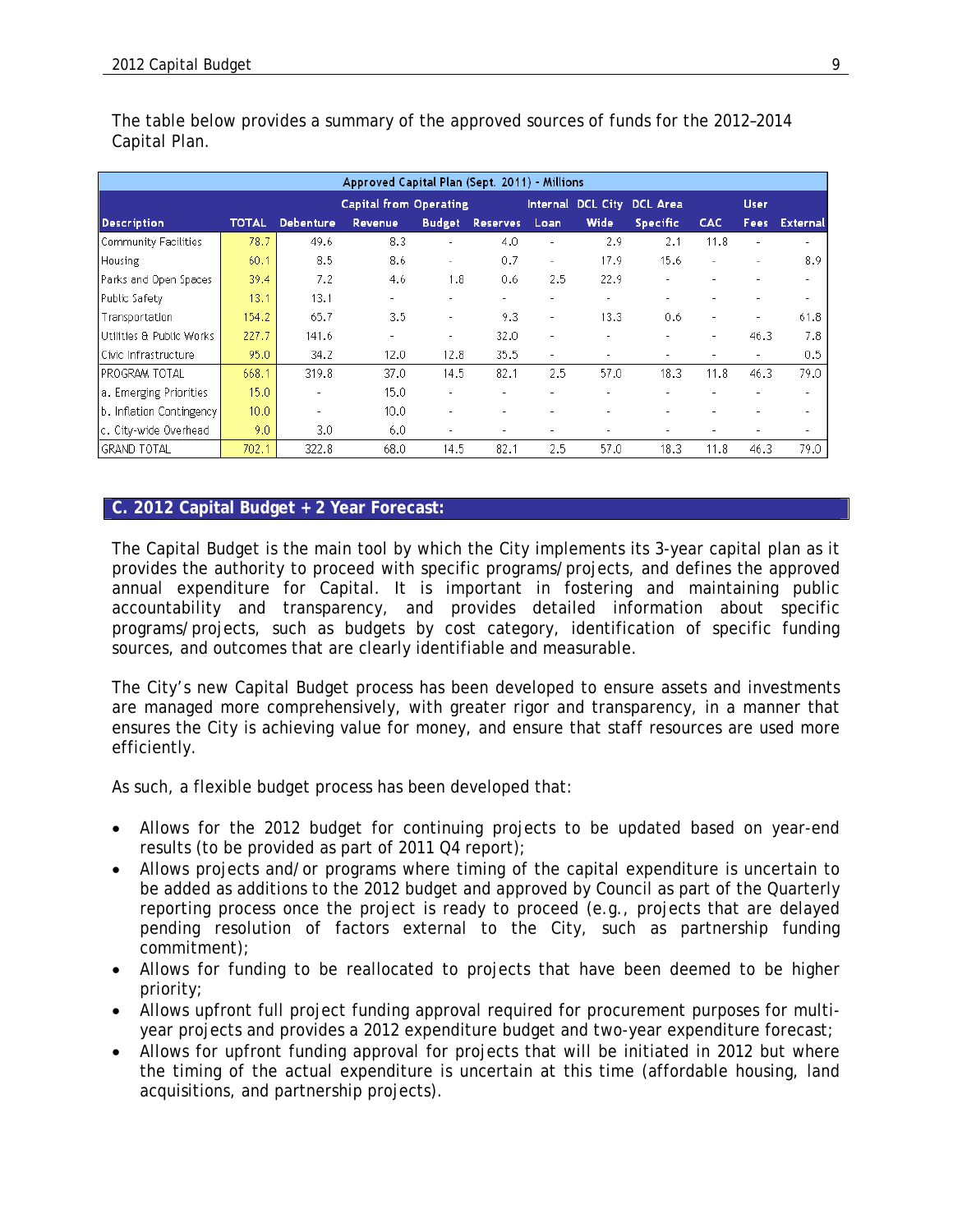| Approved Capital Plan (Sept. 2011) - Millions |              |                  |                               |                          |                 |                          |                          |                          |            |                |                          |
|-----------------------------------------------|--------------|------------------|-------------------------------|--------------------------|-----------------|--------------------------|--------------------------|--------------------------|------------|----------------|--------------------------|
|                                               |              |                  | <b>Capital from Operating</b> |                          |                 |                          | Internal DCL City        | <b>DCL Area</b>          |            | <b>User</b>    |                          |
| <b>Description</b>                            | <b>TOTAL</b> | <b>Debenture</b> | <b>Revenue</b>                | <b>Budget</b>            | <b>Reserves</b> | Loan                     | Wide                     | <b>Specific</b>          | <b>CAC</b> | <b>Fees</b>    | <b>External</b>          |
| Community Facilities                          | 78.7         | 49.6             | 8.3                           | ۰                        | 4.0             | ٠                        | 2.9                      | 2.1                      | 11.8       | ٠              | $\overline{\phantom{a}}$ |
| <b>Housing</b>                                | 60.1         | 8.5              | 8.6                           | $\overline{\phantom{0}}$ | 0.7             | $\overline{\phantom{a}}$ | 17.9                     | 15.6                     |            | ٠              | 8.9                      |
| Parks and Open Spaces                         | 39.4         | 7.2              | 4.6                           | 1.8                      | 0.6             | 2.5                      | 22.9                     |                          |            |                |                          |
| Public Safety                                 | 13.1         | 13.1             | $\overline{\phantom{0}}$      |                          | ٠               | ٠                        | $\sim$                   | $\overline{\phantom{a}}$ |            |                | ٠                        |
| Transportation                                | 154.2        | 65.7             | 3.5                           | ۰                        | 9.3             | $\overline{\phantom{a}}$ | 13.3                     | 0.6                      |            | ٠              | 61.8                     |
| Utilities & Public Works                      | 227.7        | 141.6            | ٠                             | ۰                        | 32.0            | ٠                        |                          |                          | ۰          | 46.3           | 7.8                      |
| Civic Infrastructure                          | 95.0         | 34.2             | 12.0                          | 12.8                     | 35.5            | $\overline{\phantom{a}}$ | $\overline{\phantom{a}}$ | $\overline{\phantom{a}}$ |            | $\overline{a}$ | 0.5                      |
| IPROGRAM TOTAL                                | 668.1        | 319.8            | 37.0                          | 14.5                     | 82.1            | 2.5                      | 57.0                     | 18.3                     | 11.8       | 46.3           | 79.0                     |
| a. Emerging Priorities                        | 15.0         | ٠                | 15.0                          | ۰                        | ٠               | ٠                        | ٠                        | ۰                        |            | ٠              | ٠                        |
| b. Inflation Contingency                      | 10.0         | ۰                | 10.0                          | ۰                        | ٠               | ٠                        |                          |                          |            |                | ٠                        |
| c. Citv-wide Overhead                         | 9.0          | 3.0              | 6.0                           | ۰                        | ٠               | $\overline{\phantom{a}}$ |                          |                          |            |                | $\blacksquare$           |
| <b>GRAND TOTAL</b>                            | 702.1        | 322.8            | 68.0                          | 14.5                     | 82.1            | 2.5                      | 57.0                     | 18.3                     | 11.8       | 46.3           | 79.0                     |

The table below provides a summary of the approved sources of funds for the 2012–2014 Capital Plan.

#### **C. 2012 Capital Budget + 2 Year Forecast:**

The Capital Budget is the main tool by which the City implements its 3-year capital plan as it provides the authority to proceed with specific programs/projects, and defines the approved annual expenditure for Capital. It is important in fostering and maintaining public accountability and transparency, and provides detailed information about specific programs/projects, such as budgets by cost category, identification of specific funding sources, and outcomes that are clearly identifiable and measurable.

The City's new Capital Budget process has been developed to ensure assets and investments are managed more comprehensively, with greater rigor and transparency, in a manner that ensures the City is achieving value for money, and ensure that staff resources are used more efficiently.

As such, a flexible budget process has been developed that:

- Allows for the 2012 budget for continuing projects to be updated based on year-end results (to be provided as part of 2011 Q4 report);
- Allows projects and/or programs where timing of the capital expenditure is uncertain to be added as additions to the 2012 budget and approved by Council as part of the Quarterly reporting process once the project is ready to proceed (e.g., projects that are delayed pending resolution of factors external to the City, such as partnership funding commitment);
- Allows for funding to be reallocated to projects that have been deemed to be higher priority;
- Allows upfront full project funding approval required for procurement purposes for multiyear projects and provides a 2012 expenditure budget and two-year expenditure forecast;
- Allows for upfront funding approval for projects that will be initiated in 2012 but where the timing of the actual expenditure is uncertain at this time (affordable housing, land acquisitions, and partnership projects).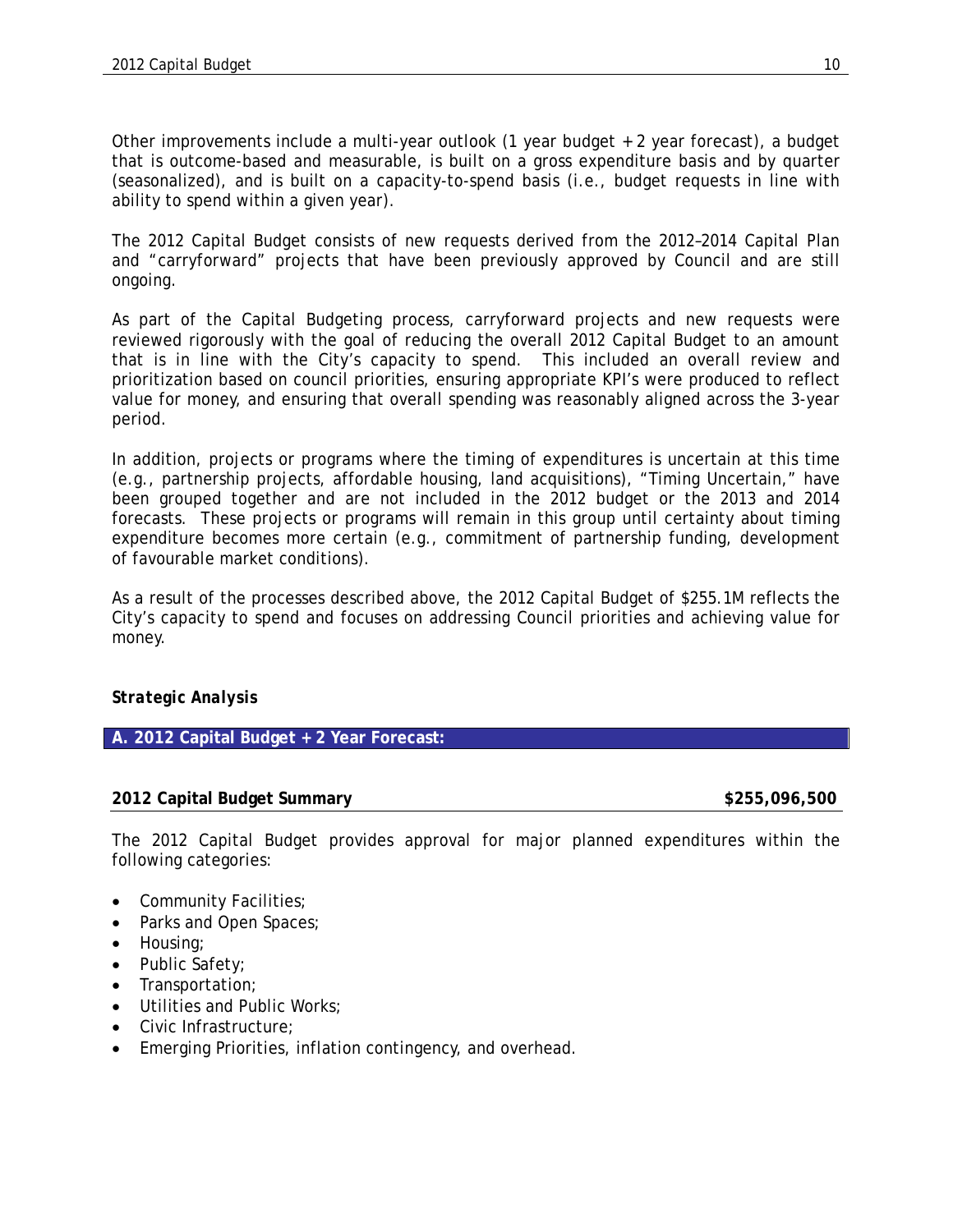Other improvements include a multi-year outlook (1 year budget + 2 year forecast), a budget that is outcome-based and measurable, is built on a gross expenditure basis and by quarter (seasonalized), and is built on a capacity-to-spend basis (i.e., budget requests in line with ability to spend within a given year).

The 2012 Capital Budget consists of new requests derived from the 2012–2014 Capital Plan and "carryforward" projects that have been previously approved by Council and are still ongoing.

As part of the Capital Budgeting process, carryforward projects and new requests were reviewed rigorously with the goal of reducing the overall 2012 Capital Budget to an amount that is in line with the City's capacity to spend. This included an overall review and prioritization based on council priorities, ensuring appropriate KPI's were produced to reflect value for money, and ensuring that overall spending was reasonably aligned across the 3-year period.

In addition, projects or programs where the timing of expenditures is uncertain at this time (e.g., partnership projects, affordable housing, land acquisitions), "Timing Uncertain," have been grouped together and are not included in the 2012 budget or the 2013 and 2014 forecasts. These projects or programs will remain in this group until certainty about timing expenditure becomes more certain (e.g., commitment of partnership funding, development of favourable market conditions).

As a result of the processes described above, the 2012 Capital Budget of \$255.1M reflects the City's capacity to spend and focuses on addressing Council priorities and achieving value for money.

# *Strategic Analysis*

# **A. 2012 Capital Budget + 2 Year Forecast:**

#### **2012 Capital Budget Summary \$255,096,500**

The 2012 Capital Budget provides approval for major planned expenditures within the following categories:

- Community Facilities;
- Parks and Open Spaces;
- Housing;
- Public Safety;
- Transportation;
- Utilities and Public Works;
- Civic Infrastructure;
- Emerging Priorities, inflation contingency, and overhead.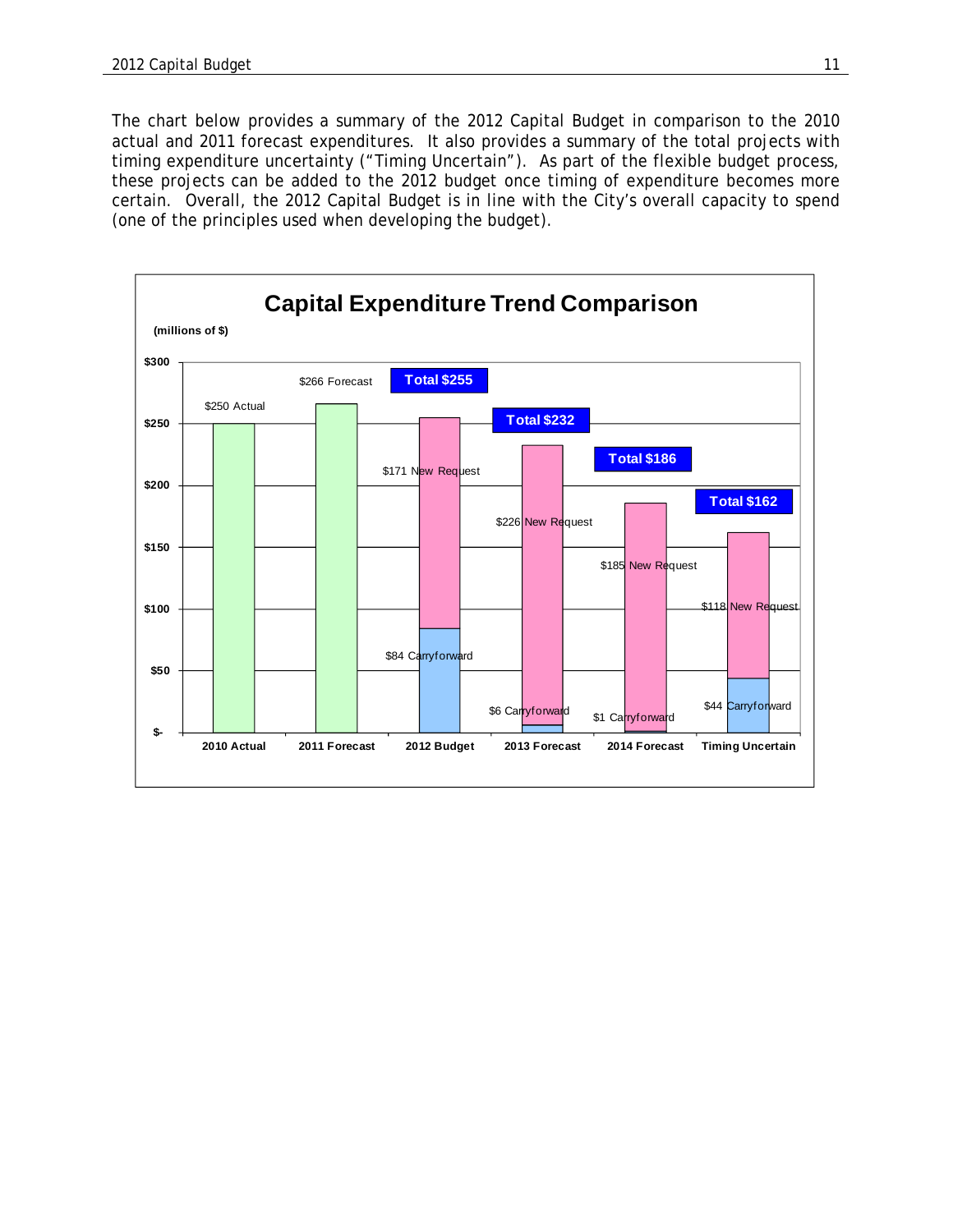The chart below provides a summary of the 2012 Capital Budget in comparison to the 2010 actual and 2011 forecast expenditures. It also provides a summary of the total projects with timing expenditure uncertainty ("Timing Uncertain"). As part of the flexible budget process, these projects can be added to the 2012 budget once timing of expenditure becomes more certain. Overall, the 2012 Capital Budget is in line with the City's overall capacity to spend (one of the principles used when developing the budget).

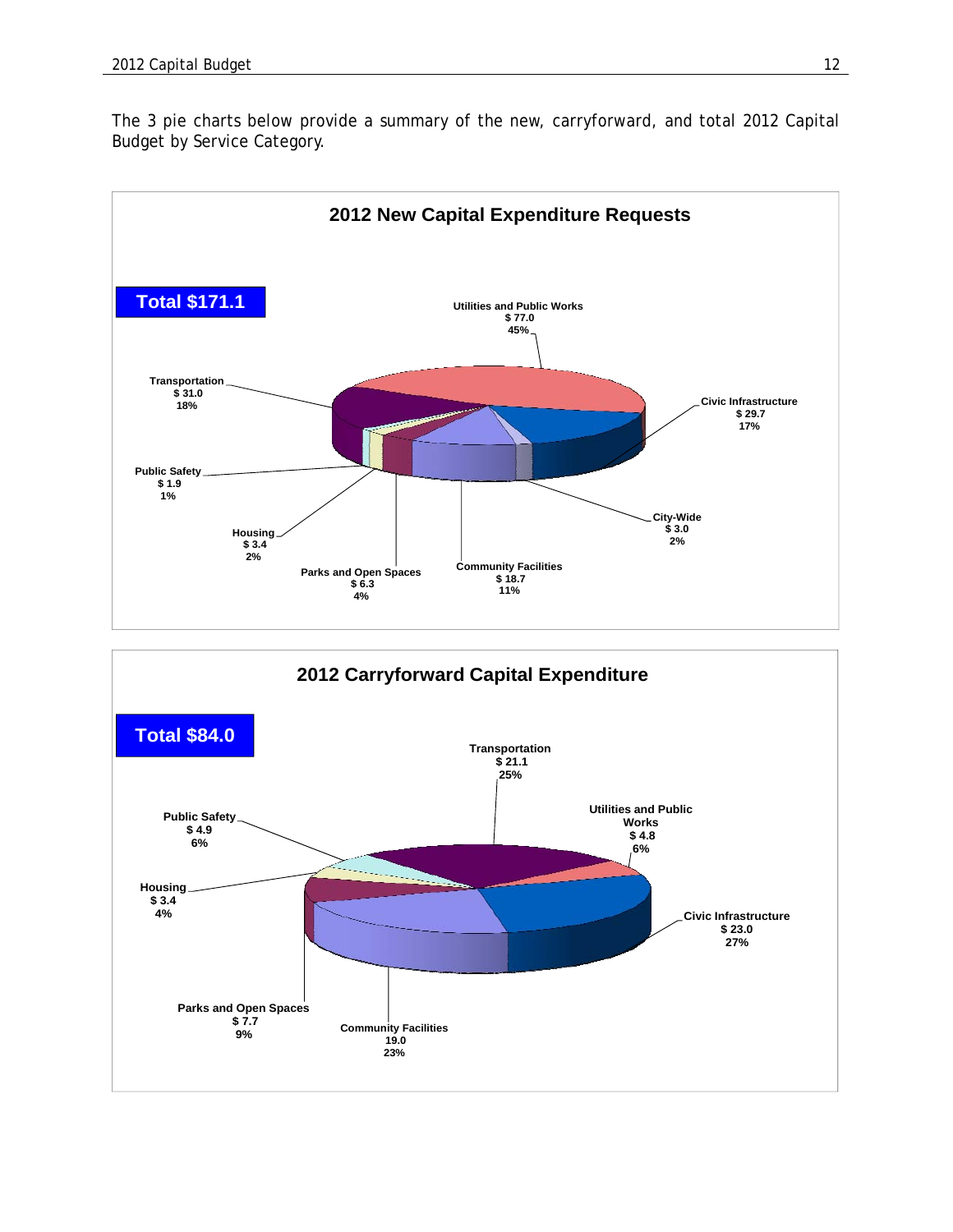The 3 pie charts below provide a summary of the new, carryforward, and total 2012 Capital Budget by Service Category.



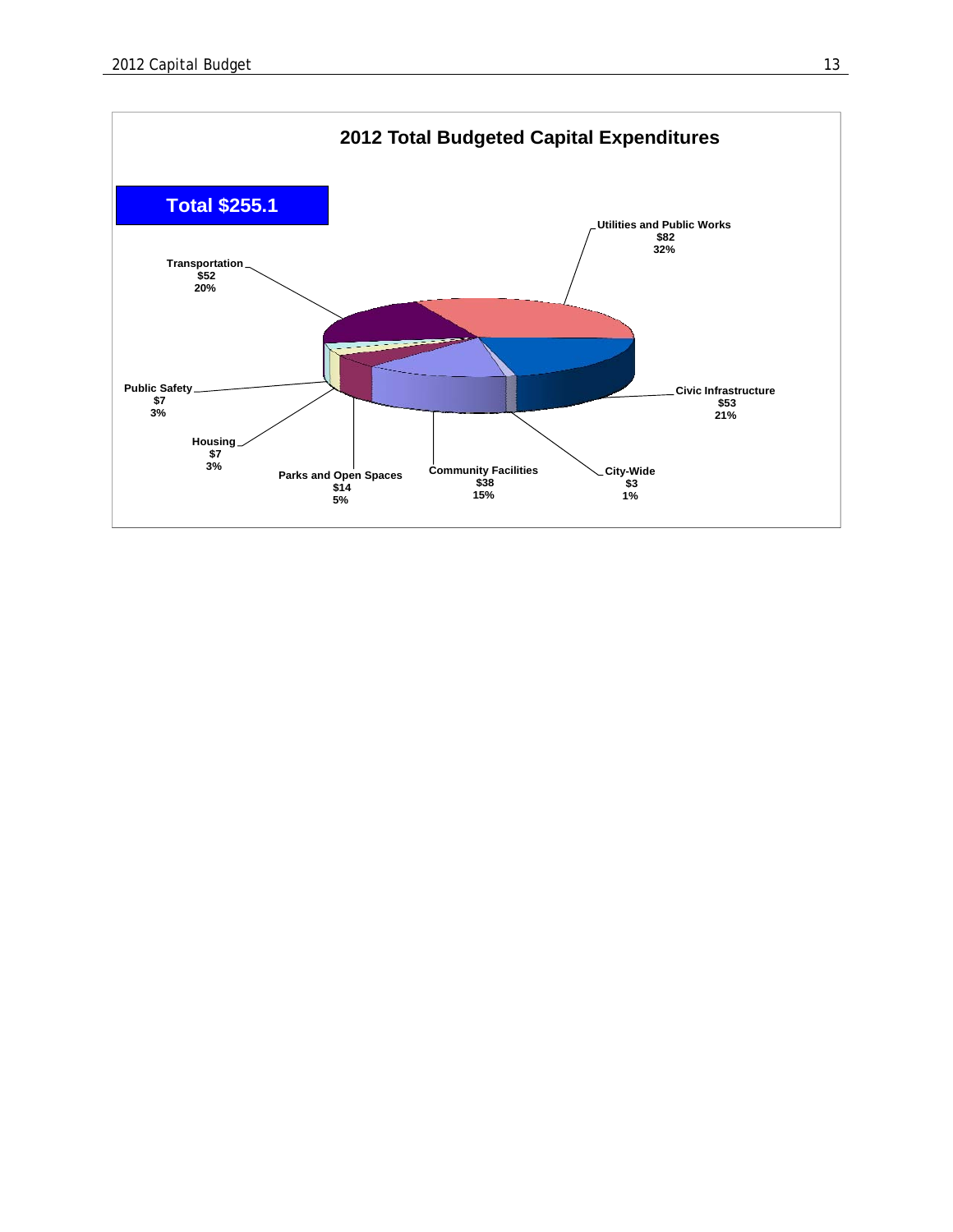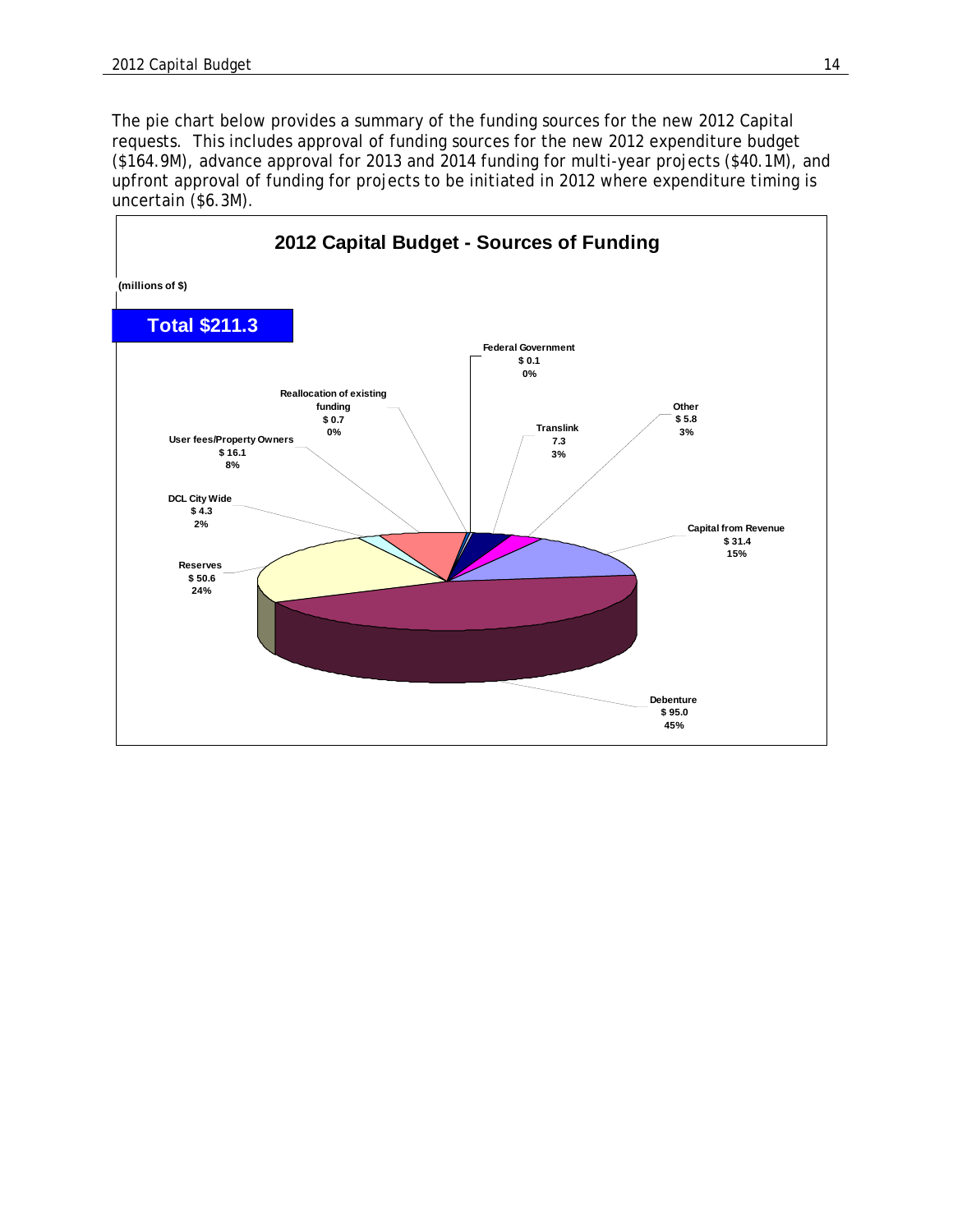The pie chart below provides a summary of the funding sources for the new 2012 Capital requests. This includes approval of funding sources for the new 2012 expenditure budget (\$164.9M), advance approval for 2013 and 2014 funding for multi-year projects (\$40.1M), and upfront approval of funding for projects to be initiated in 2012 where expenditure timing is uncertain (\$6.3M).

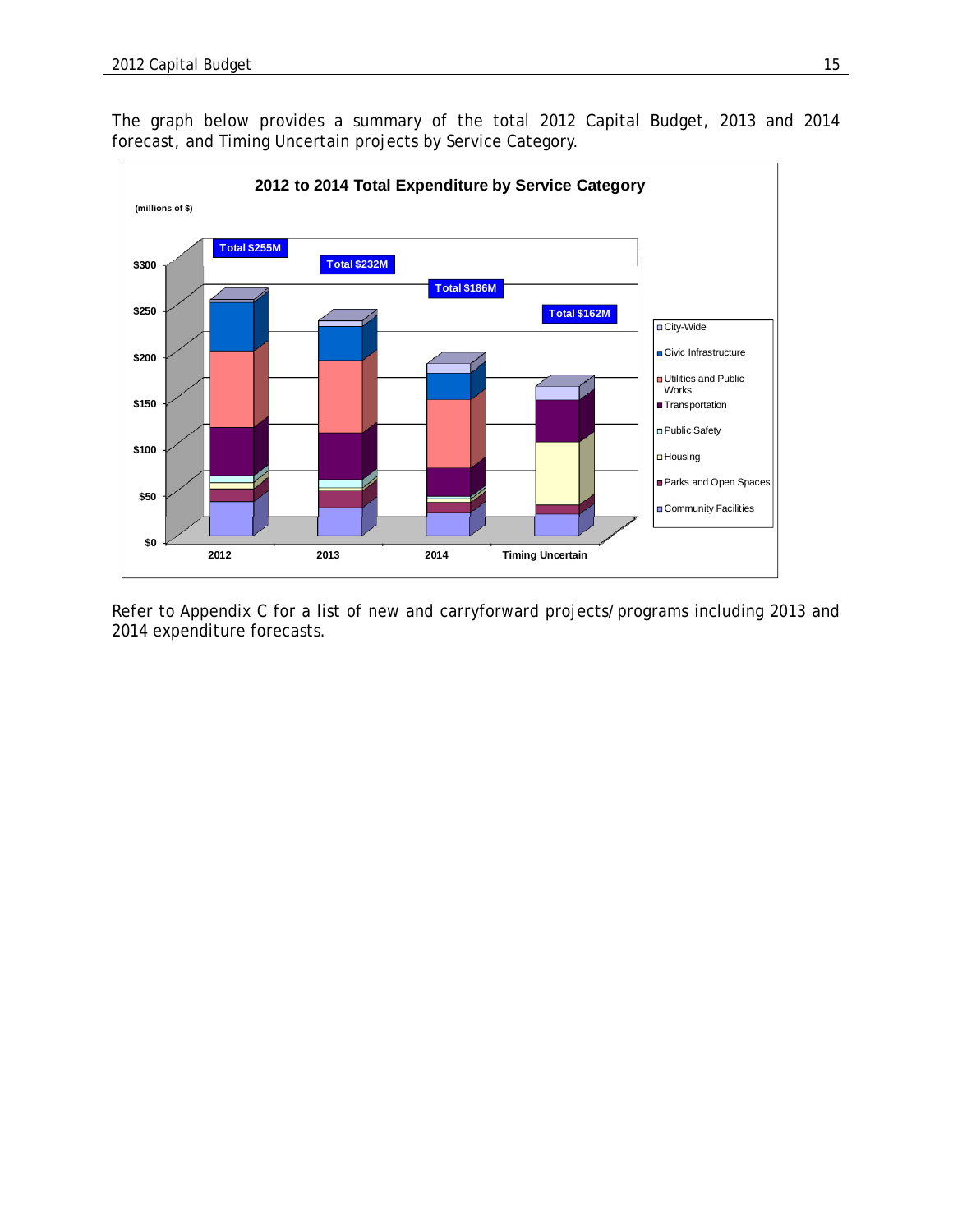The graph below provides a summary of the total 2012 Capital Budget, 2013 and 2014 forecast, and Timing Uncertain projects by Service Category.



Refer to Appendix C for a list of new and carryforward projects/programs including 2013 and 2014 expenditure forecasts.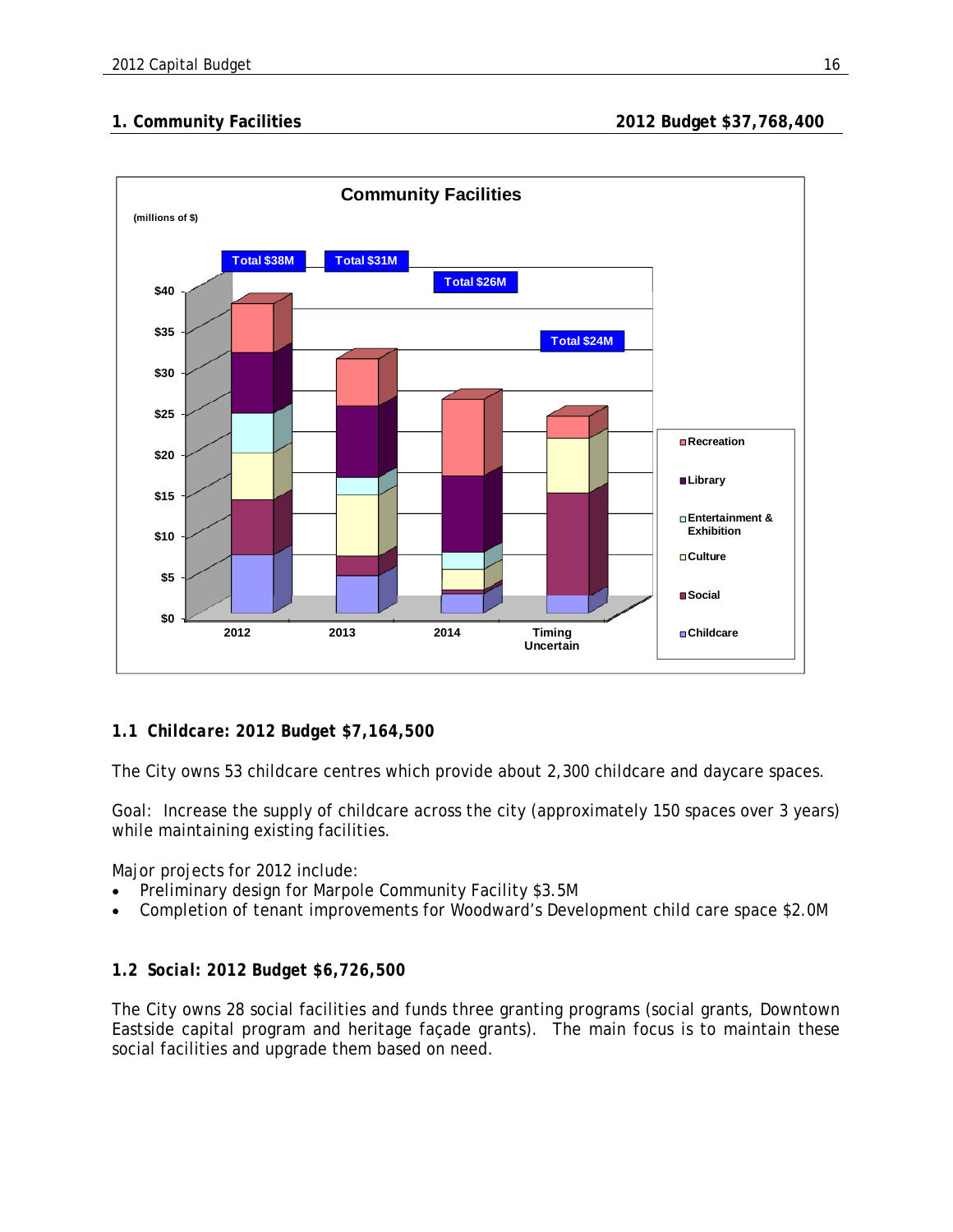

# *1.1 Childcare: 2012 Budget \$7,164,500*

The City owns 53 childcare centres which provide about 2,300 childcare and daycare spaces.

Goal: Increase the supply of childcare across the city (approximately 150 spaces over 3 years) while maintaining existing facilities.

Major projects for 2012 include:

- Preliminary design for Marpole Community Facility \$3.5M
- Completion of tenant improvements for Woodward's Development child care space \$2.0M

# *1.2 Social: 2012 Budget \$6,726,500*

The City owns 28 social facilities and funds three granting programs (social grants, Downtown Eastside capital program and heritage façade grants). The main focus is to maintain these social facilities and upgrade them based on need.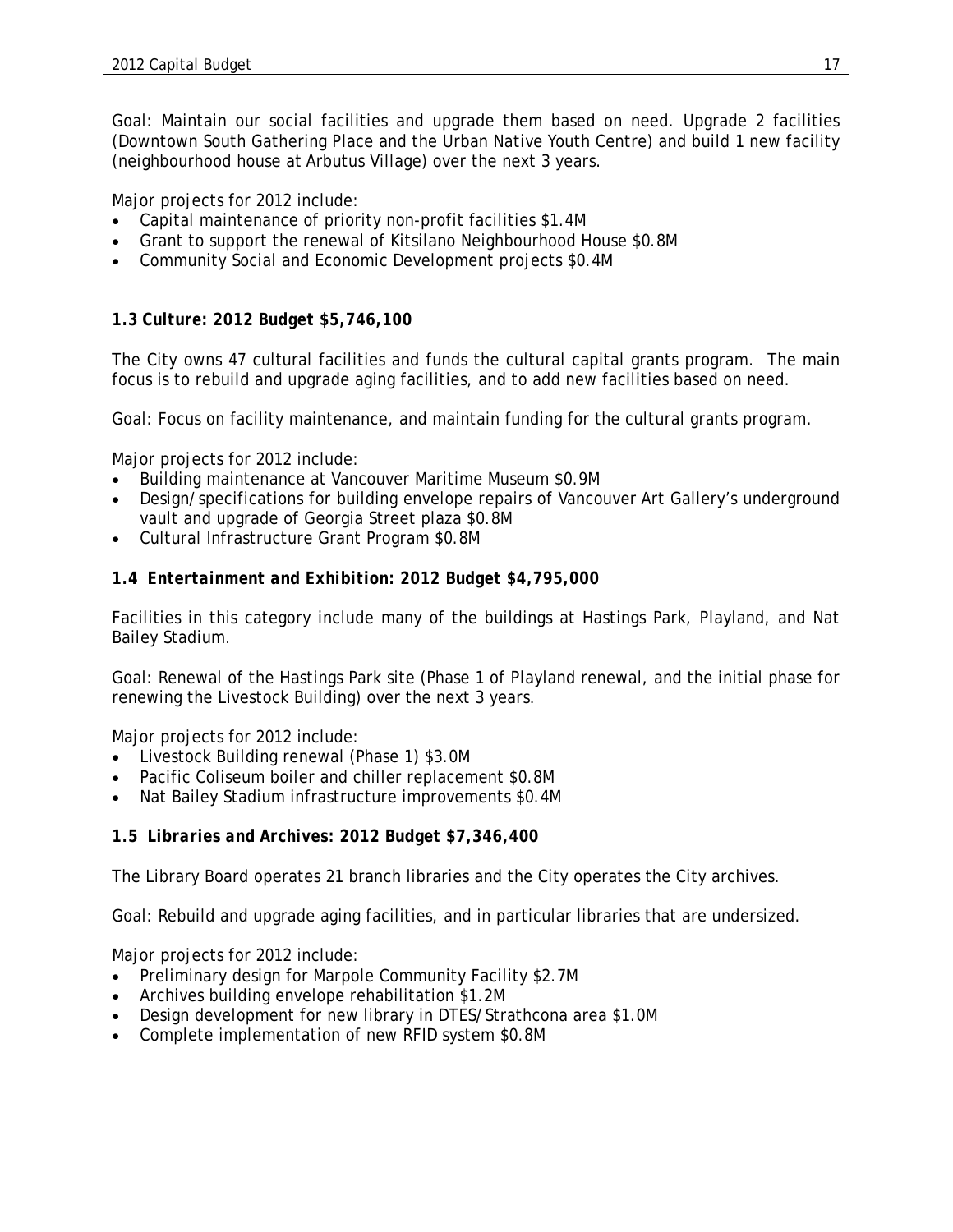Goal: Maintain our social facilities and upgrade them based on need. Upgrade 2 facilities (Downtown South Gathering Place and the Urban Native Youth Centre) and build 1 new facility (neighbourhood house at Arbutus Village) over the next 3 years.

Major projects for 2012 include:

- Capital maintenance of priority non-profit facilities \$1.4M
- Grant to support the renewal of Kitsilano Neighbourhood House \$0.8M
- Community Social and Economic Development projects \$0.4M

#### *1.3 Culture: 2012 Budget \$5,746,100*

The City owns 47 cultural facilities and funds the cultural capital grants program. The main focus is to rebuild and upgrade aging facilities, and to add new facilities based on need.

Goal: Focus on facility maintenance, and maintain funding for the cultural grants program.

Major projects for 2012 include:

- Building maintenance at Vancouver Maritime Museum \$0.9M
- Design/specifications for building envelope repairs of Vancouver Art Gallery's underground vault and upgrade of Georgia Street plaza \$0.8M
- Cultural Infrastructure Grant Program \$0.8M

#### *1.4 Entertainment and Exhibition: 2012 Budget \$4,795,000*

Facilities in this category include many of the buildings at Hastings Park, Playland, and Nat Bailey Stadium.

Goal: Renewal of the Hastings Park site (Phase 1 of Playland renewal, and the initial phase for renewing the Livestock Building) over the next 3 years.

Major projects for 2012 include:

- Livestock Building renewal (Phase 1) \$3.0M
- Pacific Coliseum boiler and chiller replacement \$0.8M
- Nat Bailey Stadium infrastructure improvements \$0.4M

#### *1.5 Libraries and Archives: 2012 Budget \$7,346,400*

The Library Board operates 21 branch libraries and the City operates the City archives.

Goal: Rebuild and upgrade aging facilities, and in particular libraries that are undersized.

Major projects for 2012 include:

- Preliminary design for Marpole Community Facility \$2.7M
- Archives building envelope rehabilitation \$1.2M
- Design development for new library in DTES/Strathcona area \$1.0M
- Complete implementation of new RFID system \$0.8M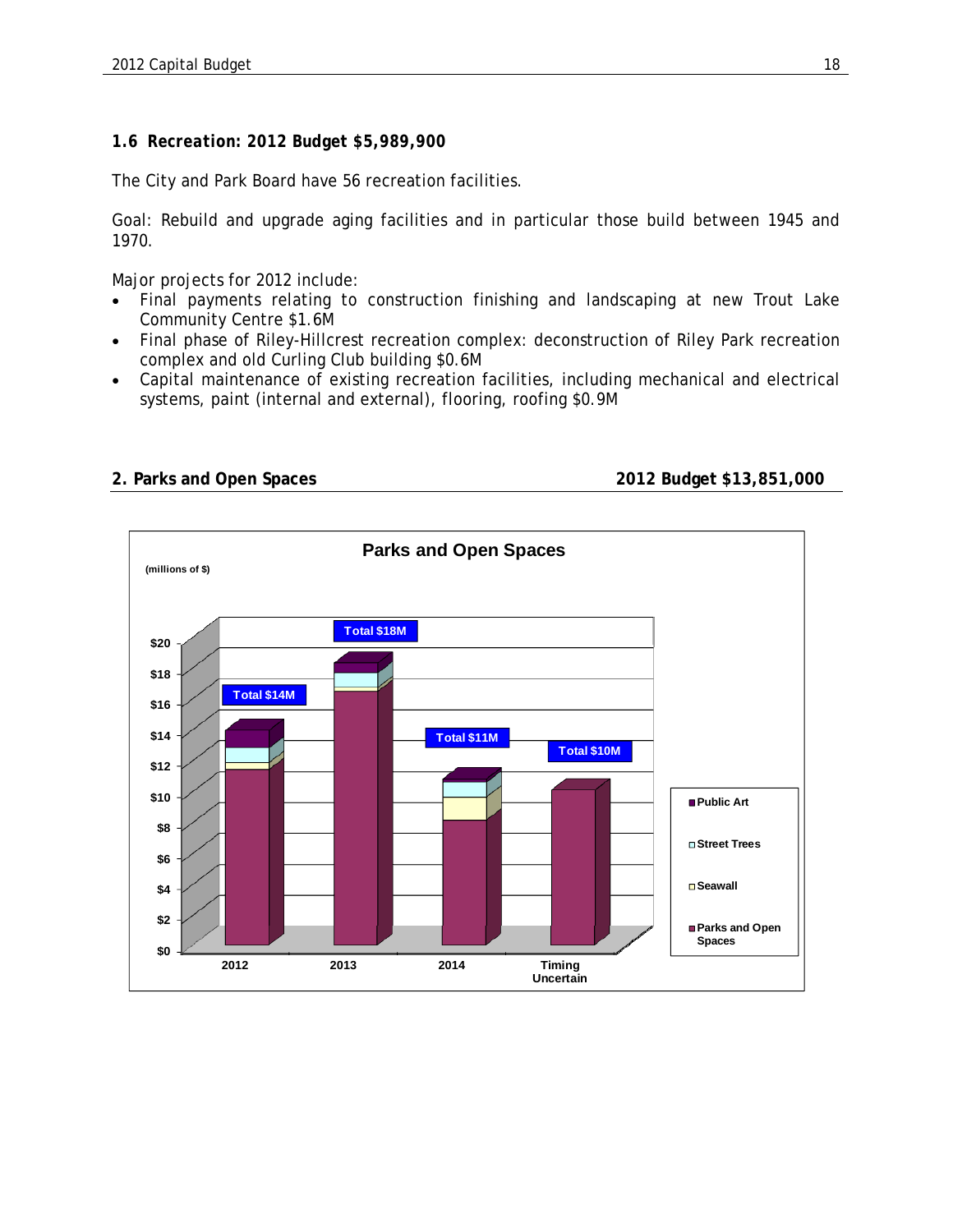## *1.6 Recreation: 2012 Budget \$5,989,900*

The City and Park Board have 56 recreation facilities.

Goal: Rebuild and upgrade aging facilities and in particular those build between 1945 and 1970.

Major projects for 2012 include:

- Final payments relating to construction finishing and landscaping at new Trout Lake Community Centre \$1.6M
- Final phase of Riley-Hillcrest recreation complex: deconstruction of Riley Park recreation complex and old Curling Club building \$0.6M
- Capital maintenance of existing recreation facilities, including mechanical and electrical systems, paint (internal and external), flooring, roofing \$0.9M



**2. Parks and Open Spaces 2012 Budget \$13,851,000**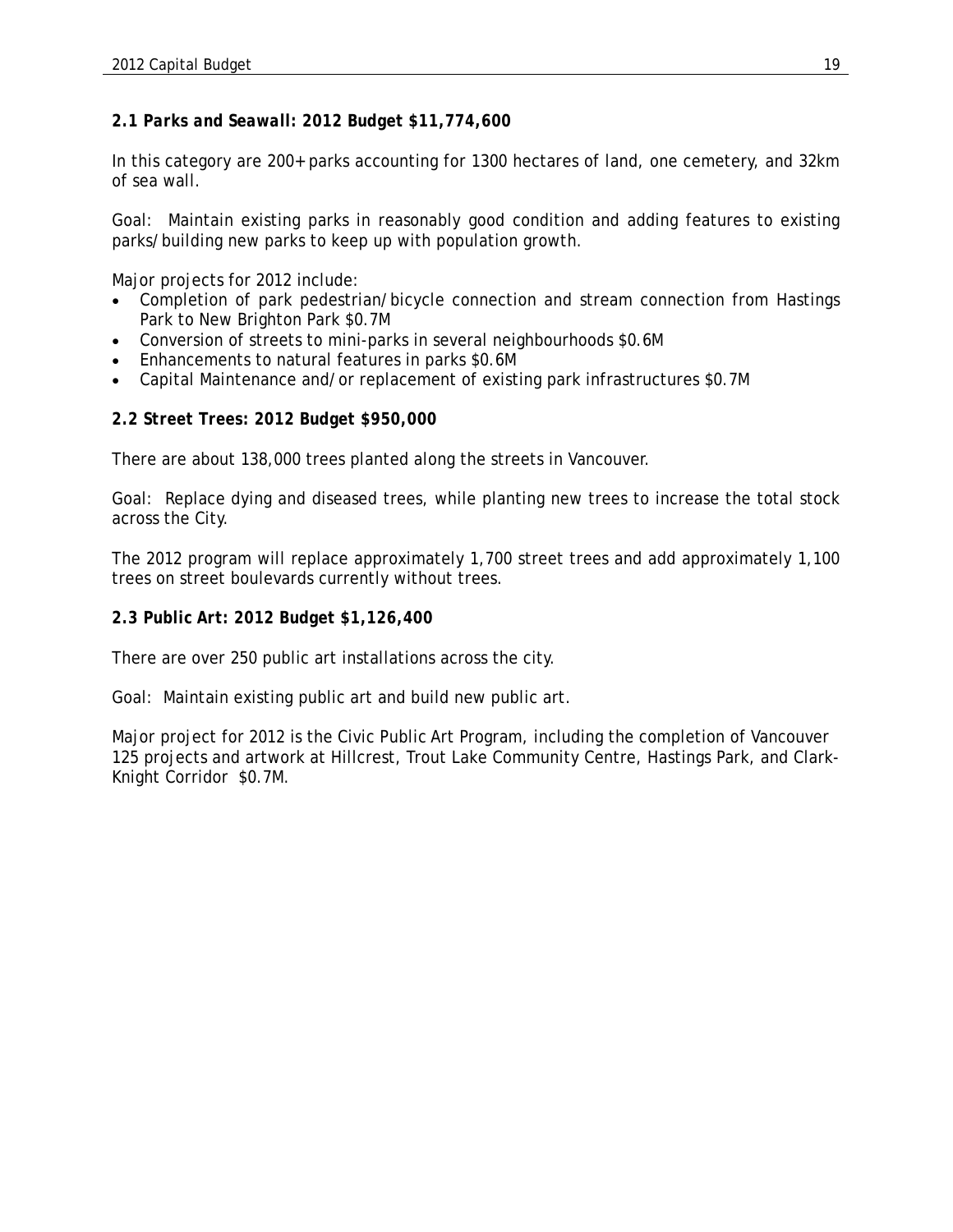#### *2.1 Parks and Seawall: 2012 Budget \$11,774,600*

In this category are 200+ parks accounting for 1300 hectares of land, one cemetery, and 32km of sea wall.

Goal: Maintain existing parks in reasonably good condition and adding features to existing parks/building new parks to keep up with population growth.

Major projects for 2012 include:

- Completion of park pedestrian/bicycle connection and stream connection from Hastings Park to New Brighton Park \$0.7M
- Conversion of streets to mini-parks in several neighbourhoods \$0.6M
- **Enhancements to natural features in parks \$0.6M**
- Capital Maintenance and/or replacement of existing park infrastructures \$0.7M

#### *2.2 Street Trees: 2012 Budget \$950,000*

There are about 138,000 trees planted along the streets in Vancouver.

Goal: Replace dying and diseased trees, while planting new trees to increase the total stock across the City.

The 2012 program will replace approximately 1,700 street trees and add approximately 1,100 trees on street boulevards currently without trees.

#### *2.3 Public Art: 2012 Budget \$1,126,400*

There are over 250 public art installations across the city.

Goal: Maintain existing public art and build new public art.

Major project for 2012 is the Civic Public Art Program, including the completion of Vancouver 125 projects and artwork at Hillcrest, Trout Lake Community Centre, Hastings Park, and Clark-Knight Corridor \$0.7M.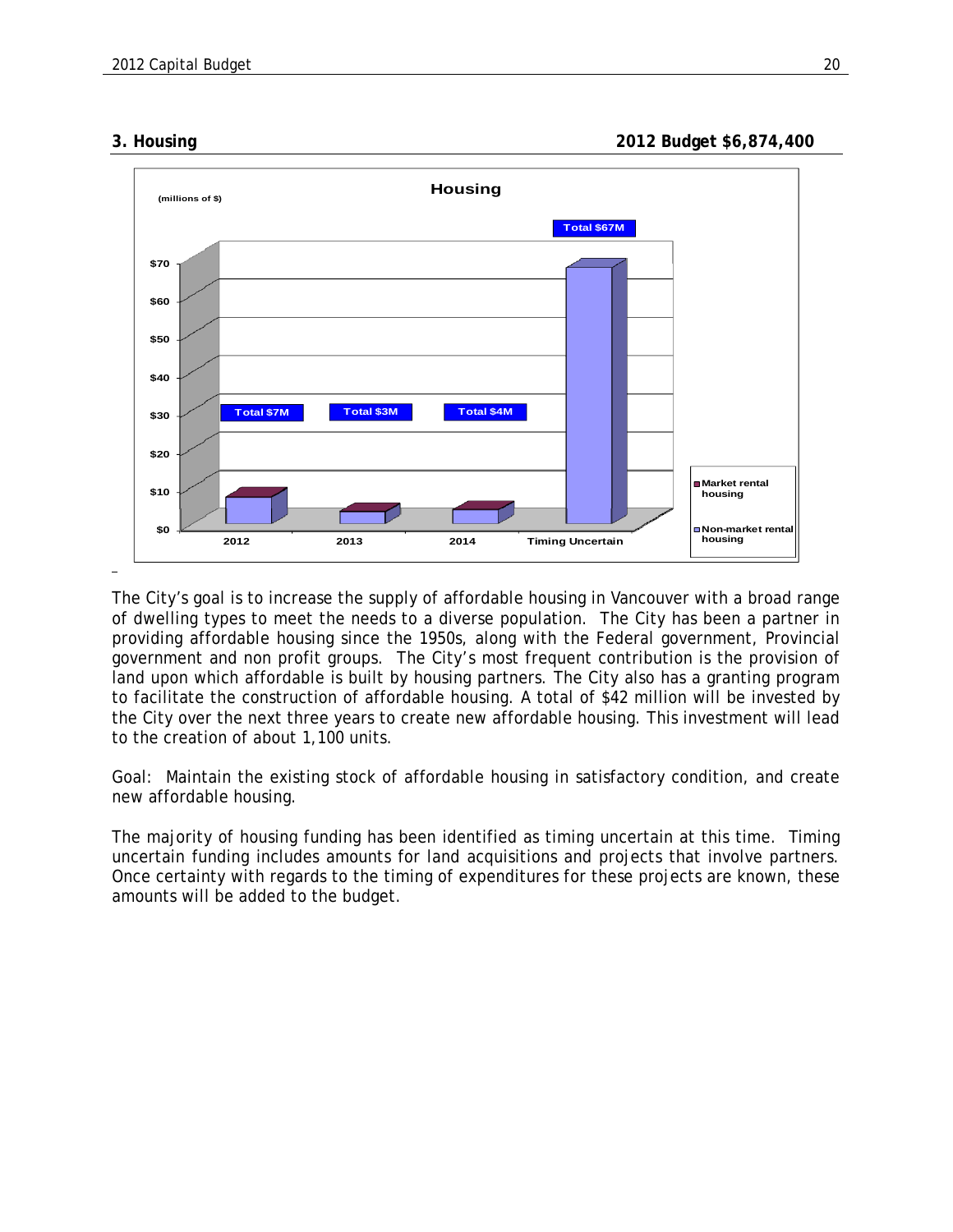**3. Housing 2012 Budget \$6,874,400** 



The City's goal is to increase the supply of affordable housing in Vancouver with a broad range of dwelling types to meet the needs to a diverse population. The City has been a partner in providing affordable housing since the 1950s, along with the Federal government, Provincial government and non profit groups. The City's most frequent contribution is the provision of land upon which affordable is built by housing partners. The City also has a granting program to facilitate the construction of affordable housing. A total of \$42 million will be invested by the City over the next three years to create new affordable housing. This investment will lead to the creation of about 1,100 units.

Goal: Maintain the existing stock of affordable housing in satisfactory condition, and create new affordable housing.

The majority of housing funding has been identified as timing uncertain at this time. Timing uncertain funding includes amounts for land acquisitions and projects that involve partners. Once certainty with regards to the timing of expenditures for these projects are known, these amounts will be added to the budget.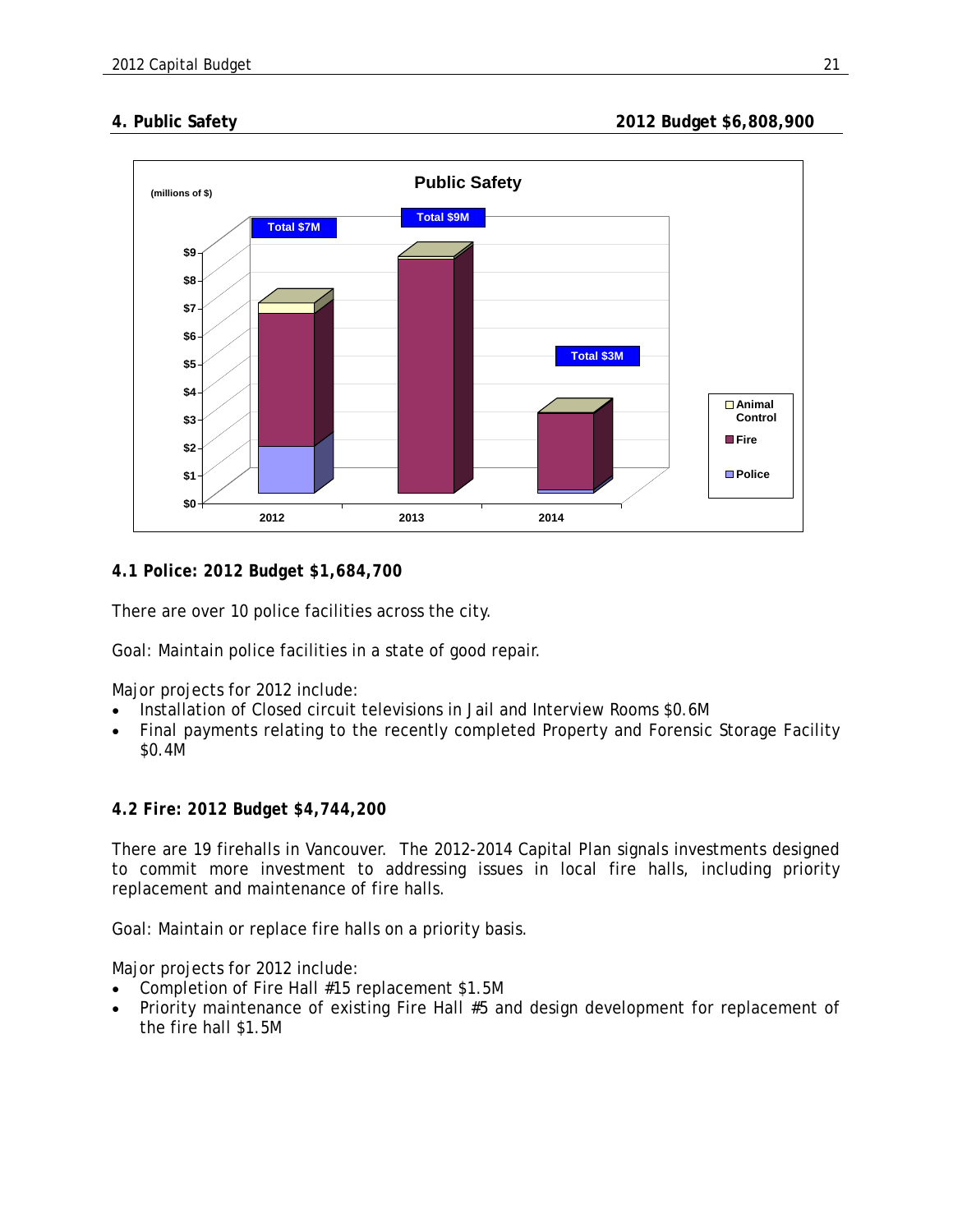

*4.1 Police: 2012 Budget \$1,684,700*

There are over 10 police facilities across the city.

Goal: Maintain police facilities in a state of good repair.

Major projects for 2012 include:

- Installation of Closed circuit televisions in Jail and Interview Rooms \$0.6M
- Final payments relating to the recently completed Property and Forensic Storage Facility \$0.4M

#### *4.2 Fire: 2012 Budget \$4,744,200*

There are 19 firehalls in Vancouver. The 2012-2014 Capital Plan signals investments designed to commit more investment to addressing issues in local fire halls, including priority replacement and maintenance of fire halls.

Goal: Maintain or replace fire halls on a priority basis.

Major projects for 2012 include:

- Completion of Fire Hall #15 replacement \$1.5M
- Priority maintenance of existing Fire Hall #5 and design development for replacement of the fire hall \$1.5M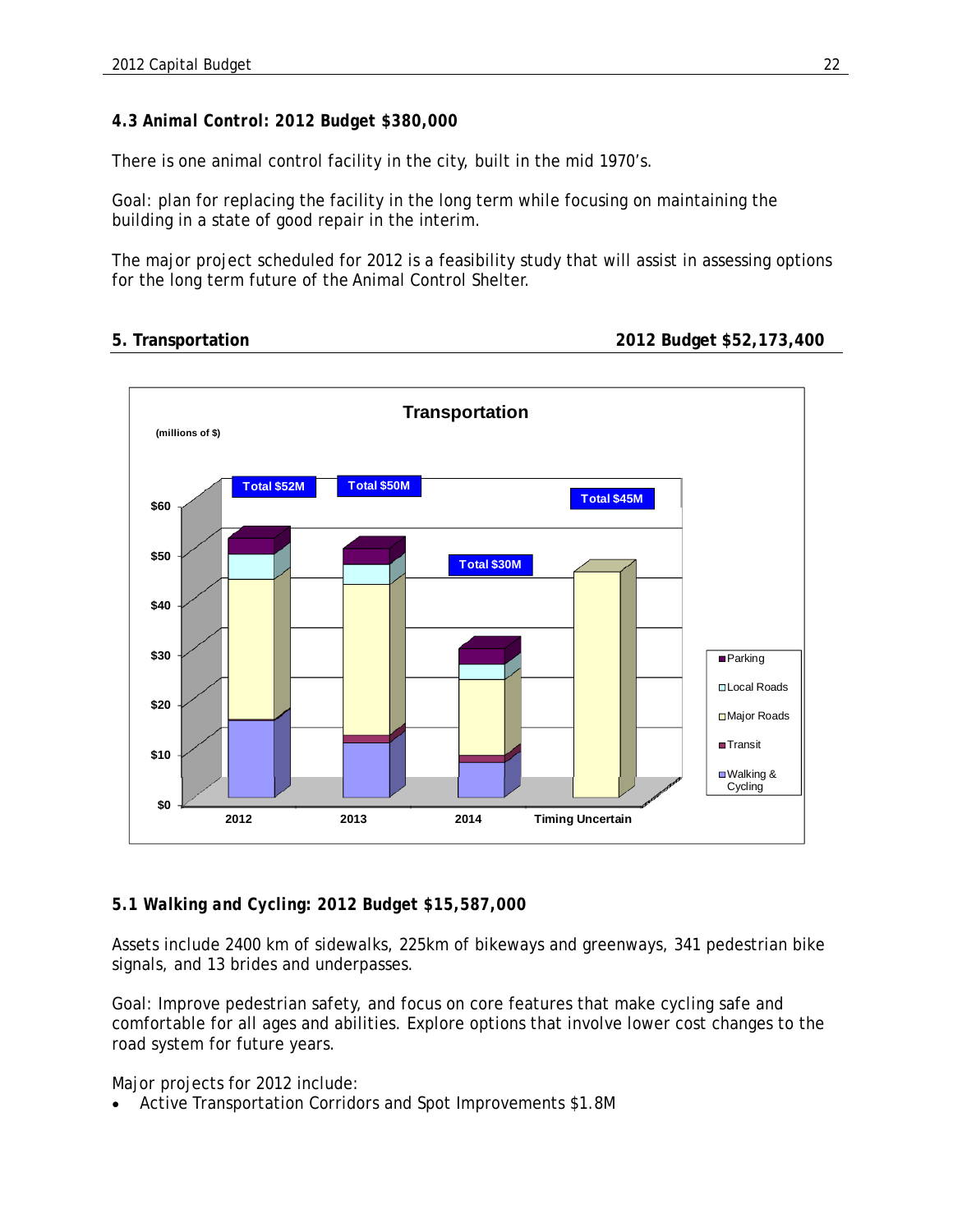# *4.3 Animal Control: 2012 Budget \$380,000*

There is one animal control facility in the city, built in the mid 1970's.

Goal: plan for replacing the facility in the long term while focusing on maintaining the building in a state of good repair in the interim.

The major project scheduled for 2012 is a feasibility study that will assist in assessing options for the long term future of the Animal Control Shelter.

```
5. Transportation 2012 Budget $52,173,400
```


# *5.1 Walking and Cycling: 2012 Budget \$15,587,000*

Assets include 2400 km of sidewalks, 225km of bikeways and greenways, 341 pedestrian bike signals, and 13 brides and underpasses.

Goal: Improve pedestrian safety, and focus on core features that make cycling safe and comfortable for all ages and abilities. Explore options that involve lower cost changes to the road system for future years.

Major projects for 2012 include:

Active Transportation Corridors and Spot Improvements \$1.8M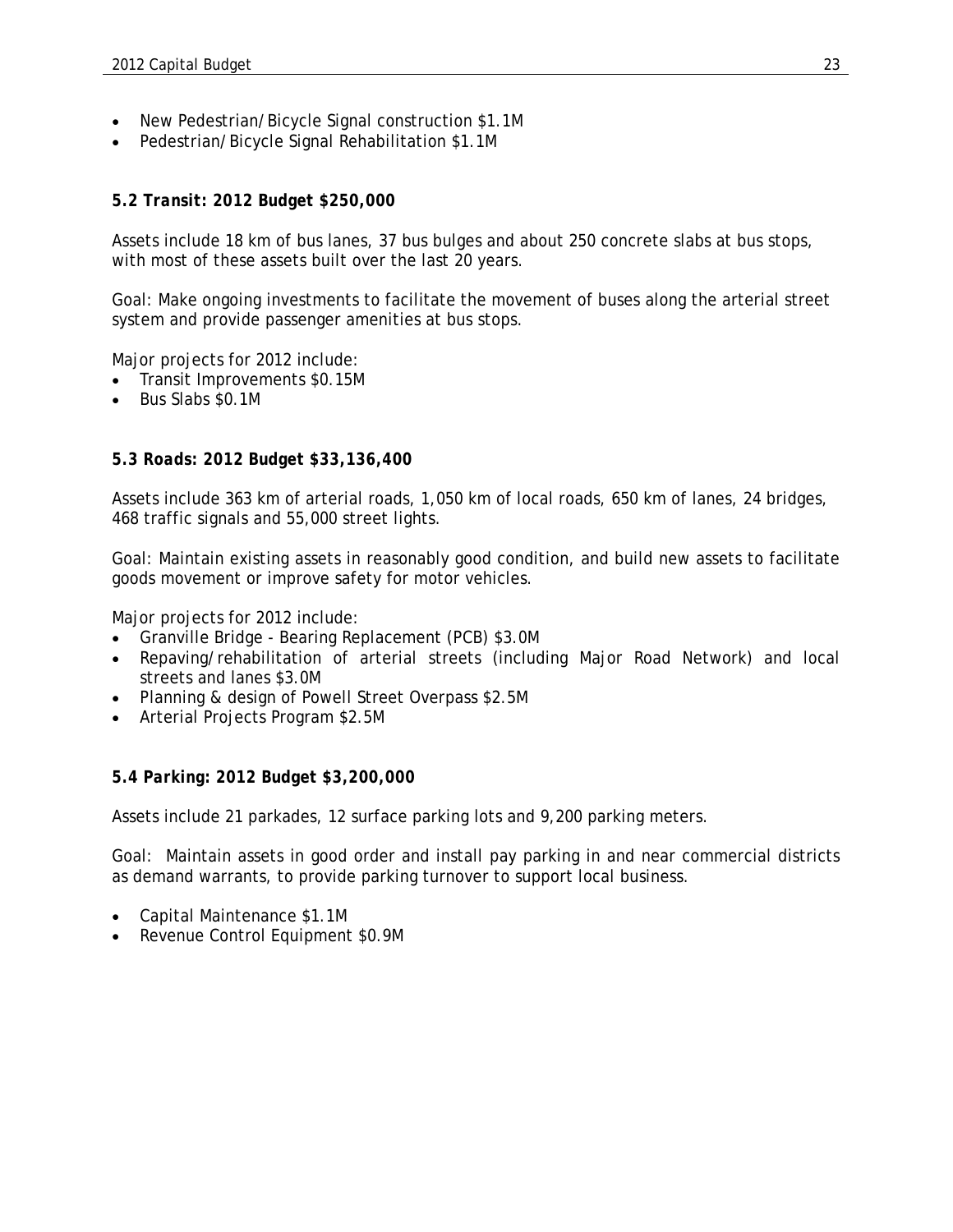- New Pedestrian/Bicycle Signal construction \$1.1M
- Pedestrian/Bicycle Signal Rehabilitation \$1.1M

#### *5.2 Transit: 2012 Budget \$250,000*

Assets include 18 km of bus lanes, 37 bus bulges and about 250 concrete slabs at bus stops, with most of these assets built over the last 20 years.

Goal: Make ongoing investments to facilitate the movement of buses along the arterial street system and provide passenger amenities at bus stops.

Major projects for 2012 include:

- Transit Improvements \$0.15M
- Bus Slabs \$0.1M

#### *5.3 Roads: 2012 Budget \$33,136,400*

Assets include 363 km of arterial roads, 1,050 km of local roads, 650 km of lanes, 24 bridges, 468 traffic signals and 55,000 street lights.

Goal: Maintain existing assets in reasonably good condition, and build new assets to facilitate goods movement or improve safety for motor vehicles.

Major projects for 2012 include:

- Granville Bridge Bearing Replacement (PCB) \$3.0M
- Repaving/rehabilitation of arterial streets (including Major Road Network) and local streets and lanes \$3.0M
- Planning & design of Powell Street Overpass \$2.5M
- Arterial Projects Program \$2.5M

#### *5.4 Parking: 2012 Budget \$3,200,000*

Assets include 21 parkades, 12 surface parking lots and 9,200 parking meters.

Goal: Maintain assets in good order and install pay parking in and near commercial districts as demand warrants, to provide parking turnover to support local business.

- Capital Maintenance \$1.1M
- Revenue Control Equipment \$0.9M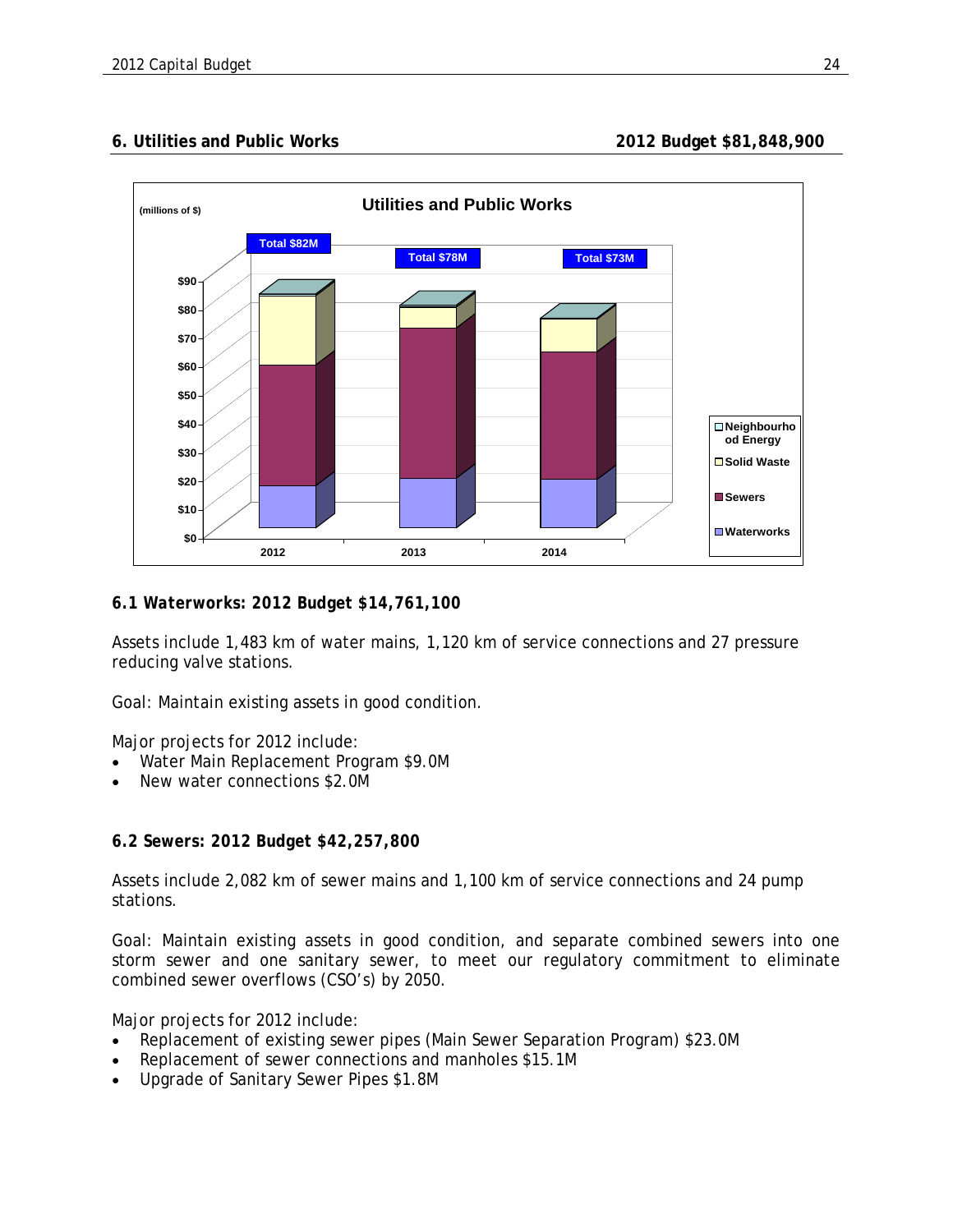## **6. Utilities and Public Works 2012 Budget \$81,848,900**



#### *6.1 Waterworks: 2012 Budget \$14,761,100*

Assets include 1,483 km of water mains, 1,120 km of service connections and 27 pressure reducing valve stations.

Goal: Maintain existing assets in good condition.

Major projects for 2012 include:

- Water Main Replacement Program \$9.0M
- New water connections \$2.0M

#### *6.2 Sewers: 2012 Budget \$42,257,800*

Assets include 2,082 km of sewer mains and 1,100 km of service connections and 24 pump stations.

Goal: Maintain existing assets in good condition, and separate combined sewers into one storm sewer and one sanitary sewer, to meet our regulatory commitment to eliminate combined sewer overflows (CSO's) by 2050.

Major projects for 2012 include:

- Replacement of existing sewer pipes (Main Sewer Separation Program) \$23.0M
- Replacement of sewer connections and manholes \$15.1M
- Upgrade of Sanitary Sewer Pipes \$1.8M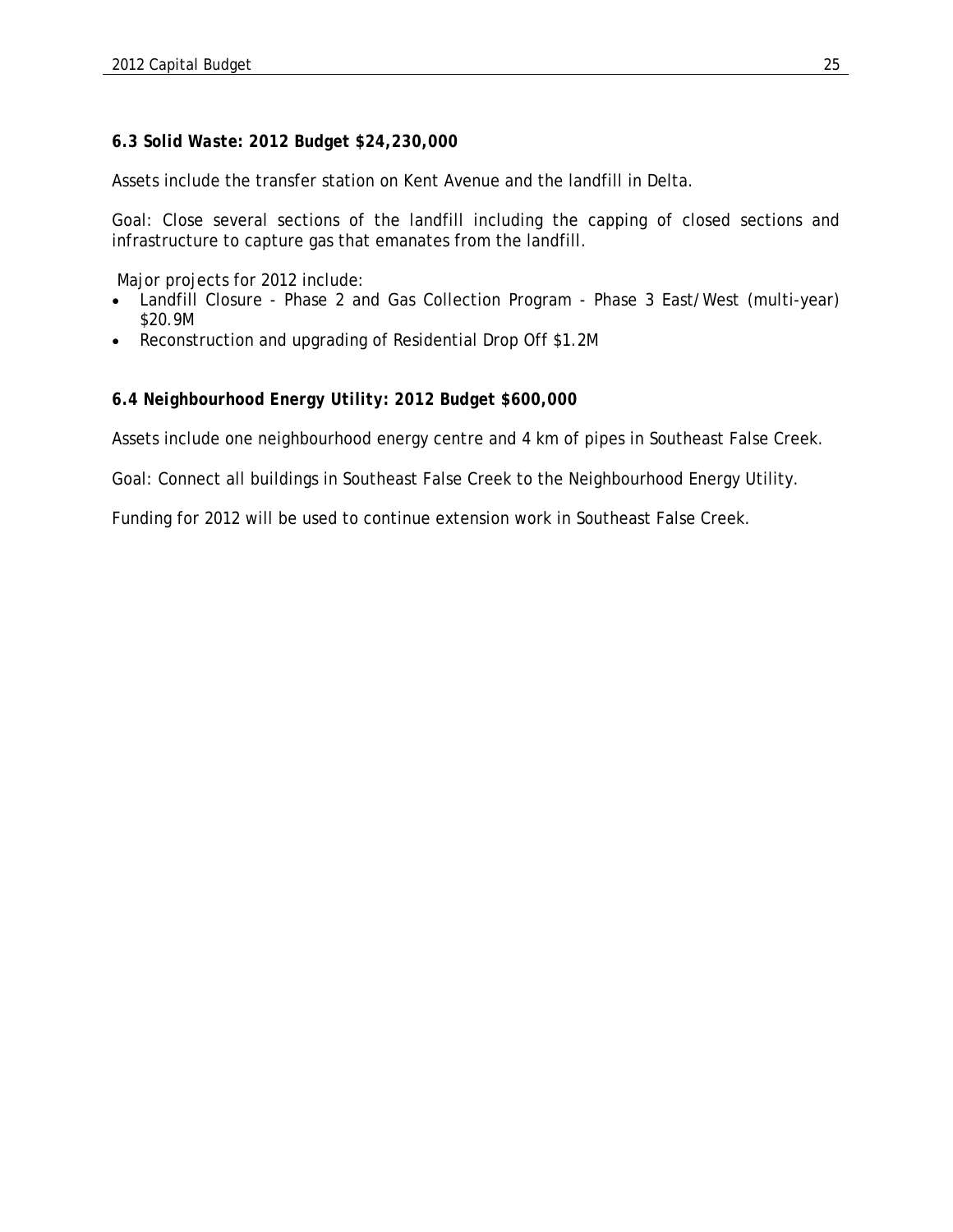## *6.3 Solid Waste: 2012 Budget \$24,230,000*

Assets include the transfer station on Kent Avenue and the landfill in Delta.

Goal: Close several sections of the landfill including the capping of closed sections and infrastructure to capture gas that emanates from the landfill.

Major projects for 2012 include:

- Landfill Closure Phase 2 and Gas Collection Program Phase 3 East/West (multi-year) \$20.9M
- Reconstruction and upgrading of Residential Drop Off \$1.2M

#### *6.4 Neighbourhood Energy Utility: 2012 Budget \$600,000*

Assets include one neighbourhood energy centre and 4 km of pipes in Southeast False Creek.

Goal: Connect all buildings in Southeast False Creek to the Neighbourhood Energy Utility.

Funding for 2012 will be used to continue extension work in Southeast False Creek.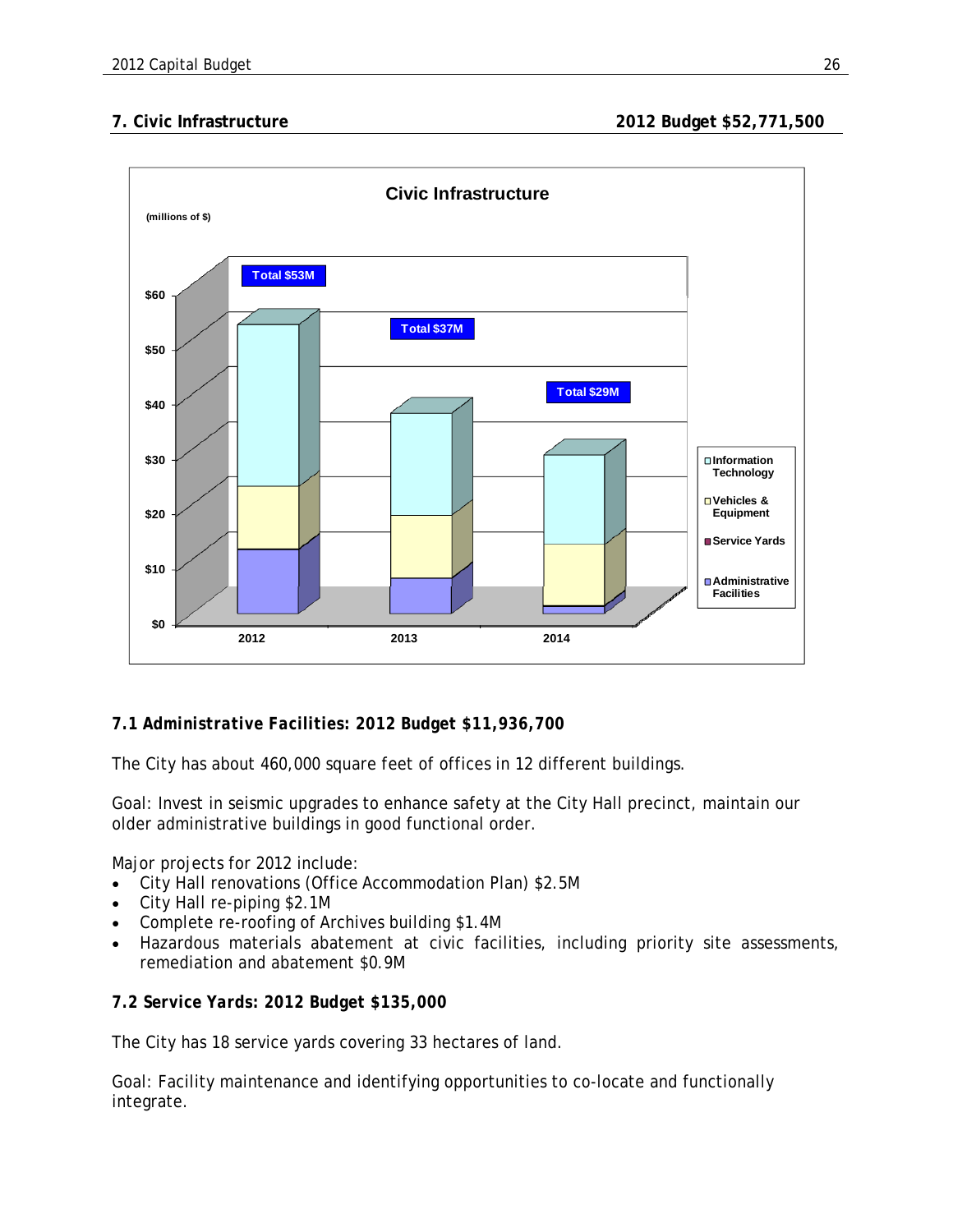**7. Civic Infrastructure 2012 Budget \$52,771,500** 



# *7.1 Administrative Facilities: 2012 Budget \$11,936,700*

The City has about 460,000 square feet of offices in 12 different buildings.

Goal: Invest in seismic upgrades to enhance safety at the City Hall precinct, maintain our older administrative buildings in good functional order.

Major projects for 2012 include:

- City Hall renovations (Office Accommodation Plan) \$2.5M
- City Hall re-piping \$2.1M
- Complete re-roofing of Archives building \$1.4M
- Hazardous materials abatement at civic facilities, including priority site assessments, remediation and abatement \$0.9M

#### *7.2 Service Yards: 2012 Budget \$135,000*

The City has 18 service yards covering 33 hectares of land.

Goal: Facility maintenance and identifying opportunities to co-locate and functionally integrate.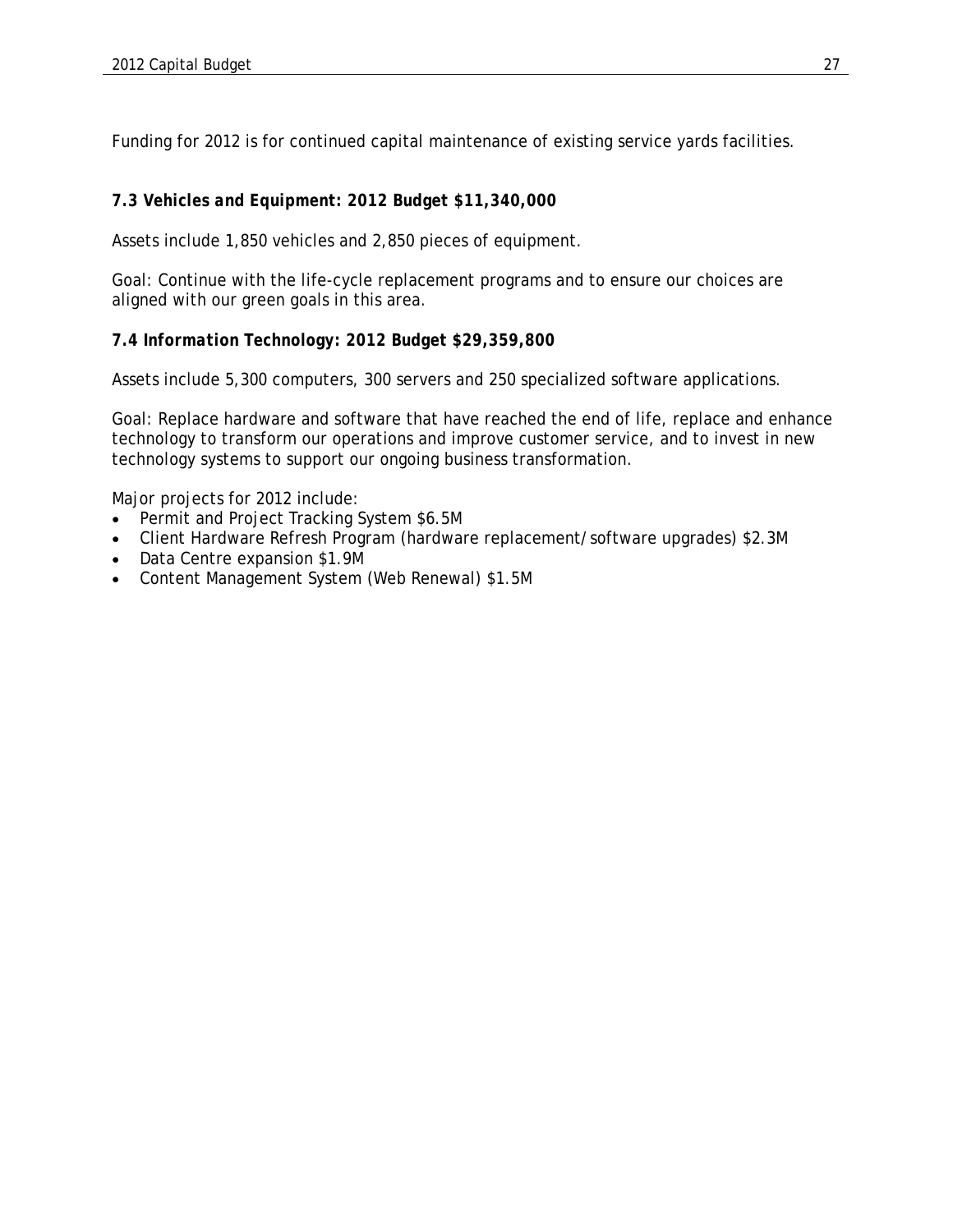Funding for 2012 is for continued capital maintenance of existing service yards facilities.

## *7.3 Vehicles and Equipment: 2012 Budget \$11,340,000*

Assets include 1,850 vehicles and 2,850 pieces of equipment.

Goal: Continue with the life-cycle replacement programs and to ensure our choices are aligned with our green goals in this area.

#### *7.4 Information Technology: 2012 Budget \$29,359,800*

Assets include 5,300 computers, 300 servers and 250 specialized software applications.

Goal: Replace hardware and software that have reached the end of life, replace and enhance technology to transform our operations and improve customer service, and to invest in new technology systems to support our ongoing business transformation.

Major projects for 2012 include:

- Permit and Project Tracking System \$6.5M
- Client Hardware Refresh Program (hardware replacement/software upgrades) \$2.3M
- Data Centre expansion \$1.9M
- Content Management System (Web Renewal) \$1.5M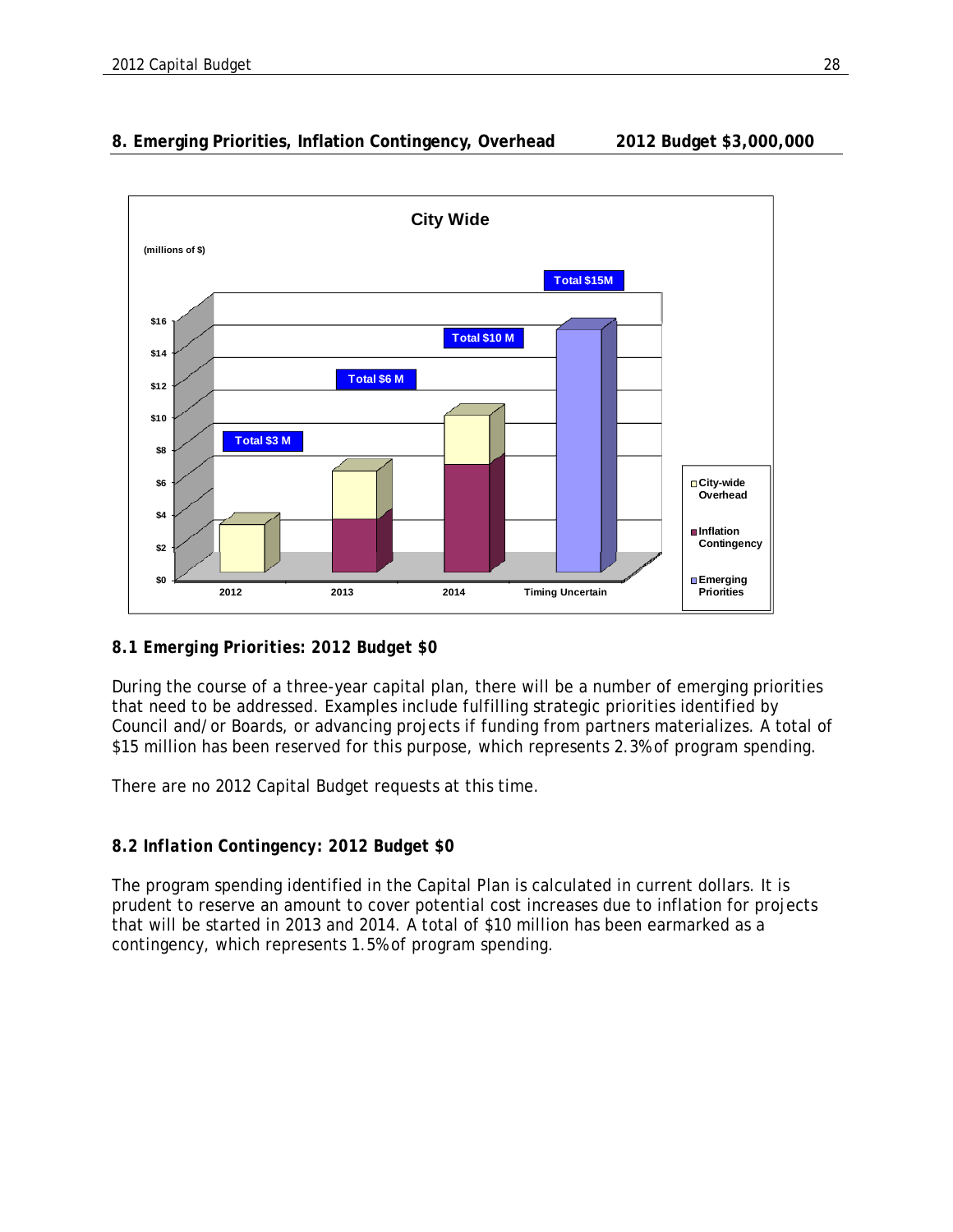# **8. Emerging Priorities, Inflation Contingency, Overhead 2012 Budget \$3,000,000**



# *8.1 Emerging Priorities: 2012 Budget \$0*

During the course of a three-year capital plan, there will be a number of emerging priorities that need to be addressed. Examples include fulfilling strategic priorities identified by Council and/or Boards, or advancing projects if funding from partners materializes. A total of \$15 million has been reserved for this purpose, which represents 2.3% of program spending.

There are no 2012 Capital Budget requests at this time.

# *8.2 Inflation Contingency: 2012 Budget \$0*

The program spending identified in the Capital Plan is calculated in current dollars. It is prudent to reserve an amount to cover potential cost increases due to inflation for projects that will be started in 2013 and 2014. A total of \$10 million has been earmarked as a contingency, which represents 1.5% of program spending.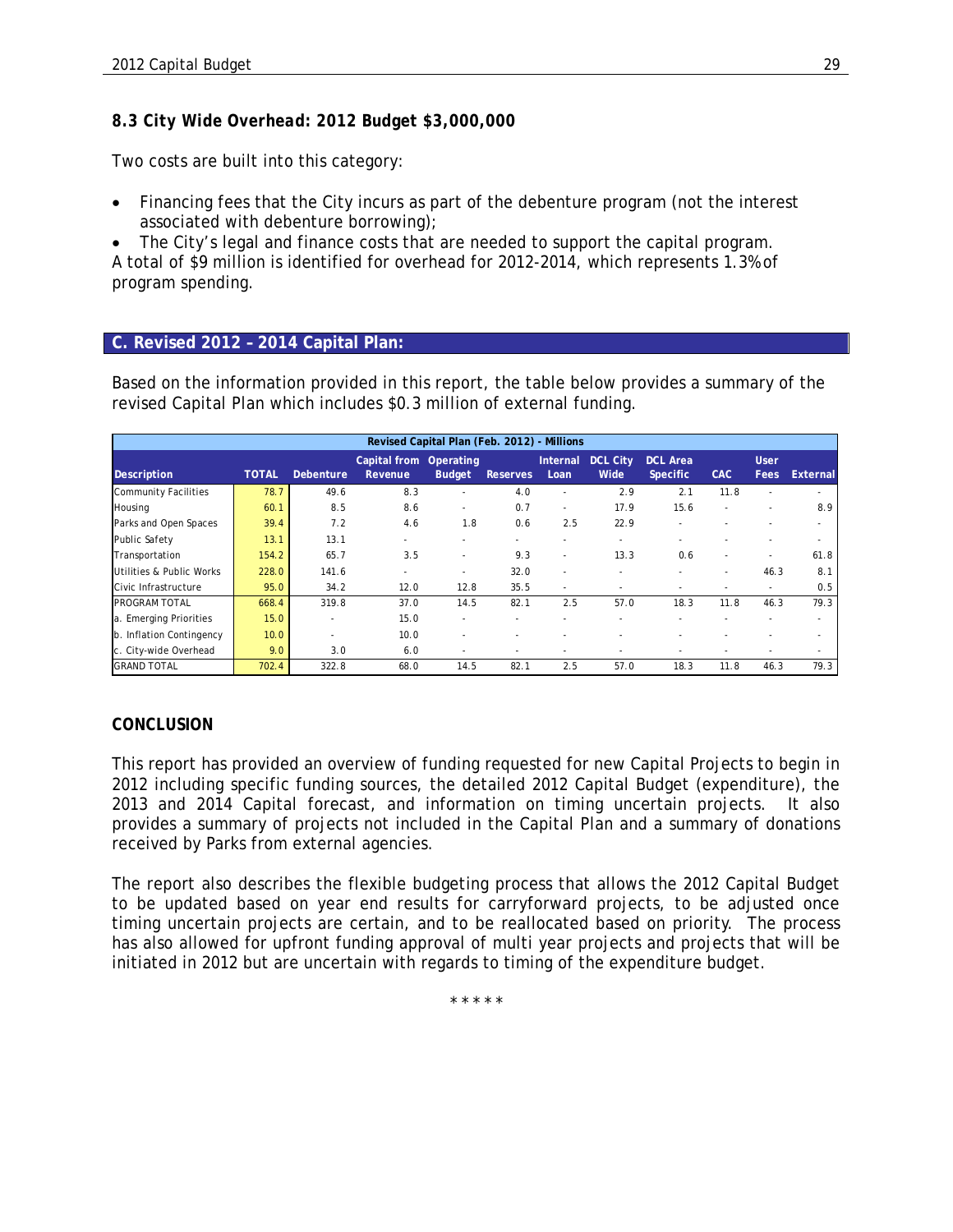## *8.3 City Wide Overhead: 2012 Budget \$3,000,000*

Two costs are built into this category:

• Financing fees that the City incurs as part of the debenture program (not the interest associated with debenture borrowing);

 The City's legal and finance costs that are needed to support the capital program. A total of \$9 million is identified for overhead for 2012-2014, which represents 1.3% of program spending.

#### **C. Revised 2012 – 2014 Capital Plan:**

Based on the information provided in this report, the table below provides a summary of the revised Capital Plan which includes \$0.3 million of external funding.

|                             |              |                  |                         | Revised Capital Plan (Feb. 2012) - Millions |                 |                          |                         |                                    |            |                     |          |
|-----------------------------|--------------|------------------|-------------------------|---------------------------------------------|-----------------|--------------------------|-------------------------|------------------------------------|------------|---------------------|----------|
| Description                 | <b>TOTAL</b> | <b>Debenture</b> | Capital from<br>Revenue | Operating<br><b>Budget</b>                  | <b>Reserves</b> | Internal<br>Loan         | <b>DCL City</b><br>Wide | <b>DCL Area</b><br><b>Specific</b> | <b>CAC</b> | <b>User</b><br>Fees | External |
| <b>Community Facilities</b> | 78.7         | 49.6             | 8.3                     | ٠                                           | 4.0             |                          | 2.9                     | 2.1                                | 11.8       |                     |          |
| Housing                     | 60.1         | 8.5              | 8.6                     | ٠                                           | 0.7             | ٠                        | 17.9                    | 15.6                               |            |                     | 8.9      |
| Parks and Open Spaces       | 39.4         | 7.2              | 4.6                     | 1.8                                         | 0.6             | 2.5                      | 22.9                    |                                    |            |                     |          |
| <b>Public Safety</b>        | 13.1         | 13.1             | ۰                       |                                             |                 |                          |                         |                                    |            |                     |          |
| Transportation              | 154.2        | 65.7             | 3.5                     | ٠                                           | 9.3             | ٠                        | 13.3                    | 0.6                                | ٠          |                     | 61.8     |
| Utilities & Public Works    | 228.0        | 141.6            | ÷,                      | ٠                                           | 32.0            | $\overline{\phantom{a}}$ |                         |                                    | ٠          | 46.3                | 8.1      |
| Civic Infrastructure        | 95.0         | 34.2             | 12.0                    | 12.8                                        | 35.5            | ٠                        | ٠                       | ٠                                  | ٠          | ٠                   | 0.5      |
| <b>PROGRAM TOTAL</b>        | 668.4        | 319.8            | 37.0                    | 14.5                                        | 82.1            | 2.5                      | 57.0                    | 18.3                               | 11.8       | 46.3                | 79.3     |
| a. Emerging Priorities      | 15.0         |                  | 15.0                    | ٠                                           |                 |                          |                         |                                    |            |                     |          |
| b. Inflation Contingency    | 10.0         | и.               | 10.0                    | ٠                                           |                 |                          |                         |                                    |            |                     |          |
| c. City-wide Overhead       | 9.0          | 3.0              | 6.0                     | ٠                                           |                 | $\overline{\phantom{a}}$ |                         |                                    | ۰          |                     |          |
| <b>GRAND TOTAL</b>          | 702.4        | 322.8            | 68.0                    | 14.5                                        | 82.1            | 2.5                      | 57.0                    | 18.3                               | 11.8       | 46.3                | 79.3     |

#### *CONCLUSION*

This report has provided an overview of funding requested for new Capital Projects to begin in 2012 including specific funding sources, the detailed 2012 Capital Budget (expenditure), the 2013 and 2014 Capital forecast, and information on timing uncertain projects. It also provides a summary of projects not included in the Capital Plan and a summary of donations received by Parks from external agencies.

The report also describes the flexible budgeting process that allows the 2012 Capital Budget to be updated based on year end results for carryforward projects, to be adjusted once timing uncertain projects are certain, and to be reallocated based on priority. The process has also allowed for upfront funding approval of multi year projects and projects that will be initiated in 2012 but are uncertain with regards to timing of the expenditure budget.

\* \* \* \* \*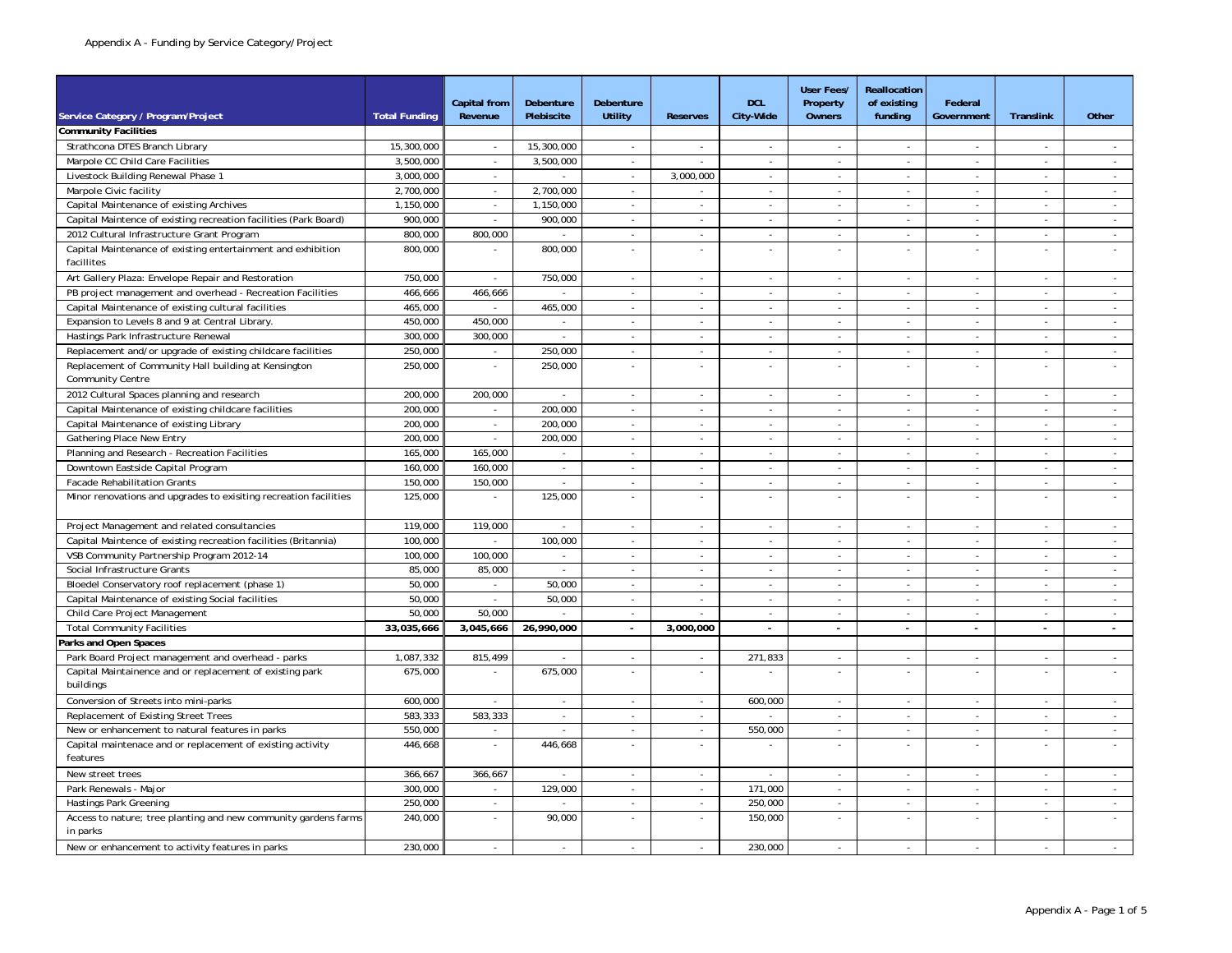|                                                                            |                      | <b>Capital from</b>                | Debenture                           | Debenture                                |                                          | <b>DCL</b>               | <b>User Fees/</b><br>Property | Reallocation<br>of existing | Federal                            |                          |                                    |
|----------------------------------------------------------------------------|----------------------|------------------------------------|-------------------------------------|------------------------------------------|------------------------------------------|--------------------------|-------------------------------|-----------------------------|------------------------------------|--------------------------|------------------------------------|
| Service Category / Program/Project                                         | <b>Total Funding</b> | Revenue                            | Plebiscite                          | Utility                                  | <b>Reserves</b>                          | City-Wide                | Owners                        | funding                     | Government                         | Translink                | Other                              |
| <b>Community Facilities</b>                                                |                      |                                    |                                     |                                          |                                          |                          |                               |                             |                                    |                          |                                    |
| Strathcona DTES Branch Library                                             | 15,300,000           | $\sim$                             | 15,300,000                          | $\omega$                                 | $\overline{\phantom{a}}$                 | $\sim$                   | $\sim$                        | $\blacksquare$              | $\sim$                             | $\sim$                   |                                    |
| Marpole CC Child Care Facilities                                           | 3,500,000            | $\sim$                             | 3,500,000                           | $\sim$                                   | $\overline{\phantom{a}}$                 | $\bar{z}$                | $\sim$                        | $\sim$                      | $\sim$                             | $\sim$                   | $\sim$                             |
| Livestock Building Renewal Phase 1                                         | 3,000,000            | $\sim$                             | $\sim$                              | $\sim$                                   | 3,000,000                                | $\mathbf{r}$             | $\sim$                        | $\sim$                      | $\sim$                             | $\sim$                   | $\sim$                             |
| Marpole Civic facility                                                     | 2,700,000            | $\overline{\phantom{a}}$           | 2,700,000                           | $\blacksquare$                           | $\overline{\phantom{a}}$                 | ÷,                       | $\sim$                        | $\blacksquare$              |                                    |                          | $\omega$                           |
| Capital Maintenance of existing Archives                                   | 1,150,000            | $\sim$                             | 1,150,000                           | $\omega$                                 | ÷                                        | $\sim$                   | $\sim$                        | $\sim$                      | $\sim$                             | $\sim$                   | $\sim$                             |
| Capital Maintence of existing recreation facilities (Park Board)           | 900,000              | $\sim$                             | 900,000                             | $\omega$                                 | $\overline{\phantom{a}}$                 | $\overline{\phantom{a}}$ | $\sim$                        | $\mathcal{L}_{\mathcal{A}}$ | $\overline{\phantom{a}}$           | $\overline{\phantom{a}}$ | $\sim$                             |
| 2012 Cultural Infrastructure Grant Program                                 | 800,000              | 800,000                            | $\sim$                              | $\mathbf{r}$                             | $\sim$                                   | $\mathbf{r}$             | $\sim$                        | $\omega$                    | $\sim$                             | $\sim$                   | $\sim$                             |
| Capital Maintenance of existing entertainment and exhibition               | 800,000              |                                    | 800,000                             | ×,                                       | $\sim$                                   |                          | $\sim$                        |                             | $\sim$                             |                          |                                    |
| facillites                                                                 |                      |                                    |                                     |                                          |                                          |                          |                               |                             |                                    |                          |                                    |
| Art Gallery Plaza: Envelope Repair and Restoration                         | 750,000              | ÷.                                 | 750,000                             | $\sim$                                   | $\sim$                                   | $\sim$                   | $\sim$                        | $\sim$                      | $\sim$                             | $\sim$                   | $\sim$                             |
| PB project management and overhead - Recreation Facilities                 | 466,666              | 466,666                            | $\sim$                              | $\omega$                                 | $\overline{\phantom{a}}$                 | $\sim$                   | $\sim$                        | $\sim$                      | $\sim$                             | $\sim$                   | $\sim$                             |
| Capital Maintenance of existing cultural facilities                        | 465,000              | ä,                                 | 465,000                             | $\omega$                                 | $\sim$                                   | $\overline{\phantom{a}}$ | $\sim$                        | $\omega$                    | $\overline{\phantom{a}}$           | $\overline{\phantom{a}}$ | $\sim$                             |
| Expansion to Levels 8 and 9 at Central Library                             | 450.000              | 450.000                            | $\sim$                              | $\sim$                                   | $\sim$                                   | $\blacksquare$           | $\sim$                        | $\sim$                      | $\sim$                             | $\sim$                   | $\sim$                             |
| Hastings Park Infrastructure Renewal                                       | 300,000              | 300,000                            | $\omega$                            | ä,                                       | $\blacksquare$                           | $\blacksquare$           | $\sim$                        | $\sim$                      | $\sim$                             |                          | $\mathcal{L}_{\mathcal{A}}$        |
| Replacement and/or upgrade of existing childcare facilities                | 250,000              | $\sim$                             | 250,000                             | $\omega$                                 | $\sim$                                   | $\sim$                   | $\mathcal{L}_{\mathcal{A}}$   | $\omega$                    | $\sim$                             | $\sim$                   | $\sim$                             |
| Replacement of Community Hall building at Kensington                       | 250,000              | $\overline{\phantom{a}}$           | 250,000                             | $\overline{\phantom{a}}$                 | ÷,                                       | ÷,                       | $\blacksquare$                |                             |                                    |                          |                                    |
| <b>Community Centre</b>                                                    |                      |                                    |                                     |                                          |                                          |                          |                               |                             |                                    |                          |                                    |
| 2012 Cultural Spaces planning and research                                 | 200,000              | 200,000                            | $\sim$                              | $\sim$                                   | $\sim$                                   | $\mathbf{r}$             | $\sim$                        | $\sim$                      | $\overline{\phantom{a}}$           | $\overline{\phantom{a}}$ | $\sim$                             |
| Capital Maintenance of existing childcare facilities                       | 200,000              |                                    | 200,000                             | ä,                                       | $\bar{a}$                                | ÷,                       | $\omega$                      | $\sim$                      |                                    |                          | $\omega$                           |
| Capital Maintenance of existing Library                                    | 200,000              | $\mathcal{L}_{\mathcal{A}}$        | 200,000                             | $\omega$                                 | $\sim$                                   | $\sim$                   | $\mathcal{L}_{\mathcal{A}}$   | $\omega$                    | $\overline{a}$                     | $\overline{a}$           | $\sim$                             |
| Gathering Place New Entry                                                  | 200,000              | $\omega$                           | 200,000                             | $\omega$                                 | $\overline{\phantom{a}}$                 | $\overline{\phantom{a}}$ | $\blacksquare$                | $\blacksquare$              | $\overline{\phantom{a}}$           | $\overline{\phantom{a}}$ | $\sim$                             |
| Planning and Research - Recreation Facilities                              | 165,000              | 165,000                            | $\sim$                              | $\sim$                                   | $\sim$                                   | $\sim$                   | $\sim$                        | $\sim$                      | $\sim$                             | $\overline{\phantom{a}}$ | $\sim$                             |
| Downtown Eastside Capital Program                                          | 160,000              | 160,000                            | $\sim$                              | $\overline{\phantom{a}}$                 | $\sim$                                   | $\sim$                   | $\sim$                        | $\sim$                      | $\overline{\phantom{a}}$           |                          | $\sim$                             |
| <b>Facade Rehabilitation Grants</b>                                        | 150,000              | 150,000                            | $\omega$                            | $\sim$                                   | $\mathbf{r}$                             | $\mathbf{r}$             | $\sim$                        | $\sim$                      | $\sim$                             |                          | $\sim$                             |
| Minor renovations and upgrades to exisiting recreation facilities          | 125,000              |                                    | 125,000                             | $\overline{\phantom{a}}$                 | ÷,                                       |                          | $\sim$                        |                             |                                    |                          |                                    |
|                                                                            |                      |                                    |                                     |                                          |                                          |                          |                               |                             |                                    |                          |                                    |
| Project Management and related consultancies                               | 119,000              | 119,000                            | $\sim$                              | $\sim$                                   | $\sim$                                   | $\sim$                   | $\sim$                        | $\sim$                      | $\sim$                             | $\sim$                   | $\sim$                             |
| Capital Maintence of existing recreation facilities (Britannia)            | 100,000              |                                    | 100,000                             | $\blacksquare$                           | $\sim$                                   | $\blacksquare$           | $\overline{\phantom{a}}$      | $\overline{\phantom{a}}$    | $\overline{\phantom{a}}$           |                          | $\omega$                           |
| VSB Community Partnership Program 2012-14                                  | 100.000              | 100,000                            |                                     | $\mathbf{r}$                             | ÷                                        | ÷                        | $\sim$                        | $\sim$                      | $\sim$                             |                          | $\sim$                             |
| Social Infrastructure Grants                                               | 85,000               | 85,000                             | $\sim$                              | $\sim$                                   | $\sim$                                   | $\sim$                   | $\sim$                        | $\sim$                      | $\sim$                             | $\sim$                   | $\sim$                             |
| Bloedel Conservatory roof replacement (phase 1)                            | 50,000               | $\sim$                             | 50,000                              | $\sim$                                   | $\sim$                                   | $\sim$                   | $\sim$                        | $\sim$                      | $\sim$                             | $\sim$                   | $\sim$                             |
| Capital Maintenance of existing Social facilities                          | 50,000               | $\omega$                           | 50,000                              | $\omega$                                 | $\sim$                                   | $\mathbf{r}$             | $\sim$                        | $\sim$                      | $\sim$                             | $\sim$                   | $\sim$                             |
| Child Care Project Management                                              | 50,000               | 50,000                             |                                     |                                          |                                          |                          |                               |                             |                                    |                          | $\omega$                           |
|                                                                            | 33,035,666           | 3,045,666                          | 26,990,000                          | $\sim$                                   | 3,000,000                                | $\blacksquare$           | $\mathbf{r}$                  | $\blacksquare$              | ÷.                                 | $\sim$                   | $\sim$                             |
| <b>Total Community Facilities</b>                                          |                      |                                    |                                     |                                          |                                          |                          |                               |                             |                                    |                          |                                    |
| arks and Open Spaces<br>Park Board Project management and overhead - parks | 1,087,332            | 815,499                            | $\sim$                              | $\blacksquare$                           |                                          | 271,833                  |                               | $\blacksquare$              | $\overline{\phantom{a}}$           | $\overline{\phantom{a}}$ | $\sim$                             |
|                                                                            | 675,000              | ÷,                                 |                                     | $\mathbf{r}$                             | $\overline{\phantom{a}}$<br>$\mathbf{r}$ |                          | $\sim$<br>$\sim$              | $\sim$                      | $\sim$                             |                          | $\sim$                             |
| Capital Maintainence and or replacement of existing park<br>buildings      |                      |                                    | 675,000                             |                                          |                                          |                          |                               |                             |                                    |                          |                                    |
| Conversion of Streets into mini-parks                                      | 600,000              | $\overline{a}$                     | $\sim$                              | $\sim$                                   | ÷                                        | 600,000                  | ÷.                            | $\sim$                      | $\sim$                             |                          | $\overline{a}$                     |
| Replacement of Existing Street Trees                                       | 583.333              | 583,333                            | $\overline{\phantom{a}}$            | $\sim$                                   | $\overline{\phantom{a}}$                 |                          | $\sim$                        | $\omega$                    | $\sim$                             | $\sim$                   | $\sim$                             |
| New or enhancement to natural features in parks                            | 550,000              |                                    |                                     |                                          |                                          | 550,000                  |                               |                             |                                    |                          |                                    |
| Capital maintenace and or replacement of existing activity                 | 446,668              | $\overline{\phantom{a}}$<br>$\sim$ | $\overline{\phantom{a}}$<br>446,668 | $\overline{\phantom{a}}$<br>$\mathbf{r}$ | $\sim$<br>$\mathbf{r}$                   | ÷,                       | $\sim$<br>$\sim$              | $\sim$<br>$\sim$            | $\overline{\phantom{a}}$<br>$\sim$ | $\overline{\phantom{a}}$ | $\overline{\phantom{a}}$<br>$\sim$ |
| features                                                                   |                      |                                    |                                     |                                          |                                          |                          |                               |                             |                                    |                          |                                    |
| New street trees                                                           | 366,667              | 366,667                            | $\mathcal{L}$                       | ä,                                       | $\sim$                                   | ÷,                       | $\mathcal{L}$                 | $\sim$                      | $\sim$                             |                          |                                    |
| Park Renewals - Major                                                      | 300,000              | $\sim$                             | 129.000                             | $\sim$                                   | $\sim$                                   | 171.000                  | $\mathcal{L}_{\mathcal{A}}$   | $\sim$                      | $\sim$                             | $\sim$                   | $\sim$                             |
| Hastings Park Greening                                                     | 250,000              | $\overline{\phantom{a}}$           | $\overline{\phantom{a}}$            | $\overline{\phantom{a}}$                 | $\overline{\phantom{a}}$                 | 250,000                  | $\overline{\phantom{a}}$      | $\overline{\phantom{a}}$    | $\sim$                             | $\overline{\phantom{a}}$ | $\sim$                             |
| Access to nature; tree planting and new community gardens farms            | 240,000              | $\omega$                           | 90,000                              | $\omega$                                 | $\overline{\phantom{a}}$                 | 150,000                  | $\sim$                        |                             | $\overline{\phantom{a}}$           |                          |                                    |
| in parks                                                                   |                      |                                    |                                     |                                          |                                          |                          |                               |                             |                                    |                          |                                    |
| New or enhancement to activity features in parks                           | 230,000              |                                    |                                     |                                          |                                          | 230,000                  |                               |                             |                                    |                          |                                    |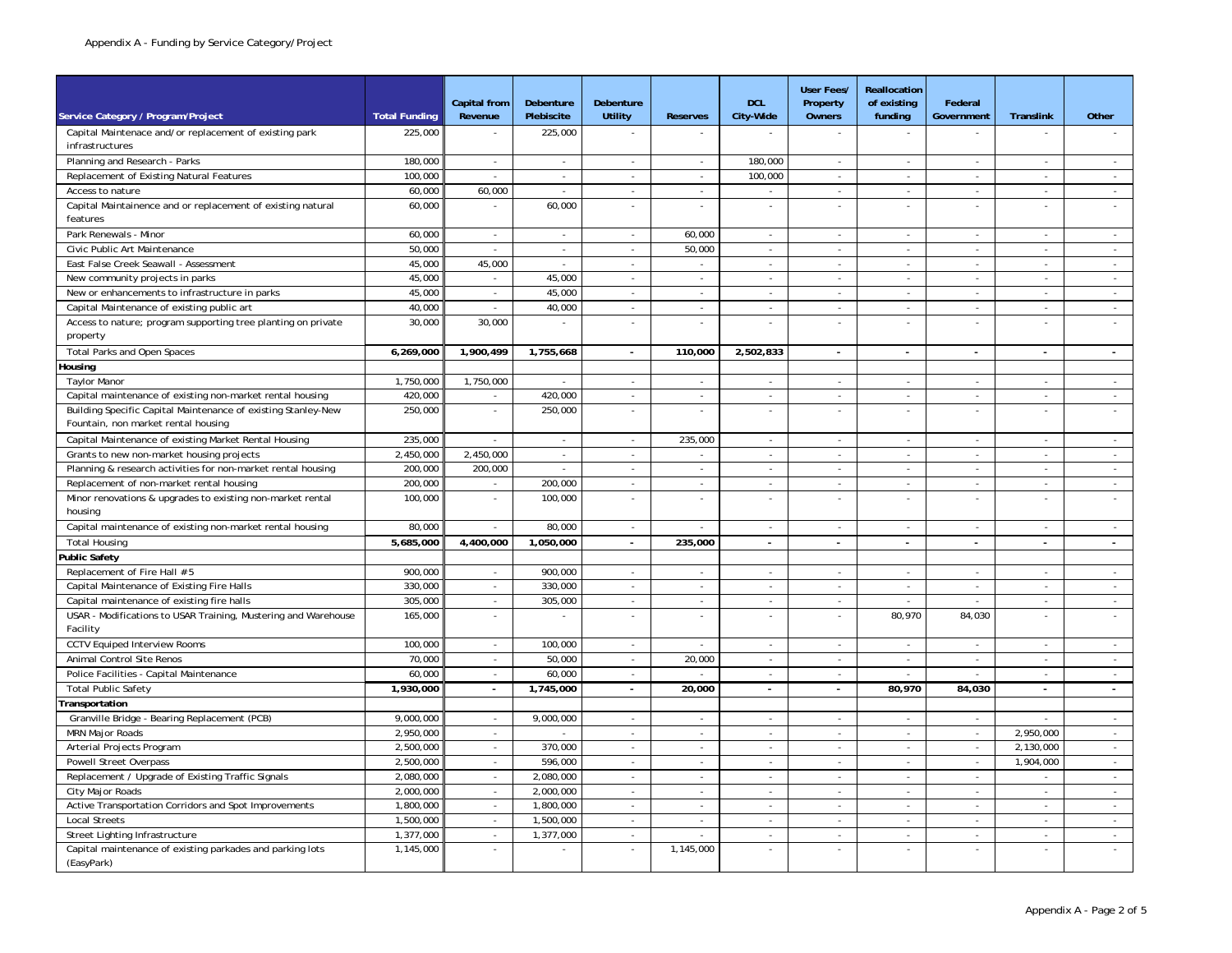|                                                                                                      |                      | <b>Capital from</b>      | Debenture                | Debenture                   |                          | <b>DCL</b>                  | <b>User Fees/</b><br>Property | Reallocation<br>of existing | Federal                     |                             |                |
|------------------------------------------------------------------------------------------------------|----------------------|--------------------------|--------------------------|-----------------------------|--------------------------|-----------------------------|-------------------------------|-----------------------------|-----------------------------|-----------------------------|----------------|
| Service Category / Program/Project                                                                   | <b>Total Funding</b> | Revenue                  | Plebiscite               | <b>Utility</b>              | <b>Reserves</b>          | City-Wide                   | <b>Owners</b>                 | funding                     | Government                  | Translink                   | Other          |
| Capital Maintenace and/or replacement of existing park<br>infrastructures                            | 225,000              |                          | 225,000                  |                             |                          |                             | $\omega$                      |                             |                             |                             |                |
| Planning and Research - Parks                                                                        | 180,000              | ä,                       |                          | ÷,                          | $\sim$                   | 180,000                     | $\overline{\phantom{a}}$      |                             | $\sim$                      |                             |                |
| Replacement of Existing Natural Features                                                             | 100,000              | ÷.                       | $\sim$                   | $\mathcal{L}_{\mathcal{A}}$ | $\sim$                   | 100,000                     | $\omega$                      | $\mathcal{L}_{\mathcal{A}}$ | $\mathcal{L}_{\mathcal{A}}$ | $\omega$                    | $\sim$         |
| Access to nature                                                                                     | 60,000               | 60,000                   | $\overline{\phantom{a}}$ | $\omega$                    | $\overline{\phantom{a}}$ | $\overline{\phantom{a}}$    | $\overline{\phantom{a}}$      | $\sim$                      | $\overline{\phantom{a}}$    | $\overline{\phantom{a}}$    | $\omega$       |
| Capital Maintainence and or replacement of existing natural<br>features                              | 60,000               | $\bar{\mathbf{z}}$       | 60,000                   | $\mathcal{L}$               | $\mathcal{L}$            | ÷,                          | $\mathcal{L}_{\mathcal{A}}$   | $\mathcal{L}$               | $\mathcal{L}$               | $\sim$                      | $\sim$         |
| Park Renewals - Minor                                                                                | 60.000               | $\sim$                   | $\sim$                   | $\sim$                      | 60.000                   | $\sim$                      | $\overline{\phantom{a}}$      | $\sim$                      | $\sim$                      | $\sim$                      | $\sim$         |
| Civic Public Art Maintenance                                                                         | 50,000               | ×.                       | $\sim$                   | $\sim$                      | 50,000                   | $\sim$                      | $\sim$                        | $\blacksquare$              | $\overline{\phantom{a}}$    | $\overline{\phantom{a}}$    | $\sim$         |
| East False Creek Seawall - Assessment                                                                | 45,000               | 45,000                   |                          | $\bar{a}$                   | $\sim$                   | $\overline{\phantom{a}}$    | $\mathbf{r}$                  | $\sim$                      | $\sim$                      | $\sim$                      | $\omega$       |
| New community projects in parks                                                                      | 45,000               | ÷.                       | 45,000                   | ÷.                          | ÷.                       | $\overline{a}$              | ÷                             | $\sim$                      | ÷.                          | ÷.                          | $\sim$         |
| New or enhancements to infrastructure in parks                                                       | 45,000               | $\sim$                   | 45,000                   | $\sim$                      | $\sim$                   | $\mathcal{L}_{\mathcal{A}}$ | $\sim$                        | $\mathcal{L}_{\mathcal{A}}$ | $\mathcal{L}_{\mathcal{A}}$ | $\mathcal{L}_{\mathcal{A}}$ | $\sim$         |
| Capital Maintenance of existing public art                                                           | 40,000               |                          | 40,000                   | $\sim$                      | $\sim$                   | $\sim$                      | $\sim$                        | $\sim$                      | $\sim$                      | $\overline{\phantom{a}}$    | $\sim$         |
| Access to nature; program supporting tree planting on private                                        | 30,000               | 30,000                   | ÷,                       | $\omega$                    | $\overline{\phantom{a}}$ | $\overline{\phantom{a}}$    | ä,                            | $\omega$                    | $\omega$                    | $\sim$                      | $\mathbb{Z}^2$ |
| property                                                                                             |                      |                          |                          |                             |                          |                             |                               |                             |                             |                             |                |
| <b>Total Parks and Open Spaces</b>                                                                   | 6,269,000            | 1,900,499                | 1,755,668                | $\sim$                      | 110,000                  | 2,502,833                   | $\blacksquare$                | $\sim$                      | ä,                          | $\sim$                      | $\sim$         |
| lousing                                                                                              |                      |                          |                          |                             |                          |                             |                               |                             |                             |                             |                |
| <b>Taylor Manor</b>                                                                                  | 1,750,000            | 1,750,000                |                          | ä,                          | $\omega$                 | $\bar{z}$                   | $\omega$                      | $\omega$                    | $\omega$                    | $\overline{\phantom{a}}$    | $\sim$         |
| Capital maintenance of existing non-market rental housing                                            | 420,000              |                          | 420,000                  | ÷.                          | $\mathcal{L}$            | $\sim$                      | ÷.                            | $\mathcal{L}$               | $\mathcal{L}$               | $\mathcal{L}$               | $\sim$         |
| Building Specific Capital Maintenance of existing Stanley-New<br>Fountain, non market rental housing | 250,000              | ÷,                       | 250,000                  | $\omega$                    | $\blacksquare$           | $\sim$                      | $\mathcal{L}_{\mathcal{A}}$   | $\mathcal{L}$               | $\omega$                    | $\overline{\phantom{a}}$    | $\omega$       |
| Capital Maintenance of existing Market Rental Housing                                                | 235,000              |                          | $\blacksquare$           | $\omega$                    | 235,000                  | $\overline{\phantom{a}}$    | $\omega$                      | $\overline{\phantom{a}}$    | $\omega$                    |                             | $\blacksquare$ |
| Grants to new non-market housing projects                                                            | 2.450.000            | 2.450.000                | $\mathcal{L}$            | $\mathcal{L}$               | $\sim$                   | $\sim$                      | $\omega$                      | $\mathcal{L}$               | $\sim$                      | $\sim$                      | $\sim$         |
| Planning & research activities for non-market rental housing                                         | 200,000              | 200,000                  | $\sim$                   | $\sim$                      | $\sim$                   | $\sim$                      | $\sim$                        | $\sim$                      | $\sim$                      | $\overline{\phantom{a}}$    | $\sim$         |
| Replacement of non-market rental housing                                                             | 200,000              | $\overline{\phantom{a}}$ | 200,000                  | $\sim$                      | $\overline{\phantom{a}}$ | $\overline{\phantom{a}}$    | $\sim$                        | $\sim$                      | $\overline{\phantom{a}}$    | $\sim$                      | $\sim$         |
| Minor renovations & upgrades to existing non-market rental<br>housing                                | 100,000              |                          | 100,000                  |                             | J.                       |                             | $\overline{\phantom{a}}$      |                             |                             |                             | $\mathbb{Z}^2$ |
| Capital maintenance of existing non-market rental housing                                            | 80,000               | $\sim$                   | 80,000                   | $\sim$                      | $\blacksquare$           | $\overline{\phantom{a}}$    | $\sim$                        | $\overline{\phantom{a}}$    | $\overline{\phantom{a}}$    | $\overline{\phantom{a}}$    | $\sim$         |
| <b>Total Housing</b>                                                                                 | 5,685,000            | 4,400,000                | 1,050,000                | $\sim$                      | 235,000                  | $\sim$                      | $\sim$                        | $\sim$                      | ÷.                          | $\sim$                      | $\sim$         |
| Public Safety                                                                                        |                      |                          |                          |                             |                          |                             |                               |                             |                             |                             |                |
| Replacement of Fire Hall # 5                                                                         | 900,000              | ÷.                       | 900,000                  | ÷.                          | ÷.                       | ÷.                          | $\sim$                        | ÷.                          | $\sim$                      | $\sim$                      | $\sim$         |
| Capital Maintenance of Existing Fire Halls                                                           | 330,000              | $\sim$                   | 330,000                  | $\omega$                    | $\omega$                 | $\sim$                      | $\sim$                        | $\mathcal{L}_{\mathcal{A}}$ | $\omega$                    | $\omega$                    | $\sim$         |
| Capital maintenance of existing fire halls                                                           | 305,000              | $\sim$                   | 305,000                  | $\sim$                      | $\sim$                   | $\sim$                      | $\sim$                        | $\sim$                      | $\sim$                      | $\sim$                      | $\sim$         |
| USAR - Modifications to USAR Training, Mustering and Warehouse<br>Facility                           | 165,000              |                          |                          |                             |                          |                             | $\mathcal{L}$                 | 80,970                      | 84,030                      |                             | ÷.             |
| <b>CCTV Equiped Interview Rooms</b>                                                                  | 100,000              | $\sim$                   | 100,000                  | $\omega$                    | $\overline{\phantom{a}}$ | $\sim$                      | $\sim$                        | $\blacksquare$              | $\omega$                    | $\overline{\phantom{a}}$    | $\sim$         |
| Animal Control Site Renos                                                                            | 70,000               | $\sim$                   | 50,000                   | $\omega$                    | 20,000                   | $\sim$                      | $\sim$                        | $\sim$                      | $\sim$                      | $\sim$                      | $\sim$         |
| Police Facilities - Capital Maintenance                                                              | 60,000               | ÷,                       | 60,000                   |                             |                          |                             | $\omega$                      |                             |                             |                             | $\omega$       |
| <b>Total Public Safety</b>                                                                           | 1,930,000            | $\sim$                   | 1,745,000                | $\mathbf{r}$                | 20,000                   | $\mathbf{r}$                | $\mathcal{L}$                 | 80,970                      | 84,030                      | ä,                          | $\sim$         |
| Transportation                                                                                       |                      |                          |                          |                             |                          |                             |                               |                             |                             |                             |                |
| Granville Bridge - Bearing Replacement (PCB)                                                         | 9.000.000            | $\sim$                   | 9,000,000                | $\sim$                      | $\sim$                   | $\mathbf{r}$                | $\sim$                        | $\sim$                      | $\sim$                      | $\sim$                      | $\sim$         |
| <b>MRN Major Roads</b>                                                                               | 2.950.000            | ÷,                       |                          | ä,                          | $\blacksquare$           | ä,                          | $\omega$                      | $\omega$                    | $\omega$                    | 2,950,000                   | $\omega$       |
| Arterial Projects Program                                                                            | 2,500,000            | $\sim$                   | 370,000                  | $\omega$                    | $\mathcal{L}$            | $\sim$                      | $\sim$                        | $\omega$                    | $\sim$                      | 2,130,000                   | $\sim$         |
| Powell Street Overpass                                                                               | 2,500,000            | $\sim$                   | 596,000                  | $\sim$                      | $\overline{\phantom{a}}$ | $\overline{\phantom{a}}$    | $\sim$                        | $\sim$                      | $\sim$                      | 1,904,000                   | $\sim$         |
| Replacement / Upgrade of Existing Traffic Signals                                                    | 2,080,000            | $\sim$                   | 2,080,000                | $\omega$                    | $\omega$                 | $\sim$                      | $\sim$                        | $\omega$                    | $\sim$                      | $\sim$                      | $\sim$         |
| City Major Roads                                                                                     | 2,000,000            | $\omega$                 | 2,000,000                | $\omega$                    | $\mathcal{L}$            | ÷.                          | $\omega$                      | $\omega$                    | $\mathcal{L}$               | $\mathcal{L}$               | $\mathbb{Z}^2$ |
| Active Transportation Corridors and Spot Improvements                                                | 1,800,000            | $\omega$                 | 1,800,000                | $\sim$                      | $\mathcal{L}$            | $\sim$                      | $\sim$                        | $\sim$                      | $\sim$                      | $\mathcal{L}$               | $\sim$         |
| <b>Local Streets</b>                                                                                 | 1,500,000            | $\sim$                   | 1,500,000                | $\sim$                      | $\overline{\phantom{a}}$ | $\blacksquare$              | $\blacksquare$                | $\blacksquare$              | $\sim$                      | $\overline{\phantom{a}}$    | $\sim$         |
| Street Lighting Infrastructure                                                                       | 1.377.000            | $\sim$                   | 1,377,000                | $\omega$                    | $\mathbf{r}$             | $\sim$                      | $\sim$                        | $\omega$                    | $\blacksquare$              | $\overline{\phantom{a}}$    | $\omega$       |
| Capital maintenance of existing parkades and parking lots<br>(EasyPark)                              | 1,145,000            |                          |                          | $\mathcal{L}$               | 1,145,000                |                             | $\sim$                        |                             |                             |                             |                |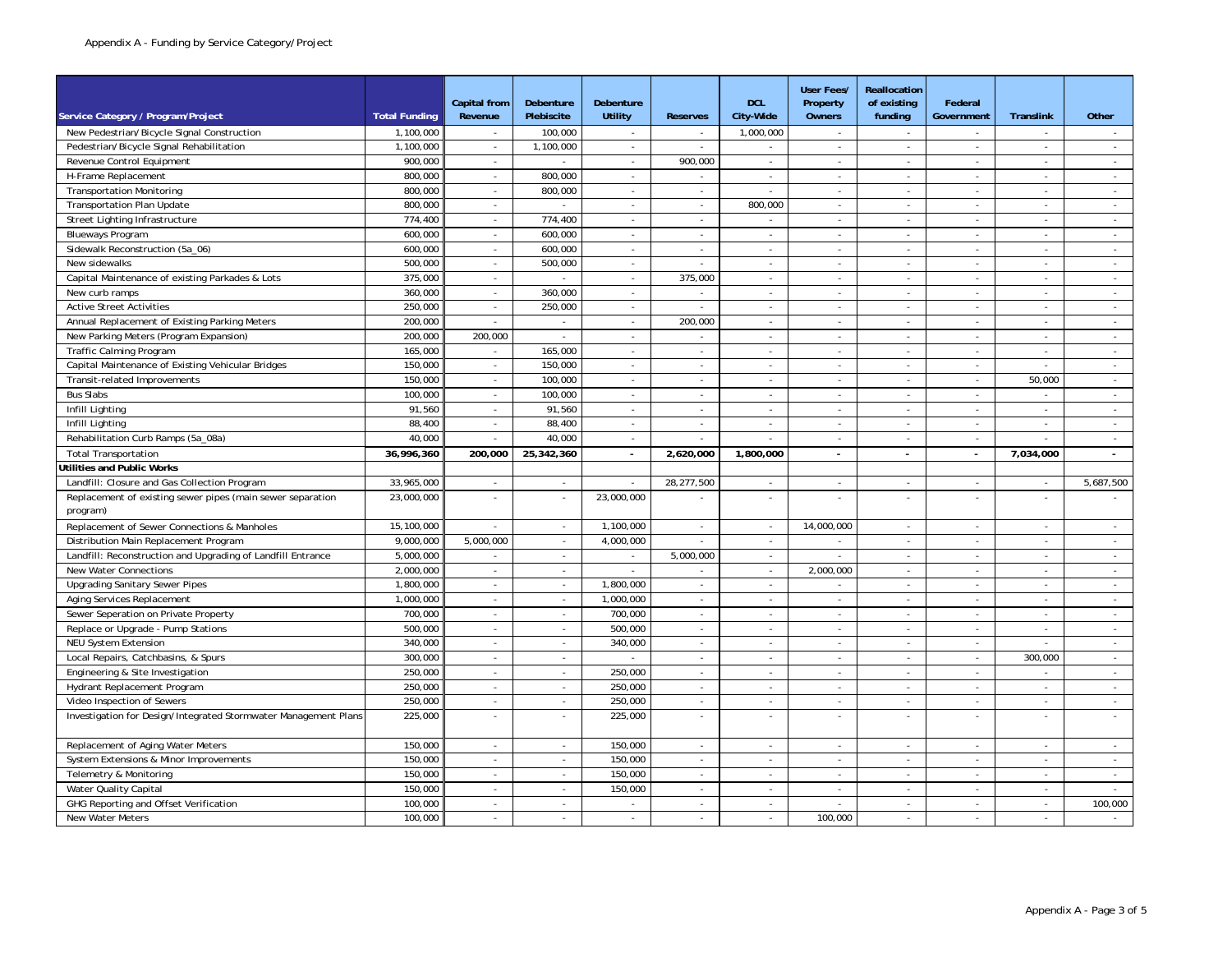|                                                                 |                      | <b>Capital from</b>      | <b>Debenture</b>         | Debenture                   |                          | <b>DCL</b>                  | <b>User Fees/</b><br>Property | Reallocation<br>of existing | Federal                  |                             |                          |
|-----------------------------------------------------------------|----------------------|--------------------------|--------------------------|-----------------------------|--------------------------|-----------------------------|-------------------------------|-----------------------------|--------------------------|-----------------------------|--------------------------|
| Service Category / Program/Project                              | <b>Total Funding</b> | Revenue                  | Plebiscite               | <b>Utility</b>              | <b>Reserves</b>          | City-Wide                   | <b>Owners</b>                 | funding                     | Government               | <b>Translink</b>            | Other                    |
| New Pedestrian/Bicycle Signal Construction                      | 1,100,000            | $\sim$                   | 100,000                  | $\sim$                      | $\sim$                   | 1,000,000                   | $\sim$                        | $\sim$                      | $\sim$                   | $\overline{a}$              | $\sim$                   |
| Pedestrian/Bicycle Signal Rehabilitation                        | 1,100,000            | $\sim$                   | 1,100,000                | $\sim$                      | $\sim$                   | $\sim$                      | $\sim$                        | $\sim$                      | $\sim$                   | $\sim$                      | $\sim$                   |
| Revenue Control Equipment                                       | 900.000              | $\sim$                   |                          | $\sim$                      | 900.000                  | $\sim$                      | $\sim$                        |                             |                          | $\overline{\phantom{a}}$    | $\omega$                 |
| H-Frame Replacement                                             | 800,000              | ä,                       | 800,000                  | $\sim$                      |                          |                             | $\overline{\phantom{a}}$      | $\overline{\phantom{a}}$    | $\overline{\phantom{a}}$ |                             | ä,                       |
| <b>Transportation Monitoring</b>                                | 800,000              | $\sim$                   | 800,000                  | $\blacksquare$              | $\overline{\phantom{a}}$ |                             | $\sim$                        | $\sim$                      | $\sim$                   |                             | $\sim$                   |
| <b>Transportation Plan Update</b>                               | 800,000              | $\sim$                   | $\sim$                   | $\sim$                      | $\sim$                   | 800.000                     | $\sim$                        | $\sim$                      | $\sim$                   | $\sim$                      | $\sim$                   |
| Street Lighting Infrastructure                                  | 774.400              | $\omega$                 | 774.400                  | $\mathcal{L}^{\mathcal{L}}$ | $\mathcal{L}$            | $\mathcal{L}$               | $\omega$                      | $\sim$                      | $\mathcal{L}$            | $\mathcal{L}$               | $\sim$                   |
| <b>Blueways Program</b>                                         | 600,000              | $\omega$                 | 600,000                  | $\sim$                      | $\omega$                 | $\omega$                    | $\overline{\phantom{a}}$      | $\overline{\phantom{a}}$    | $\sim$                   | $\sim$                      | $\sim$                   |
| Sidewalk Reconstruction (5a_06)                                 | 600,000              | $\blacksquare$           | 600,000                  | $\sim$                      | $\blacksquare$           | $\blacksquare$              | $\sim$                        | $\sim$                      | $\overline{\phantom{a}}$ | $\overline{\phantom{a}}$    | $\sim$                   |
| New sidewalks                                                   | 500,000              | $\overline{\phantom{a}}$ | 500,000                  | $\sim$                      | $\overline{\phantom{a}}$ | $\overline{\phantom{a}}$    | $\sim$                        | $\sim$                      | $\sim$                   | $\overline{\phantom{a}}$    | $\sim$                   |
| Capital Maintenance of existing Parkades & Lots                 | 375,000              | $\sim$                   | $\mathbf{r}$             | $\sim$                      | 375,000                  | $\sim$                      | $\sim$                        | $\sim$                      | $\sim$                   | $\sim$                      | $\sim$                   |
| New curb ramps                                                  | 360.000              | ÷,                       | 360,000                  | $\sim$                      | $\sim$                   | $\sim$                      | $\sim$                        |                             |                          |                             | $\omega$                 |
| <b>Active Street Activities</b>                                 | 250,000              | ä,                       | 250,000                  | $\omega$                    | $\omega$                 | $\omega$                    | $\overline{\phantom{a}}$      | $\overline{\phantom{a}}$    | $\sim$                   | $\bar{z}$                   | $\sim$                   |
| Annual Replacement of Existing Parking Meters                   | 200,000              |                          |                          | ×                           | 200,000                  |                             |                               |                             |                          |                             | $\overline{\phantom{a}}$ |
| New Parking Meters (Program Expansion)                          | 200,000              | 200,000                  | $\omega$                 | $\omega$                    | ÷.                       | $\sim$                      | $\sim$                        | $\sim$                      | $\sim$                   | $\sim$                      | $\sim$                   |
| Traffic Calming Program                                         | 165,000              | $\sim$                   | 165,000                  | $\sim$                      | $\sim$                   | $\sim$                      | $\sim$                        | $\sim$                      | $\sim$                   | $\sim$                      | $\sim$                   |
| Capital Maintenance of Existing Vehicular Bridges               | 150,000              | $\omega$                 | 150,000                  | $\mathcal{L}$               | $\sim$                   | $\sim$                      | $\sim$                        | $\omega$                    | $\sim$                   | $\sim$                      | $\sim$                   |
| Transit-related Improvements                                    | 150,000              | $\sim$                   | 100,000                  | $\sim$                      | $\sim$                   | $\mathcal{L}_{\mathcal{A}}$ | $\sim$                        | $\sim$                      | $\sim$                   | 50,000                      | $\sim$                   |
| <b>Bus Slabs</b>                                                | 100,000              | $\sim$                   | 100,000                  | $\sim$                      | $\overline{\phantom{a}}$ | $\blacksquare$              | $\sim$                        | $\sim$                      | $\overline{\phantom{a}}$ | $\sim$                      | $\sim$                   |
| Infill Lighting                                                 | 91,560               | $\sim$                   | 91,560                   | $\sim$                      | $\sim$                   | $\sim$                      | $\sim$                        | $\sim$                      | $\sim$                   | $\sim$                      | $\sim$                   |
| Infill Lighting                                                 | 88,400               | $\sim$                   | 88,400                   | $\sim$                      | $\sim$                   | $\sim$                      | $\sim$                        | $\sim$                      | $\sim$                   | $\sim$                      | $\sim$                   |
| Rehabilitation Curb Ramps (5a 08a)                              | 40.000               | $\sim$                   | 40.000                   | $\sim$                      | $\sim$                   |                             | $\overline{\phantom{a}}$      | $\sim$                      | $\sim$                   |                             | $\sim$                   |
| <b>Total Transportation</b>                                     | 36,996,360           | 200,000                  | 25,342,360               | $\sim$                      | 2,620,000                | 1,800,000                   |                               |                             | $\overline{\phantom{a}}$ | 7,034,000                   |                          |
| <b>Jtilities and Public Works</b>                               |                      |                          |                          |                             |                          |                             |                               |                             |                          |                             |                          |
| Landfill: Closure and Gas Collection Program                    | 33,965,000           | ÷,                       | $\blacksquare$           | $\overline{\phantom{a}}$    | 28,277,500               |                             | $\overline{\phantom{a}}$      | $\overline{\phantom{a}}$    |                          |                             | 5,687,500                |
| Replacement of existing sewer pipes (main sewer separation      | 23,000,000           | $\overline{a}$           | $\sim$                   | 23,000,000                  |                          | ÷.                          | $\sim$                        | $\sim$                      |                          |                             |                          |
| program)                                                        |                      |                          |                          |                             |                          |                             |                               |                             |                          |                             |                          |
| Replacement of Sewer Connections & Manholes                     | 15,100,000           | $\mathcal{L}$            | $\sim$                   | 1,100,000                   | $\sim$                   | $\sim$                      | 14,000,000                    | $\sim$                      | $\sim$                   | $\sim$                      | $\sim$                   |
| Distribution Main Replacement Program                           | 9,000,000            | 5,000,000                | $\omega$                 | 4,000,000                   | $\omega$                 | $\omega$                    | $\overline{\phantom{a}}$      | $\mathcal{L}_{\mathcal{A}}$ | $\blacksquare$           | $\blacksquare$              | $\sim$                   |
| Landfill: Reconstruction and Upgrading of Landfill Entrance     | 5,000,000            | $\blacksquare$           | $\overline{\phantom{a}}$ | $\blacksquare$              | 5,000,000                | $\overline{\phantom{a}}$    | $\overline{\phantom{a}}$      | $\sim$                      | $\overline{\phantom{a}}$ | $\overline{\phantom{a}}$    | $\sim$                   |
| New Water Connections                                           | 2,000,000            | $\sim$                   | $\sim$                   | $\sim$                      | $\sim$                   | $\sim$                      | 2,000,000                     | $\sim$                      | $\sim$                   | $\sim$                      | $\sim$                   |
| <b>Upgrading Sanitary Sewer Pipes</b>                           | 1,800,000            | $\sim$                   | $\sim$                   | 1,800,000                   | $\sim$                   | $\sim$                      | $\sim$                        | $\sim$                      | $\sim$                   | $\sim$                      | $\sim$                   |
| Aging Services Replacement                                      | 1,000,000            | $\omega$                 | $\omega$                 | 1,000,000                   | $\omega$                 | $\blacksquare$              | $\overline{\phantom{a}}$      | $\sim$                      | $\blacksquare$           | $\mathcal{L}_{\mathcal{A}}$ | $\omega$                 |
| Sewer Seperation on Private Property                            | 700,000              |                          |                          | 700,000                     |                          |                             |                               |                             |                          |                             | $\sim$                   |
| Replace or Upgrade - Pump Stations                              | 500,000              | $\overline{\phantom{a}}$ | $\blacksquare$           | 500,000                     | $\blacksquare$           | $\blacksquare$              | $\sim$                        | $\overline{\phantom{a}}$    | $\sim$                   |                             | $\overline{\phantom{a}}$ |
| <b>NEU System Extension</b>                                     | 340,000              | $\sim$                   | $\sim$                   | 340,000                     | $\sim$                   | $\sim$                      | $\sim$                        | $\sim$                      | $\sim$                   |                             | $\sim$                   |
| Local Repairs, Catchbasins, & Spurs                             | 300,000              | $\mathcal{L}$            | $\sim$                   | ÷.                          | $\sim$                   | $\sim$                      | $\omega$                      | $\omega$                    | $\mathcal{L}$            | 300,000                     | $\sim$                   |
| Engineering & Site Investigation                                | 250,000              | $\omega$                 | $\omega$                 | 250.000                     | $\sim$                   | $\sim$                      | $\sim$                        | $\sim$                      | $\sim$                   | $\sim$                      | $\sim$                   |
| Hydrant Replacement Program                                     | 250,000              | $\bar{z}$                | $\omega$                 | 250,000                     | $\blacksquare$           | $\omega$                    | $\overline{\phantom{a}}$      | $\overline{\phantom{a}}$    | $\overline{\phantom{a}}$ | $\overline{\phantom{a}}$    | $\overline{\phantom{a}}$ |
| Video Inspection of Sewers                                      | 250,000              | $\sim$                   | $\sim$                   | 250,000                     | $\sim$                   | $\overline{\phantom{a}}$    | $\sim$                        | $\sim$                      | $\sim$                   | $\sim$                      | $\sim$                   |
| Investigation for Design/Integrated Stormwater Management Plans | 225,000              | $\sim$                   | $\sim$                   | 225,000                     | $\sim$                   | $\sim$                      | $\sim$                        |                             |                          | $\sim$                      | $\sim$                   |
| Replacement of Aging Water Meters                               | 150,000              | $\sim$                   | $\mathbf{r}$             | 150.000                     | $\blacksquare$           | $\sim$                      | $\sim$                        | $\sim$                      | $\sim$                   | $\sim$                      | $\overline{\phantom{a}}$ |
| System Extensions & Minor Improvements                          | 150,000              | $\overline{\phantom{a}}$ | $\blacksquare$           | 150,000                     | $\overline{\phantom{a}}$ |                             | $\overline{\phantom{a}}$      | $\overline{\phantom{a}}$    |                          |                             |                          |
| Telemetry & Monitoring                                          | 150,000              | $\sim$                   | $\blacksquare$           | 150,000                     | $\blacksquare$           | $\blacksquare$              | $\sim$                        | $\overline{\phantom{a}}$    | $\sim$                   |                             | $\sim$                   |
| Water Quality Capital                                           | 150,000              | $\sim$                   | $\sim$                   | 150,000                     | $\sim$                   | $\sim$                      | $\sim$                        | $\sim$                      | $\sim$                   | $\sim$                      | $\sim$                   |
| GHG Reporting and Offset Verification                           | 100,000              | ÷.                       | $\omega$                 | ÷.                          | $\mathcal{L}$            | $\mathcal{L}$               | $\sim$                        | $\overline{a}$              | $\sim$                   | $\overline{\phantom{a}}$    | 100,000                  |
| New Water Meters                                                | 100,000              | $\mathbf{r}$             | $\mathbf{r}$             | $\sim$                      | $\sim$                   | $\sim$                      | 100.000                       | $\sim$                      | $\sim$                   | $\sim$                      | $\sim$                   |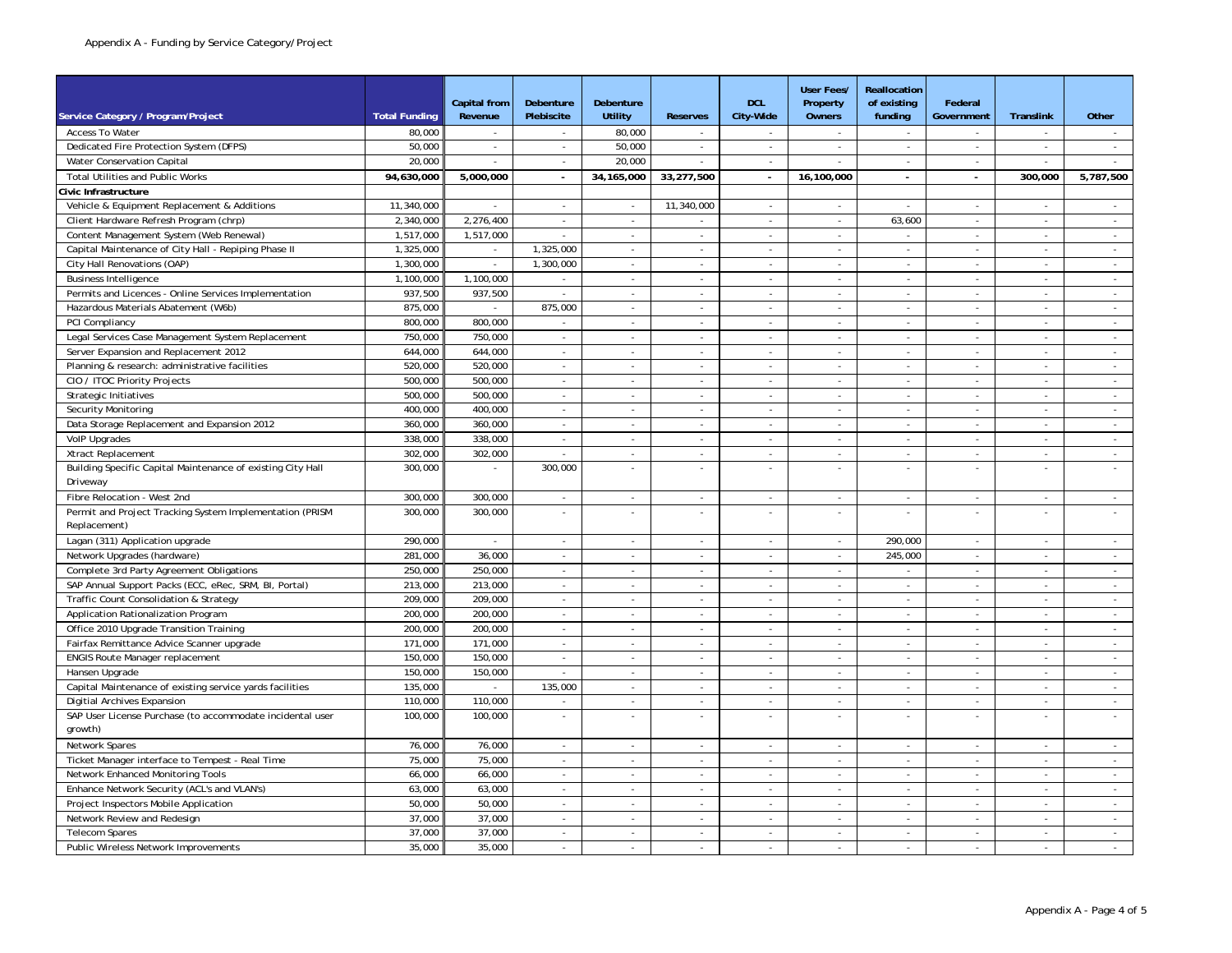|                                                                                       |                      |                                |                             |                          |                                    |                             | <b>User Fees/</b>         | Reallocation             |                                    |                                |                             |
|---------------------------------------------------------------------------------------|----------------------|--------------------------------|-----------------------------|--------------------------|------------------------------------|-----------------------------|---------------------------|--------------------------|------------------------------------|--------------------------------|-----------------------------|
| Service Category / Program/Project                                                    | <b>Total Funding</b> | <b>Capital from</b><br>Revenue | Debenture<br>Plebiscite     | Debenture<br>Utility     | <b>Reserves</b>                    | <b>DCL</b><br>City-Wide     | Property<br><b>Owners</b> | of existing<br>fundina   | Federal<br>Government              | Translink                      | Other                       |
| Access To Water                                                                       | 80,000               |                                |                             | 80,000                   |                                    |                             |                           |                          | $\sim$                             |                                |                             |
| Dedicated Fire Protection System (DFPS)                                               | 50,000               | $\sim$                         | $\sim$                      | 50,000                   | $\mathcal{L}_{\mathcal{A}}$        | $\mathcal{L}_{\mathcal{A}}$ | $\omega$                  | $\omega$                 | $\mathcal{L}_{\mathcal{A}}$        | $\blacksquare$                 | $\sim$                      |
| Water Conservation Capital                                                            | 20,000               | $\sim$                         | $\sim$                      | 20,000                   | ä,                                 | $\omega$                    | $\omega$                  | $\omega$                 | $\omega$                           | $\omega$                       | $\omega$                    |
| Total Utilities and Public Works                                                      | 94,630,000           | 5,000,000                      | $\sim$                      | 34, 165, 000             | 33,277,500                         | $\epsilon$                  | 16,100,000                | ÷.                       | ÷.                                 | 300,000                        | 5,787,500                   |
| ivic Infrastructure                                                                   |                      |                                |                             |                          |                                    |                             |                           |                          |                                    |                                |                             |
| Vehicle & Equipment Replacement & Additions                                           | 11,340,000           |                                | $\omega$                    |                          | 11,340,000                         | ÷,                          | $\blacksquare$            |                          |                                    |                                | $\mathcal{L}$               |
| Client Hardware Refresh Program (chrp)                                                | 2,340,000            | 2,276,400                      | $\sim$                      | $\sim$                   |                                    | ÷.                          | $\omega$                  | 63,600                   | $\omega$                           | $\mathcal{L}$                  | $\sim$                      |
| Content Management System (Web Renewal)                                               | 1,517,000            | 1,517,000                      | $\blacksquare$              | $\overline{\phantom{a}}$ | $\omega$                           | $\omega$                    | $\sim$                    | $\blacksquare$           | $\omega$                           | $\blacksquare$                 | $\sim$                      |
| Capital Maintenance of City Hall - Repiping Phase II                                  | 1,325,000            | $\sim$                         | 1,325,000                   | $\sim$                   |                                    | $\sim$                      | $\sim$                    | $\sim$                   | $\sim$                             | $\sim$                         | $\sim$                      |
| City Hall Renovations (OAP)                                                           | 1.300.000            | $\sim$                         | 1,300,000                   | $\sim$                   | $\overline{\phantom{a}}$<br>$\sim$ | $\overline{\phantom{a}}$    | $\omega$                  | $\mathbf{r}$             | $\sim$                             | $\sim$                         | $\omega$                    |
|                                                                                       | 1,100,000            | 1,100,000                      | $\overline{\phantom{a}}$    | $\sim$                   | ÷.                                 | $\overline{\phantom{a}}$    | ÷                         | $\mathbf{r}$             | $\sim$                             | $\sim$                         | $\sim$                      |
| <b>Business Intelligence</b><br>Permits and Licences - Online Services Implementation | 937,500              | 937,500                        | $\mathcal{L}_{\mathcal{A}}$ | $\omega$                 | $\mathcal{L}$                      | $\mathcal{L}$               | $\omega$                  | $\omega$                 | $\mathcal{L}$                      | $\mathcal{L}$                  | $\sim$                      |
| Hazardous Materials Abatement (W6b)                                                   | 875,000              |                                | 875,000                     |                          |                                    |                             |                           |                          |                                    |                                |                             |
|                                                                                       | 800,000              | ä,<br>800,000                  |                             | $\omega$                 | $\overline{\phantom{a}}$           | $\blacksquare$              | $\sim$                    | $\omega$                 | $\overline{\phantom{a}}$           | $\overline{\phantom{a}}$       | $\sim$                      |
| PCI Compliancy                                                                        |                      |                                | $\sim$                      | ä,                       | $\sim$                             | ÷,                          | $\sim$                    | ÷                        | $\sim$                             | $\overline{\phantom{a}}$       | $\sim$                      |
| Legal Services Case Management System Replacement                                     | 750,000              | 750,000                        | $\blacksquare$              | ä,                       | ä,                                 | ÷,                          | $\overline{\phantom{a}}$  | $\mathbf{r}$             | $\sim$                             | $\sim$                         | $\omega$                    |
| Server Expansion and Replacement 2012                                                 | 644,000              | 644,000                        | $\sim$                      | $\sim$                   | ÷.                                 | $\mathcal{L}$               | $\sim$                    | ÷.                       | $\sim$                             | $\sim$                         | $\sim$                      |
| Planning & research: administrative facilities                                        | 520,000              | 520,000                        | $\sim$                      | $\blacksquare$           | $\overline{\phantom{a}}$           | $\omega$                    | $\sim$                    | $\overline{\phantom{a}}$ | $\overline{\phantom{a}}$           | $\omega$                       | $\sim$                      |
| CIO / ITOC Priority Projects                                                          | 500,000              | 500,000                        | $\sim$                      | $\sim$                   | $\overline{\phantom{a}}$           | $\sim$                      | $\sim$                    | $\sim$                   | $\sim$                             | $\overline{\phantom{a}}$       | $\sim$                      |
| <b>Strategic Initiatives</b>                                                          | 500.000              | 500.000                        | $\overline{\phantom{a}}$    | ä,                       | $\sim$                             | $\sim$                      | $\blacksquare$            | ÷                        | $\sim$                             | $\sim$                         | $\omega$                    |
| Security Monitoring                                                                   | 400,000              | 400,000                        | $\omega$                    | $\sim$                   | ä,                                 | ÷,                          | ×.                        | $\mathbf{r}$             | $\sim$                             | $\sim$                         | $\omega$                    |
| Data Storage Replacement and Expansion 2012                                           | 360,000              | 360,000                        | $\sim$                      | $\sim$                   | $\overline{a}$                     | $\mathcal{L}$               | $\sim$                    | $\mathcal{L}$            | ÷.                                 | $\mathcal{L}$                  | $\sim$                      |
| <b>VolP Upgrades</b>                                                                  | 338,000              | 338,000                        | $\sim$                      | $\omega$                 | $\omega$                           | $\omega$                    | $\overline{\phantom{a}}$  | $\omega$                 | $\omega$                           | $\omega$                       | $\sim$                      |
| Xtract Replacement                                                                    | 302,000              | 302,000                        | $\sim$                      | $\sim$                   | $\overline{\phantom{a}}$           | $\blacksquare$              | $\sim$                    | $\sim$                   | $\sim$                             | $\sim$                         | $\sim$                      |
| Building Specific Capital Maintenance of existing City Hall<br>Driveway               | 300,000              | ÷.                             | 300,000                     | ÷,                       | ä,                                 |                             | $\sim$                    |                          | $\sim$                             |                                |                             |
|                                                                                       |                      |                                |                             |                          |                                    |                             |                           |                          |                                    |                                |                             |
| Fibre Relocation - West 2nd                                                           | 300,000              | 300,000                        | $\sim$                      | $\sim$<br>÷,             | $\sim$                             | $\sim$                      | $\sim$                    | $\mathbf{r}$             | $\sim$                             | $\sim$                         | $\sim$<br>$\mathcal{L}$     |
| Permit and Project Tracking System Implementation (PRISM<br>Replacement)              | 300,000              | 300,000                        | ä,                          |                          | ÷,                                 | ÷.                          | $\sim$                    | $\sim$                   |                                    |                                |                             |
|                                                                                       | 290,000              |                                |                             |                          |                                    |                             |                           | 290,000                  |                                    |                                |                             |
| Lagan (311) Application upgrade                                                       | 281,000              | 36,000                         | $\omega$<br>÷.              | ÷,<br>÷,                 | $\overline{\phantom{a}}$<br>L.     | ä,<br>÷.                    | $\omega$<br>$\sim$        | 245,000                  | $\overline{\phantom{a}}$<br>$\sim$ | $\overline{\phantom{a}}$<br>÷. | $\blacksquare$<br>$\sim$    |
| Network Upgrades (hardware)                                                           | 250.000              | 250.000                        |                             |                          |                                    |                             |                           |                          |                                    |                                |                             |
| Complete 3rd Party Agreement Obligations                                              |                      |                                | $\sim$                      | $\sim$                   | $\sim$                             | $\sim$                      | $\sim$                    | $\mathbf{r}$             | $\sim$                             | $\blacksquare$                 | $\sim$                      |
| SAP Annual Support Packs (ECC, eRec, SRM, BI, Portal)                                 | 213,000              | 213,000                        | $\sim$                      | $\overline{\phantom{a}}$ | $\overline{\phantom{a}}$           | $\blacksquare$              | $\overline{\phantom{a}}$  | $\sim$                   | $\overline{\phantom{a}}$           | $\overline{\phantom{a}}$       | $\sim$                      |
| Traffic Count Consolidation & Strategy                                                | 209,000              | 209,000                        | $\omega$                    | $\mathcal{L}$            | $\sim$                             | $\mathbf{r}$                | $\sim$                    | $\sim$                   | $\sim$                             | $\sim$                         | $\sim$                      |
| Application Rationalization Program                                                   | 200,000              | 200,000                        | $\mathbf{r}$                | ÷,                       | ÷,                                 | ÷,                          | $\sim$                    | $\overline{\phantom{a}}$ | ×                                  |                                | $\mathcal{L}_{\mathcal{A}}$ |
| Office 2010 Upgrade Transition Training                                               | 200,000              | 200,000                        | $\mathbf{r}$                | $\mathbf{r}$             | $\sim$                             | $\overline{a}$              | $\mathbf{r}$              | ÷.                       | $\sim$                             | $\sim$                         | $\sim$                      |
| Fairfax Remittance Advice Scanner upgrade                                             | 171,000              | 171,000                        | $\sim$                      | $\sim$                   | $\mathcal{L}$                      | $\mathcal{L}$               | $\sim$                    | ÷.                       | $\sim$                             | $\sim$                         | $\sim$                      |
| <b>ENGIS Route Manager replacement</b>                                                | 150,000              | 150,000                        | $\sim$                      | $\overline{\phantom{a}}$ | $\overline{\phantom{a}}$           | $\blacksquare$              | $\sim$                    | $\blacksquare$           | $\overline{\phantom{a}}$           | $\overline{\phantom{a}}$       | $\sim$                      |
| Hansen Upgrade                                                                        | 150,000              | 150,000                        | $\sim$                      | $\blacksquare$           | $\blacksquare$                     | $\blacksquare$              | $\sim$                    | $\blacksquare$           | $\overline{\phantom{a}}$           | $\overline{\phantom{a}}$       | $\sim$                      |
| Capital Maintenance of existing service yards facilities                              | 135,000              |                                | 135,000                     | $\sim$                   | ä,                                 | $\overline{\phantom{a}}$    | $\mathbf{r}$              | $\mathbf{r}$             | ×                                  | $\sim$                         | $\sim$                      |
| Digitial Archives Expansion                                                           | 110,000              | 110,000                        | ÷.                          | $\mathcal{L}$            | $\sim$                             | ä,                          | $\mathbf{r}$              | $\mathbf{r}$             | $\sim$                             | $\sim$                         | $\sim$                      |
| SAP User License Purchase (to accommodate incidental user                             | 100,000              | 100,000                        | $\omega$                    | $\sim$                   | ÷,                                 | ä,                          | $\omega$                  | $\mathbf{r}$             | $\sim$                             | $\bar{z}$                      | $\mathbb{Z}^2$              |
| growth)                                                                               |                      |                                |                             |                          |                                    |                             |                           |                          |                                    |                                |                             |
| Network Spares                                                                        | 76,000               | 76,000                         | $\sim$                      | $\omega$                 | $\omega$                           | $\blacksquare$              | $\sim$                    | $\blacksquare$           | $\overline{\phantom{a}}$           | $\overline{\phantom{a}}$       | $\sim$                      |
| Ticket Manager interface to Tempest - Real Time                                       | 75,000               | 75,000                         | $\omega$                    | $\blacksquare$           | ÷,                                 | ÷,                          | $\blacksquare$            | $\blacksquare$           | $\overline{\phantom{a}}$           |                                | $\sim$                      |
| Network Enhanced Monitoring Tools                                                     | 66,000               | 66,000                         | $\omega$                    | $\sim$                   | $\sim$                             | ä,                          | $\sim$                    | $\mathbf{r}$             | $\sim$                             | $\sim$                         | $\sim$                      |
| Enhance Network Security (ACL's and VLAN's)                                           | 63,000               | 63,000                         | $\sim$                      | $\sim$                   | $\sim$                             | $\omega$                    | $\sim$                    | $\sim$                   | $\sim$                             | $\sim$                         | $\sim$                      |
| Project Inspectors Mobile Application                                                 | 50,000               | 50,000                         | $\sim$                      | $\sim$                   | $\overline{\phantom{a}}$           | $\overline{\phantom{a}}$    | $\sim$                    | ÷                        | $\sim$                             | $\overline{\phantom{a}}$       | $\mathcal{L}$               |
| Network Review and Redesign                                                           | 37,000               | 37,000                         | $\sim$                      | $\omega$                 | $\sim$                             | $\mathbf{r}$                | $\sim$                    | $\sim$                   | $\sim$                             | $\omega$                       | $\sim$                      |
| <b>Telecom Spares</b>                                                                 | 37,000               | 37,000                         | ä,                          | $\sim$                   | ÷                                  | $\sim$                      | $\sim$                    | $\sim$                   | $\sim$                             | ÷.                             | $\mathbb{Z}^2$              |
| Public Wireless Network Improvements                                                  | 35,000               | 35,000                         | $\sim$                      | $\sim$                   | ä,                                 | $\mathcal{L}$               | ÷.                        | $\mathcal{L}$            | $\mathcal{L}$                      | $\mathcal{L}$                  | $\mathcal{L}$               |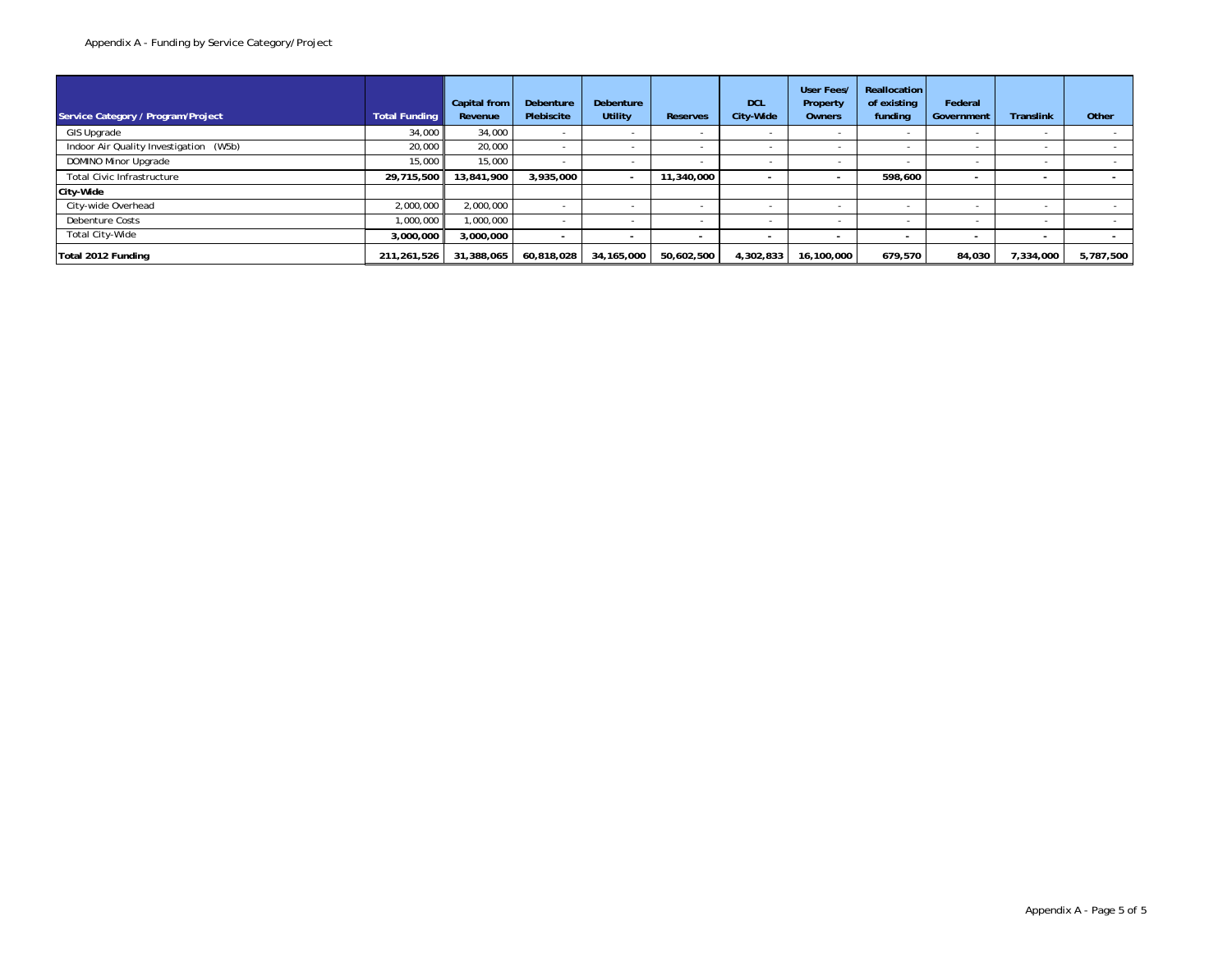| Service Category / Program/Project     | <b>Total Funding</b> | Capital from<br>Revenue | Debenture<br>Plebiscite | <b>Debenture</b><br>Utility | <b>Reserves</b>          | <b>DCL</b><br>City-Wide | User Fees/<br>Property<br>Owners | Reallocation<br>of existing<br>funding | Federal<br>Government | <b>Translink</b> | Other     |
|----------------------------------------|----------------------|-------------------------|-------------------------|-----------------------------|--------------------------|-------------------------|----------------------------------|----------------------------------------|-----------------------|------------------|-----------|
| GIS Upgrade                            | 34,000               | 34,000                  |                         |                             |                          |                         |                                  |                                        |                       |                  |           |
| Indoor Air Quality Investigation (W5b) | 20,000               | 20,000                  |                         |                             |                          |                         |                                  |                                        |                       |                  |           |
| DOMINO Minor Upgrade                   | 15,000               | 15,000                  |                         |                             |                          |                         |                                  |                                        |                       |                  |           |
| <b>Total Civic Infrastructure</b>      | 29,715,500           | 13,841,900              | 3,935,000               |                             | 11,340,000               |                         | $\overline{\phantom{0}}$         | 598,600                                |                       |                  |           |
| City-Wide                              |                      |                         |                         |                             |                          |                         |                                  |                                        |                       |                  |           |
| City-wide Overhead                     | 2,000,000            | 2,000,000               |                         |                             |                          |                         |                                  |                                        |                       |                  |           |
| Debenture Costs                        | 1.000.000            | 1,000,000               |                         |                             |                          |                         |                                  |                                        |                       |                  |           |
| Total City-Wide                        | 3,000,000            | 3,000,000               |                         |                             | $\overline{\phantom{a}}$ |                         | $\overline{\phantom{a}}$         |                                        |                       |                  |           |
| Total 2012 Funding                     | 211, 261, 526        | 31,388,065              | 60,818,028              | 34.165.000                  | 50,602,500               | 1,302,833               | 16,100,000                       | 679,570                                | 84,030                | 7,334,000        | 5,787,500 |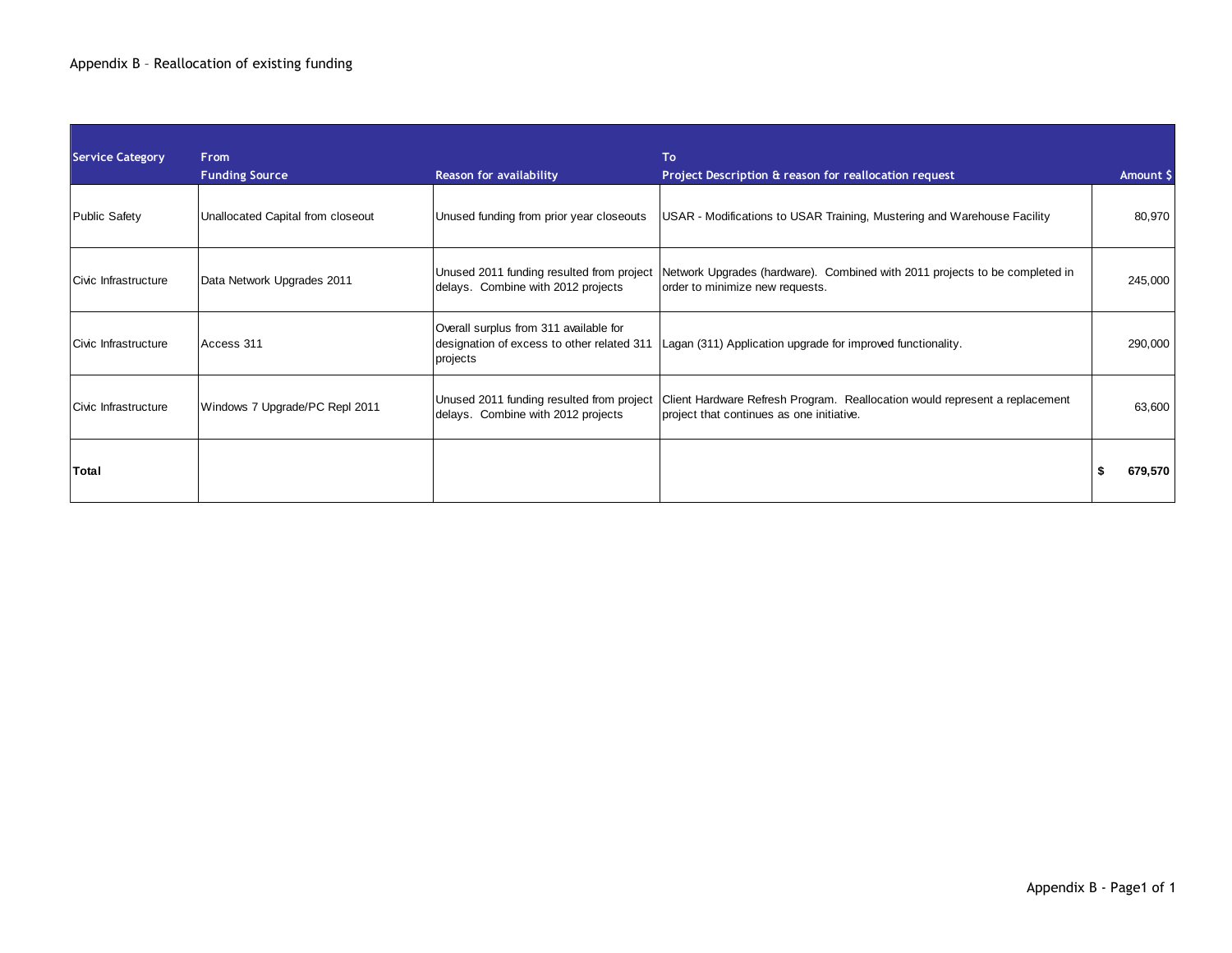| <b>Service Category</b> | <b>From</b>                       |                                                                                                  | To                                                                                                                       |           |
|-------------------------|-----------------------------------|--------------------------------------------------------------------------------------------------|--------------------------------------------------------------------------------------------------------------------------|-----------|
|                         | <b>Funding Source</b>             | Reason for availability                                                                          | Project Description & reason for reallocation request                                                                    | Amount \$ |
| <b>Public Safety</b>    | Unallocated Capital from closeout | Unused funding from prior year closeouts                                                         | USAR - Modifications to USAR Training, Mustering and Warehouse Facility                                                  | 80,970    |
| Civic Infrastructure    | Data Network Upgrades 2011        | Unused 2011 funding resulted from project<br>delays. Combine with 2012 projects                  | Network Upgrades (hardware). Combined with 2011 projects to be completed in<br>order to minimize new requests.           | 245,000   |
| Civic Infrastructure    | Access 311                        | Overall surplus from 311 available for<br>designation of excess to other related 311<br>projects | Lagan (311) Application upgrade for improved functionality.                                                              | 290,000   |
| Civic Infrastructure    | Windows 7 Upgrade/PC Repl 2011    | Unused 2011 funding resulted from project<br>delays. Combine with 2012 projects                  | Client Hardware Refresh Program. Reallocation would represent a replacement<br>project that continues as one initiative. | 63,600    |
| Total                   |                                   |                                                                                                  |                                                                                                                          | 679,570   |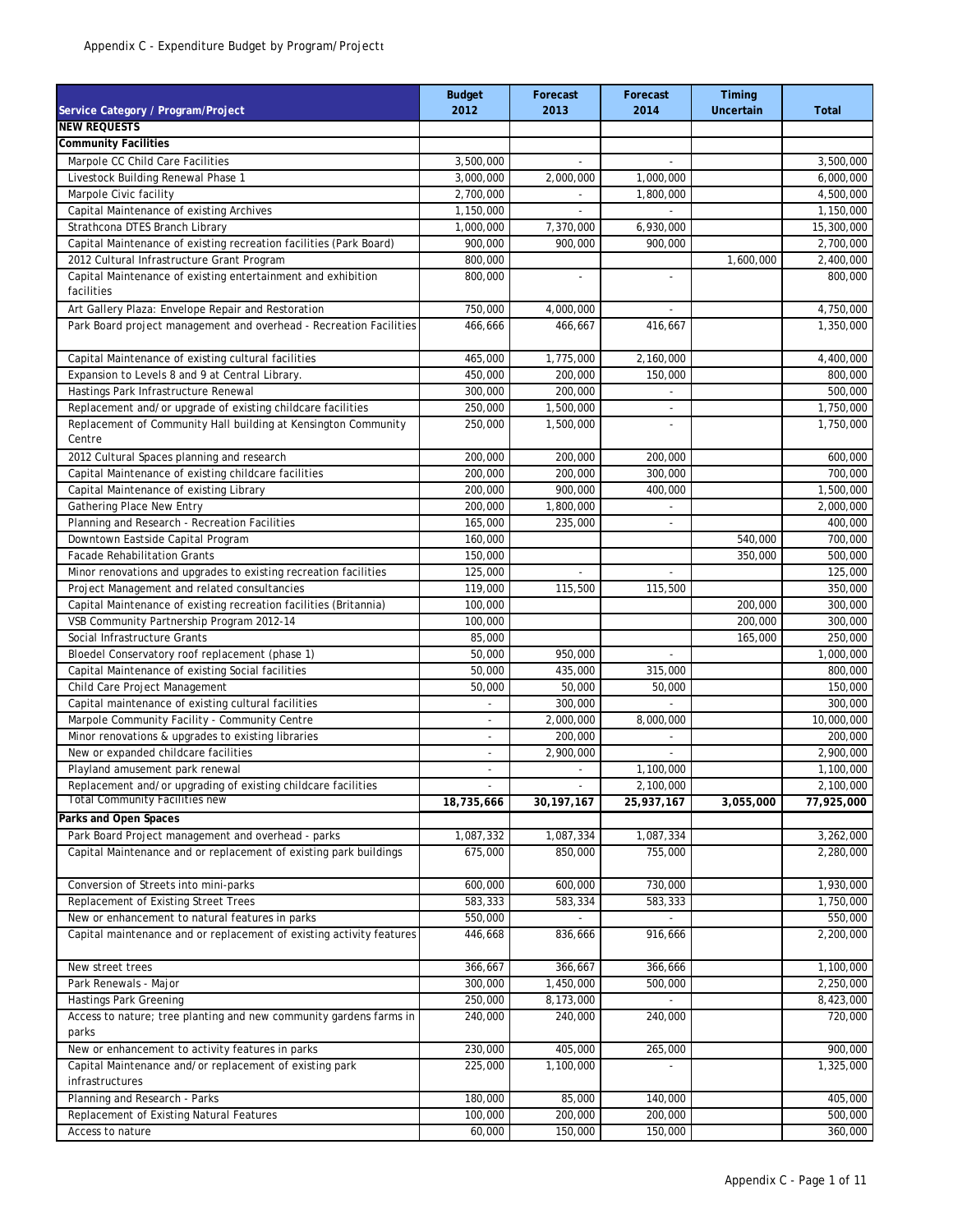| Service Category / Program/Project                                          | <b>Budget</b><br>2012    | Forecast<br>2013 | Forecast<br>2014         | Timing<br><b>Uncertain</b> | <b>Total</b> |
|-----------------------------------------------------------------------------|--------------------------|------------------|--------------------------|----------------------------|--------------|
| <b>NEW REQUESTS</b>                                                         |                          |                  |                          |                            |              |
| <b>Community Facilities</b>                                                 |                          |                  |                          |                            |              |
| Marpole CC Child Care Facilities                                            | 3,500,000                | $\overline{a}$   | $\overline{a}$           |                            | 3,500,000    |
| Livestock Building Renewal Phase 1                                          | 3,000,000                | 2,000,000        | 1,000,000                |                            | 6,000,000    |
| Marpole Civic facility                                                      | 2,700,000                |                  | 1,800,000                |                            | 4,500,000    |
| Capital Maintenance of existing Archives                                    | 1,150,000                |                  |                          |                            | 1,150,000    |
| Strathcona DTES Branch Library                                              | 1,000,000                | 7,370,000        | 6,930,000                |                            | 15,300,000   |
| Capital Maintenance of existing recreation facilities (Park Board)          | 900,000                  | 900,000          | 900,000                  |                            | 2,700,000    |
| 2012 Cultural Infrastructure Grant Program                                  | 800,000                  |                  |                          | 1,600,000                  | 2,400,000    |
| Capital Maintenance of existing entertainment and exhibition                | 800,000                  |                  |                          |                            | 800,000      |
| facilities                                                                  |                          |                  |                          |                            |              |
| Art Gallery Plaza: Envelope Repair and Restoration                          | 750,000                  | 4,000,000        | $\overline{\phantom{a}}$ |                            | 4,750,000    |
| Park Board project management and overhead - Recreation Facilities          | 466,666                  | 466,667          | 416,667                  |                            | 1,350,000    |
| Capital Maintenance of existing cultural facilities                         | 465,000                  | 1,775,000        | 2,160,000                |                            | 4,400,000    |
| Expansion to Levels 8 and 9 at Central Library.                             | 450,000                  | 200,000          | 150,000                  |                            | 800,000      |
| Hastings Park Infrastructure Renewal                                        | 300,000                  | 200,000          | $\overline{\phantom{a}}$ |                            | 500,000      |
| Replacement and/or upgrade of existing childcare facilities                 | 250,000                  | 1,500,000        | $\overline{a}$           |                            | 1,750,000    |
| Replacement of Community Hall building at Kensington Community<br>Centre    | 250,000                  | 1,500,000        |                          |                            | 1,750,000    |
| 2012 Cultural Spaces planning and research                                  | 200.000                  | 200,000          | 200,000                  |                            | 600,000      |
| Capital Maintenance of existing childcare facilities                        | 200,000                  | 200,000          | 300,000                  |                            | 700,000      |
| Capital Maintenance of existing Library                                     | 200,000                  | 900,000          | 400,000                  |                            | 1,500,000    |
| Gathering Place New Entry                                                   | 200,000                  | 1,800,000        | $\overline{a}$           |                            | 2,000,000    |
| Planning and Research - Recreation Facilities                               | 165,000                  | 235,000          | $\overline{\phantom{a}}$ |                            | 400,000      |
| Downtown Eastside Capital Program                                           | 160,000                  |                  |                          | 540,000                    | 700,000      |
| <b>Facade Rehabilitation Grants</b>                                         | 150,000                  |                  |                          | 350,000                    | 500,000      |
| Minor renovations and upgrades to existing recreation facilities            | 125,000                  | ÷.               | $\overline{a}$           |                            | 125,000      |
| Project Management and related consultancies                                | 119,000                  | 115,500          | 115,500                  |                            | 350,000      |
| Capital Maintenance of existing recreation facilities (Britannia)           | 100,000                  |                  |                          | 200,000                    | 300,000      |
| VSB Community Partnership Program 2012-14                                   | 100,000                  |                  |                          | 200,000                    | 300,000      |
| Social Infrastructure Grants                                                | 85,000                   |                  |                          | 165,000                    | 250,000      |
| Bloedel Conservatory roof replacement (phase 1)                             | 50,000                   | 950,000          | $\overline{\phantom{a}}$ |                            | 1,000,000    |
| Capital Maintenance of existing Social facilities                           | 50,000                   | 435,000          | 315,000                  |                            | 800,000      |
| Child Care Project Management                                               | 50,000                   | 50,000           | 50,000                   |                            | 150,000      |
| Capital maintenance of existing cultural facilities                         |                          | 300,000          |                          |                            | 300,000      |
| Marpole Community Facility - Community Centre                               | $\overline{\phantom{a}}$ | 2,000,000        | 8,000,000                |                            | 10,000,000   |
| Minor renovations & upgrades to existing libraries                          | $\overline{\phantom{a}}$ | 200,000          |                          |                            | 200,000      |
| New or expanded childcare facilities                                        | $\overline{\phantom{a}}$ | 2,900,000        | ä,                       |                            | 2,900,000    |
| Playland amusement park renewal                                             | $\overline{\phantom{a}}$ |                  | 1,100,000                |                            | 1,100,000    |
| Replacement and/or upgrading of existing childcare facilities               | ٠                        |                  | 2,100,000                |                            | 2,100,000    |
| <b>Total Community Facilities new</b>                                       | 18,735,666               | 30, 197, 167     | 25,937,167               | 3,055,000                  | 77,925,000   |
| Parks and Open Spaces                                                       |                          |                  |                          |                            |              |
| Park Board Project management and overhead - parks                          | 1,087,332                | 1,087,334        | 1,087,334                |                            | 3,262,000    |
| Capital Maintenance and or replacement of existing park buildings           | 675,000                  | 850,000          | 755,000                  |                            | 2,280,000    |
| Conversion of Streets into mini-parks                                       | 600,000                  | 600,000          | 730,000                  |                            | 1,930,000    |
| Replacement of Existing Street Trees                                        | 583,333                  | 583,334          | 583,333                  |                            | 1,750,000    |
| New or enhancement to natural features in parks                             | 550,000                  |                  |                          |                            | 550,000      |
| Capital maintenance and or replacement of existing activity features        | 446,668                  | 836,666          | 916,666                  |                            | 2,200,000    |
| New street trees                                                            | 366,667                  | 366,667          | 366,666                  |                            | 1,100,000    |
| Park Renewals - Major                                                       | 300,000                  | 1,450,000        | 500,000                  |                            | 2,250,000    |
| <b>Hastings Park Greening</b>                                               | 250,000                  | 8,173,000        | $\mathcal{L}$            |                            | 8,423,000    |
| Access to nature; tree planting and new community gardens farms in<br>parks | 240,000                  | 240,000          | 240,000                  |                            | 720,000      |
| New or enhancement to activity features in parks                            | 230,000                  | 405,000          | 265,000                  |                            | 900,000      |
| Capital Maintenance and/or replacement of existing park                     | 225,000                  | 1,100,000        |                          |                            | 1,325,000    |
| infrastructures                                                             |                          |                  |                          |                            |              |
| Planning and Research - Parks                                               | 180,000                  | 85,000           | 140,000                  |                            | 405,000      |
| Replacement of Existing Natural Features                                    | 100,000                  | 200,000          | 200,000                  |                            | 500,000      |
| Access to nature                                                            | 60,000                   | 150,000          | 150,000                  |                            | 360,000      |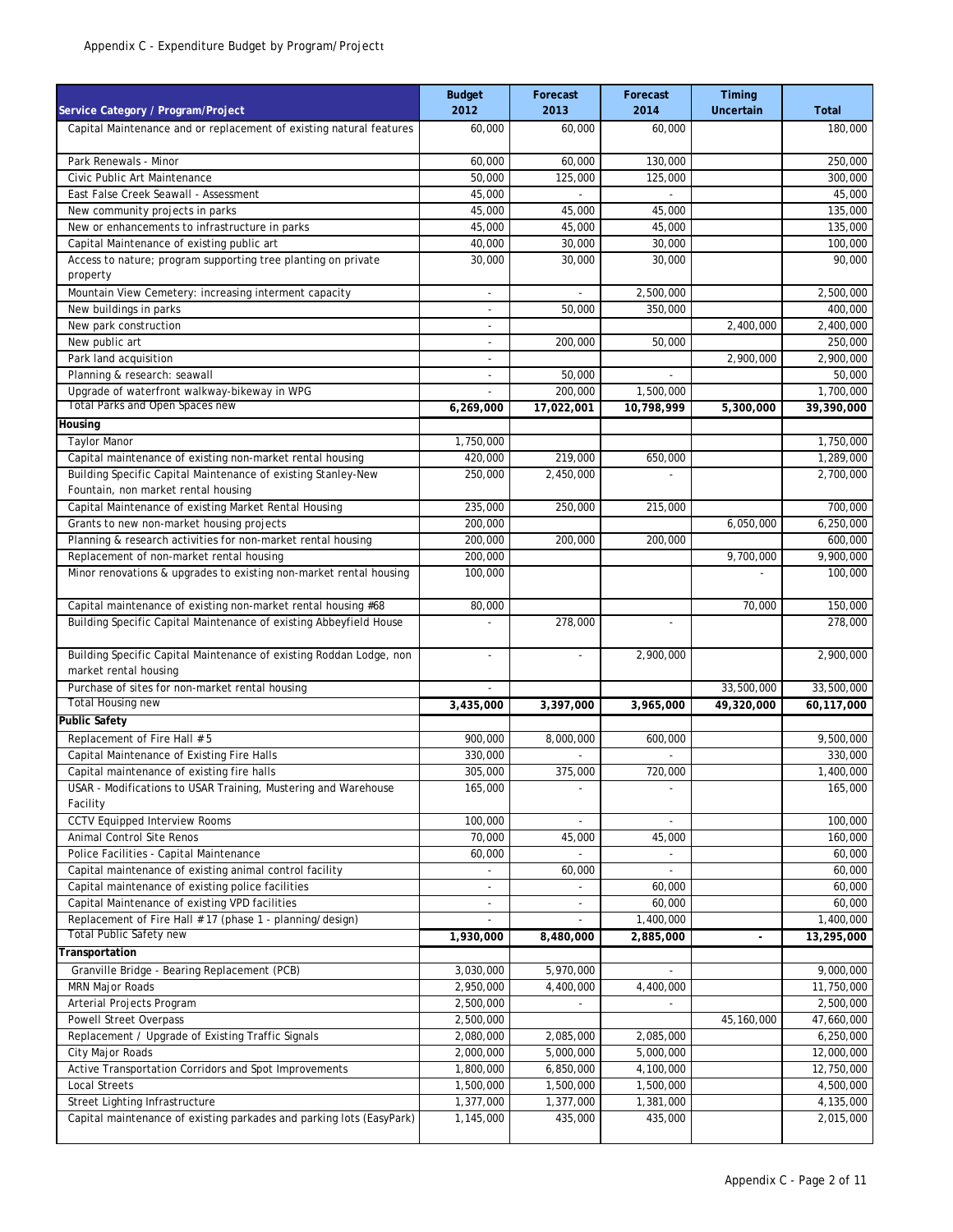| Service Category / Program/Project                                                           | <b>Budget</b><br>2012              | Forecast<br>2013            | Forecast<br>2014         | Timing<br><b>Uncertain</b> | <b>Total</b>         |
|----------------------------------------------------------------------------------------------|------------------------------------|-----------------------------|--------------------------|----------------------------|----------------------|
| Capital Maintenance and or replacement of existing natural features                          | 60,000                             | 60,000                      | 60,000                   |                            | 180,000              |
| Park Renewals - Minor                                                                        | 60,000                             | 60,000                      | 130,000                  |                            | 250,000              |
| Civic Public Art Maintenance                                                                 | 50,000                             | 125,000                     | 125,000                  |                            | 300,000              |
| East False Creek Seawall - Assessment                                                        | 45,000                             |                             |                          |                            | 45,000               |
| New community projects in parks                                                              | 45,000                             | 45,000                      | 45,000                   |                            | 135,000              |
| New or enhancements to infrastructure in parks                                               | 45,000                             | 45,000                      | 45,000                   |                            | 135,000              |
| Capital Maintenance of existing public art                                                   | 40,000                             | 30,000                      | 30,000                   |                            | 100,000              |
| Access to nature; program supporting tree planting on private                                | 30,000                             | 30,000                      | 30,000                   |                            | 90,000               |
| property                                                                                     |                                    |                             |                          |                            |                      |
| Mountain View Cemetery: increasing interment capacity                                        | $\overline{\phantom{a}}$           | $\mathcal{L}_{\mathcal{A}}$ | 2,500,000                |                            | 2,500,000            |
| New buildings in parks<br>New park construction                                              | $\overline{\phantom{a}}$<br>$\sim$ | 50,000                      | 350,000                  |                            | 400,000              |
| New public art                                                                               |                                    | 200,000                     | 50,000                   | 2,400,000                  | 2,400,000<br>250,000 |
| Park land acquisition                                                                        | $\overline{\phantom{a}}$           |                             |                          | 2,900,000                  | 2,900,000            |
| Planning & research: seawall                                                                 | $\overline{\phantom{a}}$           | 50,000                      |                          |                            | 50,000               |
| Upgrade of waterfront walkway-bikeway in WPG                                                 |                                    | 200,000                     | 1,500,000                |                            | 1,700,000            |
| Total Parks and Open Spaces new                                                              | 6,269,000                          | 17,022,001                  | 10,798,999               | 5,300,000                  | 39,390,000           |
| Housing                                                                                      |                                    |                             |                          |                            |                      |
| <b>Taylor Manor</b>                                                                          | 1,750,000                          |                             |                          |                            | 1,750,000            |
| Capital maintenance of existing non-market rental housing                                    | 420.000                            | 219,000                     | 650,000                  |                            | 1,289,000            |
| Building Specific Capital Maintenance of existing Stanley-New                                | 250,000                            | 2,450,000                   | L.                       |                            | 2,700,000            |
| Fountain, non market rental housing                                                          |                                    |                             |                          |                            |                      |
| Capital Maintenance of existing Market Rental Housing                                        | 235,000                            | 250,000                     | 215,000                  |                            | 700,000              |
| Grants to new non-market housing projects                                                    | 200,000                            |                             |                          | 6,050,000                  | 6,250,000            |
| Planning & research activities for non-market rental housing                                 | 200,000                            | 200,000                     | 200,000                  |                            | 600,000              |
| Replacement of non-market rental housing                                                     | 200,000                            |                             |                          | 9,700,000                  | 9,900,000            |
| Minor renovations & upgrades to existing non-market rental housing                           | 100,000                            |                             |                          |                            | 100,000              |
| Capital maintenance of existing non-market rental housing #68                                | 80,000                             |                             |                          | 70,000                     | 150,000              |
| Building Specific Capital Maintenance of existing Abbeyfield House                           |                                    | 278,000                     |                          |                            | 278,000              |
| Building Specific Capital Maintenance of existing Roddan Lodge, non<br>market rental housing | $\overline{\phantom{a}}$           | $\sim$                      | 2,900,000                |                            | 2,900,000            |
| Purchase of sites for non-market rental housing                                              |                                    |                             |                          | 33,500,000                 | 33,500,000           |
| <b>Total Housing new</b>                                                                     | 3,435,000                          | 3,397,000                   | 3,965,000                | 49,320,000                 | 60,117,000           |
| <b>Public Safety</b>                                                                         |                                    |                             |                          |                            |                      |
| Replacement of Fire Hall # 5                                                                 | 900,000                            | 8,000,000                   | 600,000                  |                            | 9,500,000            |
| Capital Maintenance of Existing Fire Halls                                                   | 330,000                            |                             |                          |                            | 330,000              |
| Capital maintenance of existing fire halls                                                   | 305,000                            | 375,000                     | 720,000                  |                            | 1,400,000            |
| USAR - Modifications to USAR Training, Mustering and Warehouse                               | 165,000                            |                             | $\overline{\phantom{a}}$ |                            | 165,000              |
| Facility                                                                                     |                                    |                             |                          |                            |                      |
| <b>CCTV Equipped Interview Rooms</b>                                                         | 100,000                            |                             | $\overline{\phantom{a}}$ |                            | 100,000              |
| Animal Control Site Renos<br>Police Facilities - Capital Maintenance                         | 70,000                             | 45,000                      | 45,000                   |                            | 160,000<br>60,000    |
| Capital maintenance of existing animal control facility                                      | 60,000                             | 60,000                      | $\overline{\phantom{a}}$ |                            | 60,000               |
| Capital maintenance of existing police facilities                                            | $\overline{\phantom{a}}$           |                             | 60,000                   |                            | 60,000               |
| Capital Maintenance of existing VPD facilities                                               | $\overline{\phantom{a}}$           | $\overline{\phantom{a}}$    | 60,000                   |                            | 60,000               |
| Replacement of Fire Hall # 17 (phase 1 - planning/design)                                    |                                    |                             | 1,400,000                |                            | 1,400,000            |
| <b>Total Public Safety new</b>                                                               | 1,930,000                          | 8,480,000                   | 2,885,000                | ÷,                         | 13,295,000           |
| Transportation                                                                               |                                    |                             |                          |                            |                      |
| Granville Bridge - Bearing Replacement (PCB)                                                 | 3,030,000                          | 5,970,000                   | $\overline{\phantom{a}}$ |                            | 9,000,000            |
| MRN Major Roads                                                                              | 2,950,000                          | 4,400,000                   | 4,400,000                |                            | 11,750,000           |
| Arterial Projects Program                                                                    | 2,500,000                          |                             |                          |                            | 2,500,000            |
| Powell Street Overpass                                                                       | 2,500,000                          |                             |                          | 45,160,000                 | 47,660,000           |
| Replacement / Upgrade of Existing Traffic Signals                                            | 2,080,000                          | 2,085,000                   | 2,085,000                |                            | 6,250,000            |
| City Major Roads                                                                             | 2,000,000                          | 5,000,000                   | 5,000,000                |                            | 12,000,000           |
| Active Transportation Corridors and Spot Improvements                                        | 1,800,000                          | 6,850,000                   | 4,100,000                |                            | 12,750,000           |
| <b>Local Streets</b>                                                                         | 1,500,000                          | 1,500,000                   | 1,500,000                |                            | 4,500,000            |
| Street Lighting Infrastructure                                                               | 1,377,000                          | 1,377,000                   | 1,381,000                |                            | 4,135,000            |
| Capital maintenance of existing parkades and parking lots (EasyPark)                         | 1,145,000                          | 435,000                     | 435,000                  |                            | 2,015,000            |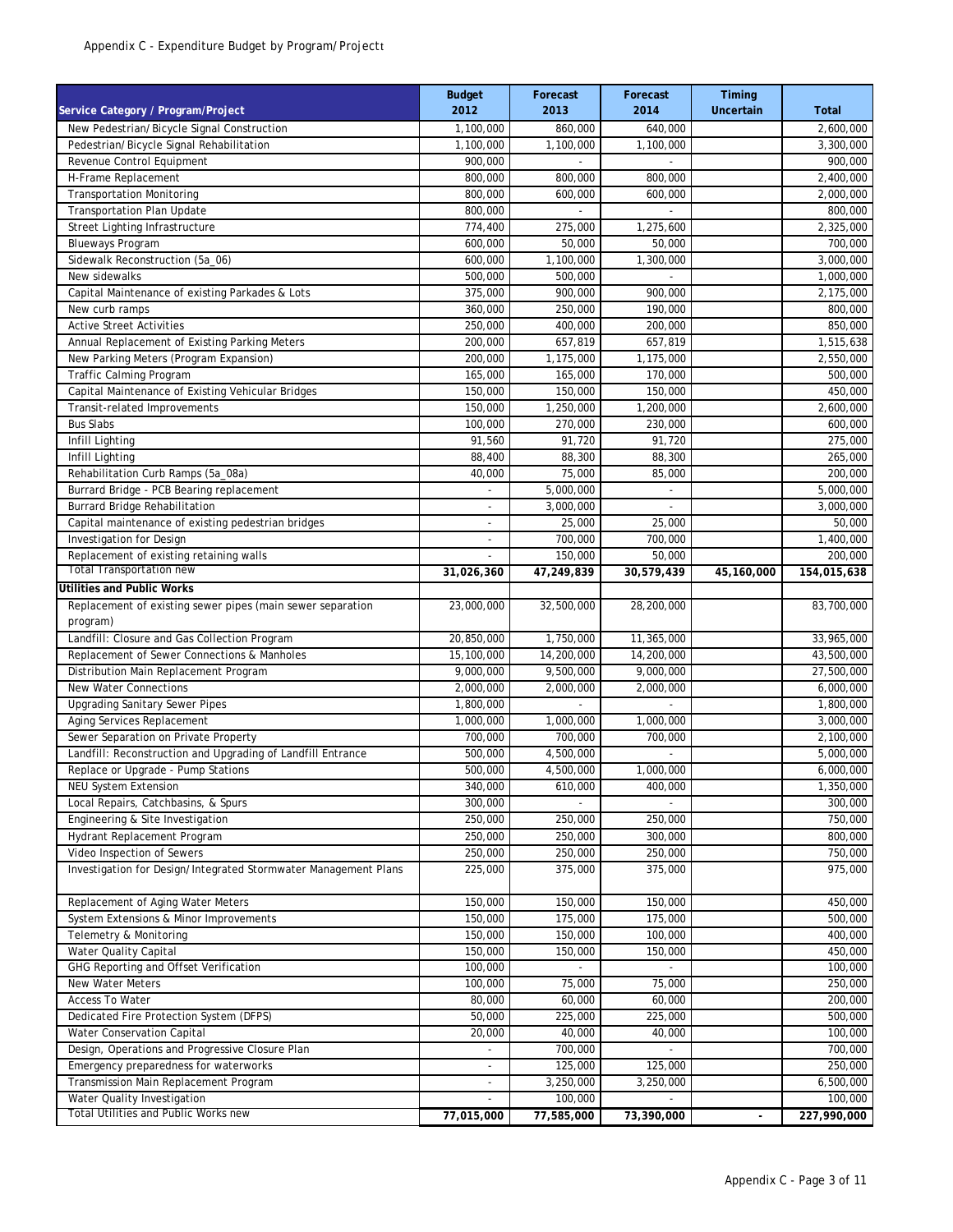| Service Category / Program/Project                                         | <b>Budget</b><br>2012        | Forecast<br>2013 | Forecast<br>2014 | Timing<br>Uncertain | <b>Total</b> |
|----------------------------------------------------------------------------|------------------------------|------------------|------------------|---------------------|--------------|
| New Pedestrian/Bicycle Signal Construction                                 | 1,100,000                    | 860,000          | 640,000          |                     | 2,600,000    |
| Pedestrian/Bicycle Signal Rehabilitation                                   | 1,100,000                    | 1,100,000        | 1,100,000        |                     | 3,300,000    |
| Revenue Control Equipment                                                  | 900,000                      |                  |                  |                     | 900.000      |
| H-Frame Replacement                                                        | 800,000                      | 800,000          | 800.000          |                     | 2,400,000    |
| <b>Transportation Monitoring</b>                                           | 800,000                      | 600,000          | 600,000          |                     | 2,000,000    |
| <b>Transportation Plan Update</b>                                          | 800,000                      | $\sim$           |                  |                     | 800,000      |
| Street Lighting Infrastructure                                             | 774,400                      | 275,000          | 1,275,600        |                     | 2,325,000    |
| <b>Blueways Program</b>                                                    | 600,000                      | 50,000           | 50,000           |                     | 700,000      |
| Sidewalk Reconstruction (5a_06)                                            | 600,000                      | 1,100,000        | 1,300,000        |                     | 3,000,000    |
| New sidewalks                                                              | 500,000                      | 500.000          |                  |                     | 1,000,000    |
| Capital Maintenance of existing Parkades & Lots                            | 375,000                      | 900,000          | 900,000          |                     | 2,175,000    |
| New curb ramps                                                             | 360,000                      | 250,000          | 190,000          |                     | 800,000      |
| <b>Active Street Activities</b>                                            | 250,000                      | 400,000          | 200,000          |                     | 850,000      |
| Annual Replacement of Existing Parking Meters                              | 200,000                      | 657,819          | 657,819          |                     | 1,515,638    |
| New Parking Meters (Program Expansion)                                     | 200,000                      | 1,175,000        | 1,175,000        |                     | 2,550,000    |
| Traffic Calming Program                                                    | 165,000                      | 165,000          | 170,000          |                     | 500,000      |
| Capital Maintenance of Existing Vehicular Bridges                          | 150,000                      | 150,000          | 150,000          |                     | 450,000      |
| Transit-related Improvements                                               | 150,000                      | 1,250,000        | 1,200,000        |                     | 2,600,000    |
| <b>Bus Slabs</b>                                                           | 100,000                      | 270,000          | 230,000          |                     | 600,000      |
| Infill Lighting                                                            | 91,560                       | 91,720           | 91,720           |                     | 275,000      |
| Infill Lighting                                                            | 88,400                       | 88,300           | 88,300           |                     | 265,000      |
| Rehabilitation Curb Ramps (5a_08a)                                         | 40,000                       | 75,000           | 85,000           |                     | 200,000      |
| Burrard Bridge - PCB Bearing replacement                                   |                              | 5,000,000        |                  |                     | 5,000,000    |
| Burrard Bridge Rehabilitation                                              |                              | 3,000,000        |                  |                     | 3,000,000    |
| Capital maintenance of existing pedestrian bridges                         | $\overline{\phantom{a}}$     | 25,000           | 25,000           |                     | 50,000       |
| Investigation for Design                                                   | $\overline{a}$               | 700,000          | 700,000          |                     | 1,400,000    |
| Replacement of existing retaining walls<br><b>Total Transportation new</b> |                              | 150,000          | 50,000           |                     | 200,000      |
| <b>Utilities and Public Works</b>                                          | 31,026,360                   | 47,249,839       | 30,579,439       | 45,160,000          | 154,015,638  |
| Replacement of existing sewer pipes (main sewer separation                 | 23,000,000                   | 32,500,000       | 28,200,000       |                     | 83,700,000   |
| program)                                                                   |                              |                  |                  |                     |              |
| Landfill: Closure and Gas Collection Program                               | 20,850,000                   | 1,750,000        | 11,365,000       |                     | 33,965,000   |
| Replacement of Sewer Connections & Manholes                                | 15,100,000                   | 14,200,000       | 14,200,000       |                     | 43,500,000   |
| Distribution Main Replacement Program                                      | 9,000,000                    | 9,500,000        | 9,000,000        |                     | 27,500,000   |
| New Water Connections                                                      | 2,000,000                    | 2,000,000        | 2,000,000        |                     | 6,000,000    |
| <b>Upgrading Sanitary Sewer Pipes</b>                                      | 1,800,000                    |                  |                  |                     | 1,800,000    |
| Aging Services Replacement                                                 | 1,000,000                    | 1,000,000        | 1,000,000        |                     | 3,000,000    |
| Sewer Separation on Private Property                                       | 700,000                      | 700,000          | 700,000          |                     | 2,100,000    |
| Landfill: Reconstruction and Upgrading of Landfill Entrance                | 500,000                      | 4,500,000        |                  |                     | 5,000,000    |
| Replace or Upgrade - Pump Stations                                         | 500,000                      | 4,500,000        | 1,000,000        |                     | 6,000,000    |
| <b>NEU System Extension</b>                                                | 340,000                      | 610,000          | 400,000          |                     | 1,350,000    |
| Local Repairs, Catchbasins, & Spurs                                        | 300,000                      |                  |                  |                     | 300,000      |
| Engineering & Site Investigation                                           | 250,000                      | 250,000          | 250,000          |                     | 750,000      |
| Hydrant Replacement Program                                                | 250,000                      | 250,000          | 300,000          |                     | 800,000      |
| Video Inspection of Sewers                                                 | 250,000                      | 250,000          | 250,000          |                     | 750,000      |
| Investigation for Design/Integrated Stormwater Management Plans            | 225,000                      | 375,000          | 375,000          |                     | 975,000      |
| Replacement of Aging Water Meters                                          | 150,000                      | 150,000          | 150,000          |                     | 450,000      |
| System Extensions & Minor Improvements                                     | 150,000                      | 175,000          | 175,000          |                     | 500,000      |
| Telemetry & Monitoring                                                     | 150,000                      | 150,000          | 100,000          |                     | 400,000      |
| Water Quality Capital                                                      | 150,000                      | 150,000          | 150,000          |                     | 450,000      |
| GHG Reporting and Offset Verification                                      | 100,000                      | $\sim$           | $\mathcal{L}$    |                     | 100,000      |
| New Water Meters                                                           | 100,000                      | 75,000           | 75,000           |                     | 250,000      |
| <b>Access To Water</b>                                                     | 80,000                       | 60,000           | 60,000           |                     | 200,000      |
| Dedicated Fire Protection System (DFPS)                                    | 50,000                       | 225,000          | 225,000          |                     | 500,000      |
| Water Conservation Capital                                                 | 20,000                       | 40,000           | 40,000           |                     | 100,000      |
| Design, Operations and Progressive Closure Plan                            |                              | 700,000          |                  |                     | 700,000      |
| Emergency preparedness for waterworks                                      |                              | 125,000          | 125,000          |                     | 250,000      |
| Transmission Main Replacement Program                                      | $\qquad \qquad \blacksquare$ | 3,250,000        | 3,250,000        |                     | 6,500,000    |
| Water Quality Investigation                                                |                              | 100,000          |                  |                     | 100,000      |
| <b>Total Utilities and Public Works new</b>                                | 77,015,000                   | 77,585,000       | 73,390,000       | $\sim$              | 227,990,000  |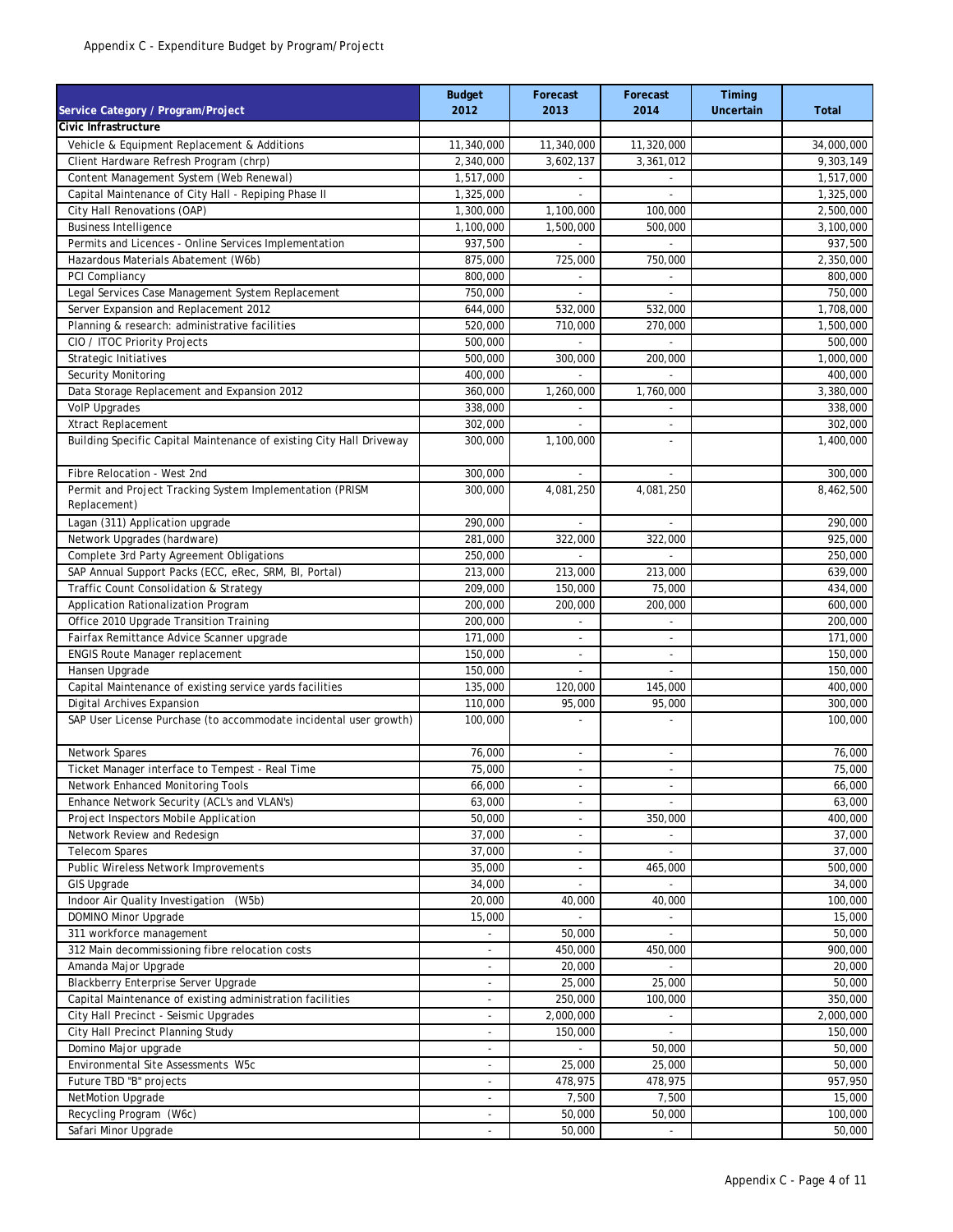| Service Category / Program/Project                                   | <b>Budget</b><br>2012    | Forecast<br>2013         | Forecast<br>2014         | Timing<br><b>Uncertain</b> | <b>Total</b> |
|----------------------------------------------------------------------|--------------------------|--------------------------|--------------------------|----------------------------|--------------|
| Civic Infrastructure                                                 |                          |                          |                          |                            |              |
| Vehicle & Equipment Replacement & Additions                          | 11,340,000               | 11,340,000               | 11,320,000               |                            | 34,000,000   |
| Client Hardware Refresh Program (chrp)                               | 2,340,000                | 3.602.137                | 3.361.012                |                            | 9,303,149    |
| Content Management System (Web Renewal)                              | 1,517,000                |                          | $\overline{\phantom{a}}$ |                            | 1,517,000    |
| Capital Maintenance of City Hall - Repiping Phase II                 | 1,325,000                |                          |                          |                            | 1,325,000    |
| City Hall Renovations (OAP)                                          | 1,300,000                | 1,100,000                | 100,000                  |                            | 2,500,000    |
| <b>Business Intelligence</b>                                         | 1,100,000                | 1,500,000                | 500,000                  |                            | 3,100,000    |
| Permits and Licences - Online Services Implementation                | 937,500                  |                          |                          |                            | 937,500      |
| Hazardous Materials Abatement (W6b)                                  | 875,000                  | 725,000                  | 750,000                  |                            | 2,350,000    |
| PCI Compliancy                                                       | 800,000                  |                          |                          |                            | 800,000      |
| Legal Services Case Management System Replacement                    | 750,000                  |                          | $\overline{a}$           |                            | 750,000      |
| Server Expansion and Replacement 2012                                | 644,000                  | 532,000                  | 532,000                  |                            | 1,708,000    |
| Planning & research: administrative facilities                       | 520,000                  | 710,000                  | 270,000                  |                            | 1,500,000    |
| CIO / ITOC Priority Projects                                         | 500,000                  |                          | $\overline{\phantom{a}}$ |                            | 500,000      |
| Strategic Initiatives                                                | 500,000                  | 300,000                  | 200,000                  |                            | 1,000,000    |
| Security Monitoring                                                  | 400,000                  |                          | $\overline{\phantom{a}}$ |                            | 400,000      |
| Data Storage Replacement and Expansion 2012                          | 360,000                  | 1,260,000                | 1,760,000                |                            | 3,380,000    |
| VolP Upgrades                                                        | 338,000                  | $\mathbf{r}$             | $\overline{\phantom{a}}$ |                            | 338,000      |
| Xtract Replacement                                                   | 302,000                  |                          |                          |                            | 302,000      |
| Building Specific Capital Maintenance of existing City Hall Driveway | 300,000                  | 1,100,000                | L.                       |                            | 1,400,000    |
| Fibre Relocation - West 2nd                                          | 300,000                  | ÷.                       | $\overline{a}$           |                            | 300,000      |
| Permit and Project Tracking System Implementation (PRISM             | 300,000                  | 4,081,250                | 4,081,250                |                            | 8,462,500    |
| Replacement)                                                         |                          |                          |                          |                            |              |
| Lagan (311) Application upgrade                                      | 290,000                  |                          | $\overline{\phantom{a}}$ |                            | 290,000      |
| Network Upgrades (hardware)                                          | 281,000                  | 322,000                  | 322,000                  |                            | 925,000      |
| Complete 3rd Party Agreement Obligations                             | 250,000                  |                          |                          |                            | 250,000      |
| SAP Annual Support Packs (ECC, eRec, SRM, BI, Portal)                | 213,000                  | 213,000                  | 213,000                  |                            | 639,000      |
| Traffic Count Consolidation & Strategy                               | 209,000                  | 150,000                  | 75,000                   |                            | 434,000      |
| Application Rationalization Program                                  | 200,000                  | 200,000                  | 200,000                  |                            | 600,000      |
| Office 2010 Upgrade Transition Training                              | 200,000                  | $\overline{a}$           | $\blacksquare$           |                            | 200,000      |
| Fairfax Remittance Advice Scanner upgrade                            | 171,000                  |                          | ٠                        |                            | 171,000      |
| <b>ENGIS Route Manager replacement</b>                               | 150,000                  | $\overline{\phantom{a}}$ | $\overline{\phantom{a}}$ |                            | 150,000      |
| Hansen Upgrade                                                       | 150,000                  | ٠                        | $\overline{\phantom{a}}$ |                            | 150,000      |
| Capital Maintenance of existing service yards facilities             | 135,000                  | 120,000                  | 145,000                  |                            | 400,000      |
| Digital Archives Expansion                                           | 110,000                  | 95,000                   | 95,000                   |                            | 300,000      |
| SAP User License Purchase (to accommodate incidental user growth)    | 100,000                  | ÷,                       | L,                       |                            | 100,000      |
| Network Spares                                                       | 76,000                   | $\overline{\phantom{a}}$ | $\overline{\phantom{a}}$ |                            | 76,000       |
| Ticket Manager interface to Tempest - Real Time                      | 75,000                   | $\overline{a}$           | $\overline{\phantom{a}}$ |                            | 75,000       |
| Network Enhanced Monitoring Tools                                    | 66,000                   | $\overline{\phantom{a}}$ | $\overline{\phantom{a}}$ |                            | 66,000       |
| Enhance Network Security (ACL's and VLAN's)                          | 63,000                   | $\overline{\phantom{a}}$ |                          |                            | 63,000       |
| Project Inspectors Mobile Application                                | 50,000                   | $\overline{\phantom{a}}$ | 350,000                  |                            | 400,000      |
| Network Review and Redesign                                          | 37,000                   |                          |                          |                            | 37,000       |
| <b>Telecom Spares</b>                                                | 37,000                   | $\overline{\phantom{a}}$ | $\overline{\phantom{a}}$ |                            | 37,000       |
| Public Wireless Network Improvements                                 | 35,000                   | $\overline{\phantom{a}}$ | 465,000                  |                            | 500,000      |
| <b>GIS Upgrade</b>                                                   | 34,000                   | ÷.                       | $\sim$                   |                            | 34,000       |
| Indoor Air Quality Investigation (W5b)                               | 20,000                   | 40,000                   | 40,000                   |                            | 100,000      |
| DOMINO Minor Upgrade                                                 | 15,000                   |                          |                          |                            | 15,000       |
| 311 workforce management                                             |                          | 50,000                   | $\overline{\phantom{a}}$ |                            | 50,000       |
| 312 Main decommissioning fibre relocation costs                      |                          | 450,000                  | 450,000                  |                            | 900,000      |
| Amanda Major Upgrade                                                 |                          | 20,000                   |                          |                            | 20,000       |
| Blackberry Enterprise Server Upgrade                                 |                          | 25,000                   | 25,000                   |                            | 50,000       |
| Capital Maintenance of existing administration facilities            | $\overline{\phantom{a}}$ | 250,000                  | 100,000                  |                            | 350,000      |
| City Hall Precinct - Seismic Upgrades                                | $\overline{\phantom{a}}$ | 2,000,000                |                          |                            | 2,000,000    |
| City Hall Precinct Planning Study                                    | $\overline{a}$           | 150,000                  | $\overline{\phantom{a}}$ |                            | 150,000      |
| Domino Major upgrade                                                 | $\overline{\phantom{a}}$ |                          | 50,000                   |                            | 50,000       |
| Environmental Site Assessments W5c                                   | $\overline{\phantom{a}}$ | 25,000                   | 25,000                   |                            | 50,000       |
| Future TBD "B" projects                                              | $\overline{\phantom{a}}$ | 478,975                  | 478,975                  |                            | 957,950      |
| NetMotion Upgrade                                                    | $\overline{a}$           | 7,500                    | 7,500                    |                            | 15,000       |
| Recycling Program (W6c)                                              |                          | 50,000                   | 50,000                   |                            | 100,000      |
| Safari Minor Upgrade                                                 | $\mathcal{A}$            | 50,000                   | $\omega$                 |                            | 50,000       |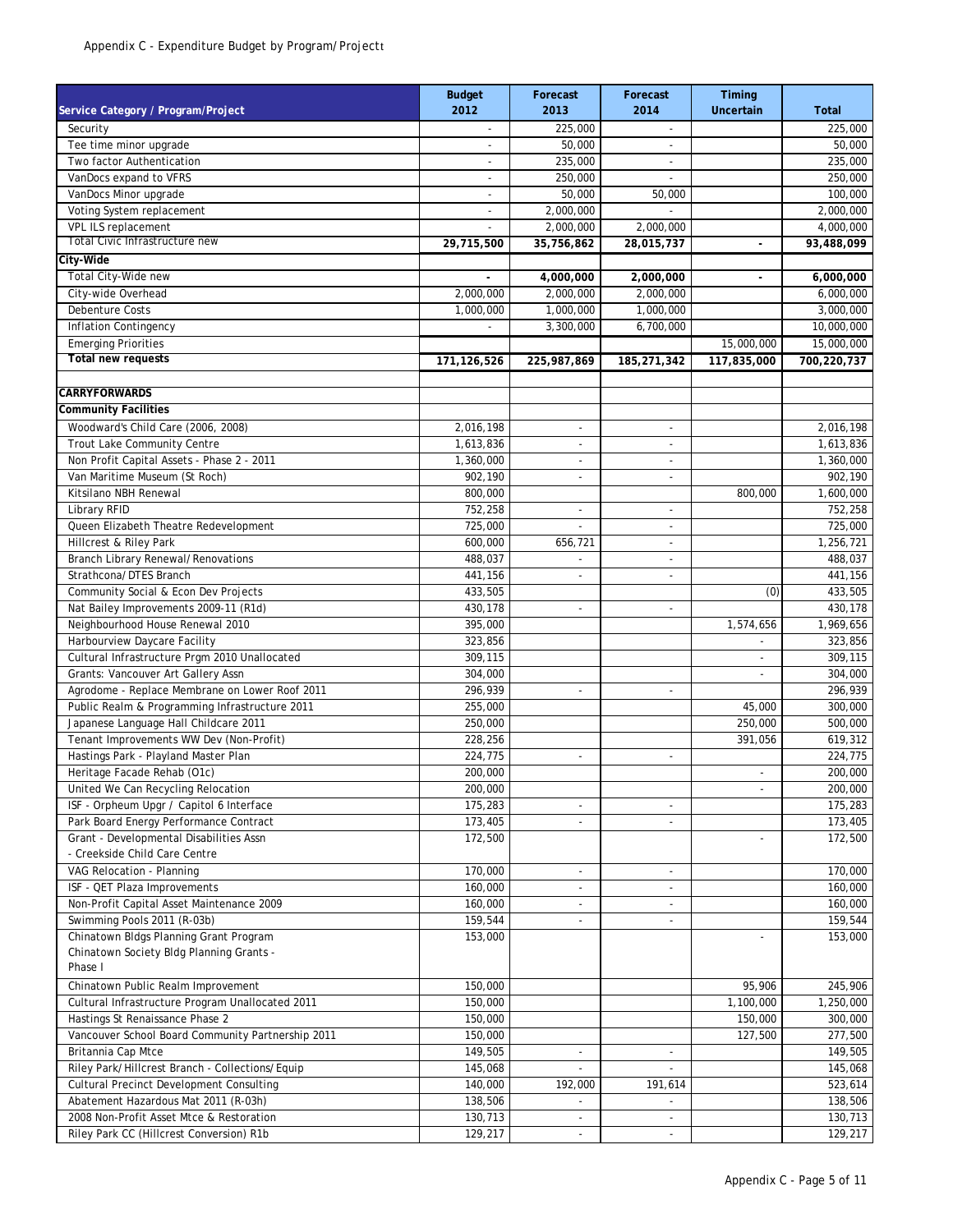|                                                                          | <b>Budget</b>               | Forecast                 | Forecast                 | Timing                   |                        |
|--------------------------------------------------------------------------|-----------------------------|--------------------------|--------------------------|--------------------------|------------------------|
| Service Category / Program/Project                                       | 2012                        | 2013                     | 2014                     | Uncertain                | <b>Total</b>           |
| Security                                                                 |                             | 225,000                  |                          |                          | 225,000                |
| Tee time minor upgrade                                                   | $\overline{a}$              | 50,000                   | $\overline{\phantom{a}}$ |                          | 50,000                 |
| Two factor Authentication                                                | $\overline{a}$              | 235,000                  | $\overline{\phantom{a}}$ |                          | 235,000                |
| VanDocs expand to VFRS                                                   | $\overline{a}$              | 250,000                  | $\overline{\phantom{a}}$ |                          | 250,000                |
| VanDocs Minor upgrade                                                    |                             | 50,000                   | 50,000                   |                          | 100,000                |
| Voting System replacement                                                | $\sim$                      | 2,000,000                | $\overline{a}$           |                          | 2,000,000              |
| VPL ILS replacement<br>Total Civic Infrastructure new                    |                             | 2,000,000                | 2,000,000                |                          | 4,000,000              |
| City-Wide                                                                | 29,715,500                  | 35,756,862               | 28,015,737               |                          | 93,488,099             |
| Total City-Wide new                                                      |                             |                          |                          |                          |                        |
| City-wide Overhead                                                       | 2,000,000                   | 4,000,000<br>2,000,000   | 2,000,000<br>2,000,000   |                          | 6,000,000<br>6,000,000 |
| <b>Debenture Costs</b>                                                   | 1,000,000                   | 1,000,000                | 1,000,000                |                          | 3,000,000              |
| Inflation Contingency                                                    | $\mathcal{L}_{\mathcal{A}}$ | 3,300,000                | 6,700,000                |                          | 10,000,000             |
| <b>Emerging Priorities</b>                                               |                             |                          |                          | 15,000,000               | 15,000,000             |
| <b>Total new requests</b>                                                | 171,126,526                 | 225,987,869              | 185,271,342              | 117,835,000              | 700,220,737            |
|                                                                          |                             |                          |                          |                          |                        |
| <b>CARRYFORWARDS</b>                                                     |                             |                          |                          |                          |                        |
| <b>Community Facilities</b>                                              |                             |                          |                          |                          |                        |
| Woodward's Child Care (2006, 2008)                                       | 2,016,198                   | $\overline{\phantom{a}}$ | $\overline{\phantom{a}}$ |                          | 2,016,198              |
| Trout Lake Community Centre                                              | 1,613,836                   | $\blacksquare$           | $\overline{\phantom{a}}$ |                          | 1,613,836              |
| Non Profit Capital Assets - Phase 2 - 2011                               | 1,360,000                   | $\overline{\phantom{m}}$ | $\overline{\phantom{a}}$ |                          | 1,360,000              |
| Van Maritime Museum (St Roch)                                            | 902,190                     | $\overline{a}$           | $\overline{a}$           |                          | 902,190                |
| Kitsilano NBH Renewal                                                    | 800,000                     |                          |                          | 800,000                  | 1,600,000              |
| Library RFID                                                             | 752,258                     | $\overline{\phantom{a}}$ | $\overline{\phantom{a}}$ |                          | 752,258                |
| Queen Elizabeth Theatre Redevelopment                                    | 725,000                     |                          | $\overline{\phantom{a}}$ |                          | 725,000                |
| Hillcrest & Riley Park                                                   | 600,000                     | 656,721                  | $\overline{a}$           |                          | 1,256,721              |
| <b>Branch Library Renewal/Renovations</b>                                | 488,037                     |                          | $\overline{\phantom{a}}$ |                          | 488,037                |
| Strathcona/DTES Branch                                                   | 441,156                     | $\overline{\phantom{a}}$ | $\overline{\phantom{a}}$ |                          | 441,156                |
| Community Social & Econ Dev Projects                                     | 433,505                     |                          |                          | (0)                      | 433,505                |
| Nat Bailey Improvements 2009-11 (R1d)                                    | 430,178                     | $\overline{\phantom{a}}$ | $\blacksquare$           |                          | 430,178                |
| Neighbourhood House Renewal 2010                                         | 395,000                     |                          |                          | 1,574,656                | 1,969,656              |
| Harbourview Daycare Facility                                             | 323,856                     |                          |                          |                          | 323,856                |
| Cultural Infrastructure Prgm 2010 Unallocated                            | 309,115                     |                          |                          | $\overline{\phantom{a}}$ | 309,115                |
| Grants: Vancouver Art Gallery Assn                                       | 304,000                     |                          |                          | $\overline{a}$           | 304,000                |
| Agrodome - Replace Membrane on Lower Roof 2011                           | 296,939                     | $\sim$                   | $\overline{\phantom{a}}$ |                          | 296,939                |
| Public Realm & Programming Infrastructure 2011                           | 255,000                     |                          |                          | 45,000                   | 300,000                |
| Japanese Language Hall Childcare 2011                                    | 250,000                     |                          |                          | 250,000                  | 500,000                |
| Tenant Improvements WW Dev (Non-Profit)                                  | 228,256                     |                          |                          | 391,056                  | 619,312                |
| Hastings Park - Playland Master Plan                                     | 224,775                     | $\overline{\phantom{a}}$ | $\overline{a}$           |                          | 224,775                |
| Heritage Facade Rehab (O1c)                                              | 200,000                     |                          |                          |                          | 200,000                |
| United We Can Recycling Relocation                                       | 200,000                     |                          |                          | $\overline{a}$           | 200,000                |
| ISF - Orpheum Upgr / Capitol 6 Interface                                 | 175,283                     | $\overline{\phantom{a}}$ | $\overline{\phantom{a}}$ |                          | 175,283                |
| Park Board Energy Performance Contract                                   | 173,405                     |                          |                          |                          | 173,405                |
| Grant - Developmental Disabilities Assn<br>- Creekside Child Care Centre | 172,500                     |                          |                          |                          | 172,500                |
| VAG Relocation - Planning                                                | 170,000                     | $\blacksquare$           | $\overline{\phantom{a}}$ |                          | 170,000                |
| ISF - QET Plaza Improvements                                             | 160,000                     | $\overline{\phantom{a}}$ | $\overline{\phantom{a}}$ |                          | 160,000                |
| Non-Profit Capital Asset Maintenance 2009                                | 160,000                     | $\overline{\phantom{a}}$ | ۰.                       |                          | 160,000                |
| Swimming Pools 2011 (R-03b)                                              | 159,544                     |                          |                          |                          | 159,544                |
| Chinatown Bldgs Planning Grant Program                                   | 153,000                     |                          |                          |                          | 153,000                |
| Chinatown Society Bldg Planning Grants -                                 |                             |                          |                          |                          |                        |
| Phase I                                                                  |                             |                          |                          |                          |                        |
| Chinatown Public Realm Improvement                                       | 150,000                     |                          |                          | 95,906                   | 245,906                |
| Cultural Infrastructure Program Unallocated 2011                         | 150,000                     |                          |                          | 1,100,000                | 1,250,000              |
| Hastings St Renaissance Phase 2                                          | 150,000                     |                          |                          | 150,000                  | 300,000                |
| Vancouver School Board Community Partnership 2011                        | 150,000                     |                          |                          | 127,500                  | 277,500                |
| Britannia Cap Mtce                                                       | 149,505                     |                          |                          |                          | 149,505                |
| Riley Park/Hillcrest Branch - Collections/Equip                          | 145,068                     | $\overline{\phantom{a}}$ | $\overline{\phantom{a}}$ |                          | 145,068                |
| <b>Cultural Precinct Development Consulting</b>                          | 140,000                     | 192,000                  | 191,614                  |                          | 523,614                |
| Abatement Hazardous Mat 2011 (R-03h)                                     | 138,506                     | ٠                        | $\overline{\phantom{a}}$ |                          | 138,506                |
| 2008 Non-Profit Asset Mtce & Restoration                                 | 130,713                     |                          |                          |                          | 130,713                |
| Riley Park CC (Hillcrest Conversion) R1b                                 | 129,217                     | $\overline{\phantom{a}}$ | $\overline{\phantom{a}}$ |                          | 129,217                |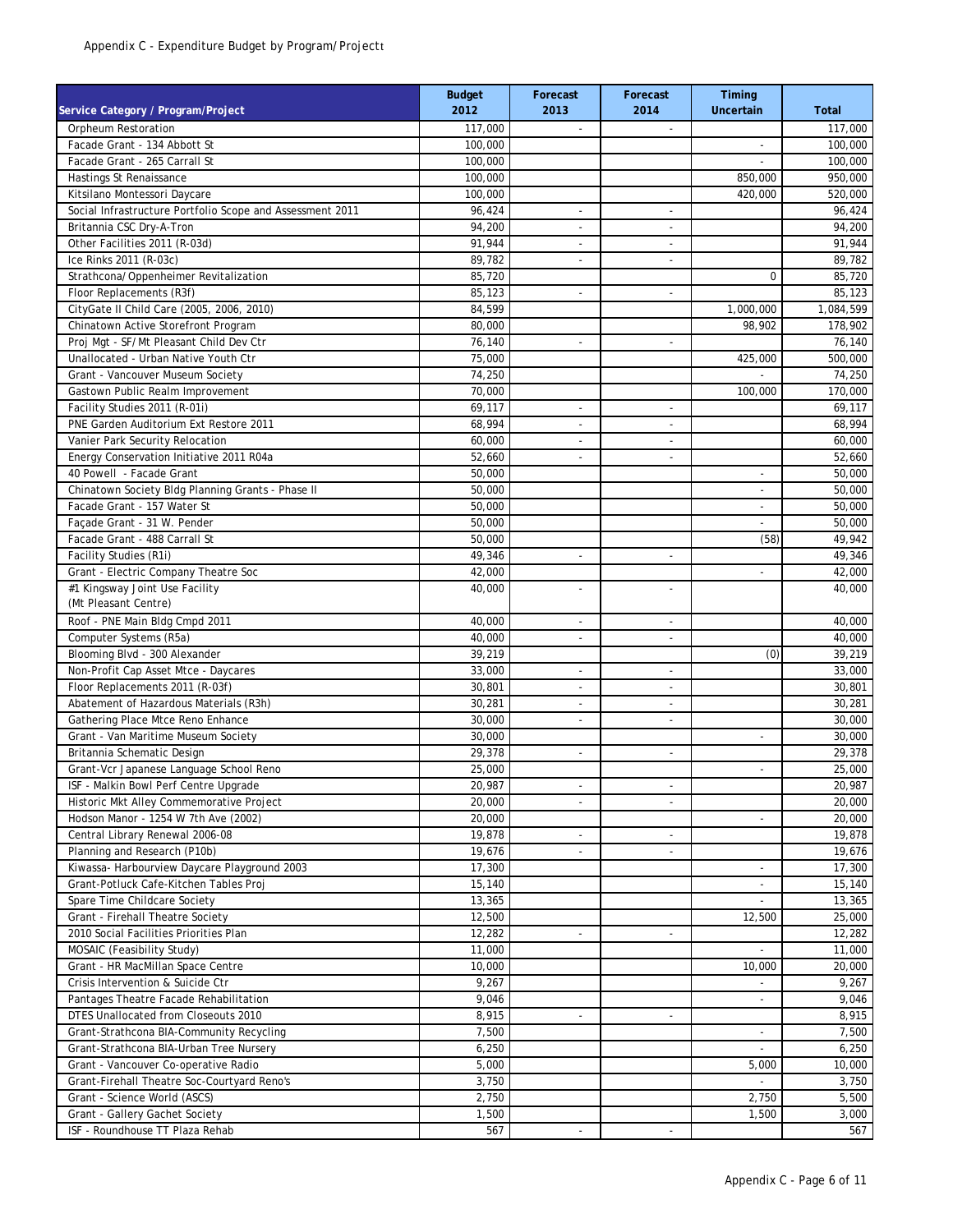| Service Category / Program/Project                                                  | <b>Budget</b><br>2012 | Forecast<br>2013         | Forecast<br>2014         | Timing<br><b>Uncertain</b>         | <b>Total</b>     |
|-------------------------------------------------------------------------------------|-----------------------|--------------------------|--------------------------|------------------------------------|------------------|
| Orpheum Restoration                                                                 | 117,000               | $\overline{\phantom{a}}$ | $\overline{\phantom{a}}$ |                                    | 117,000          |
| Facade Grant - 134 Abbott St                                                        | 100,000               |                          |                          |                                    | 100,000          |
| Facade Grant - 265 Carrall St                                                       | 100,000               |                          |                          | L.                                 | 100,000          |
| <b>Hastings St Renaissance</b>                                                      | 100,000               |                          |                          | 850,000                            | 950,000          |
| Kitsilano Montessori Daycare                                                        | 100,000               |                          |                          | 420,000                            | 520,000          |
| Social Infrastructure Portfolio Scope and Assessment 2011                           | 96,424                | $\overline{a}$           | $\overline{a}$           |                                    | 96,424           |
| Britannia CSC Dry-A-Tron                                                            | 94,200                | $\overline{a}$           | $\overline{\phantom{a}}$ |                                    | 94,200           |
| Other Facilities 2011 (R-03d)                                                       | 91,944                | $\overline{\phantom{a}}$ | $\overline{\phantom{a}}$ |                                    | 91,944           |
| Ice Rinks 2011 (R-03c)                                                              | 89,782                | $\overline{a}$           | $\overline{a}$           |                                    | 89,782           |
| Strathcona/Oppenheimer Revitalization                                               | 85,720                |                          |                          | $\mathbf 0$                        | 85,720           |
| Floor Replacements (R3f)                                                            | 85,123                | $\overline{a}$           | L,                       |                                    | 85,123           |
| CityGate II Child Care (2005, 2006, 2010)                                           | 84,599                |                          |                          | 1,000,000                          | 1,084,599        |
| Chinatown Active Storefront Program                                                 | 80,000                |                          |                          | 98,902                             | 178,902          |
| Proj Mgt - SF/Mt Pleasant Child Dev Ctr                                             | 76,140                | $\overline{a}$           | $\overline{\phantom{m}}$ |                                    | 76,140           |
| Unallocated - Urban Native Youth Ctr                                                | 75,000                |                          |                          | 425,000                            | 500,000          |
| Grant - Vancouver Museum Society                                                    | 74,250                |                          |                          |                                    | 74,250           |
| Gastown Public Realm Improvement                                                    | 70,000                |                          |                          | 100,000                            | 170,000          |
| Facility Studies 2011 (R-01i)                                                       | 69,117                | ٠                        | $\blacksquare$           |                                    | 69,117           |
| PNE Garden Auditorium Ext Restore 2011                                              | 68,994                | ٠                        | ٠                        |                                    | 68,994           |
| Vanier Park Security Relocation                                                     | 60,000                | $\overline{\phantom{a}}$ | $\overline{\phantom{a}}$ |                                    | 60,000           |
| Energy Conservation Initiative 2011 R04a                                            | 52,660                | ٠                        | $\blacksquare$           |                                    | 52,660           |
| 40 Powell - Facade Grant                                                            | 50,000                |                          |                          | $\overline{\phantom{a}}$           | 50,000           |
| Chinatown Society Bldg Planning Grants - Phase II                                   | 50,000                |                          |                          | ÷,                                 | 50,000           |
| Facade Grant - 157 Water St                                                         | 50.000                |                          |                          | $\overline{\phantom{a}}$           | 50,000           |
| Facade Grant - 31 W. Pender                                                         | 50,000                |                          |                          | $\overline{a}$                     | 50,000           |
| Facade Grant - 488 Carrall St                                                       | 50,000                |                          |                          | (58)                               | 49,942           |
| Facility Studies (R1i)                                                              | 49,346                | ÷,                       | L,                       |                                    | 49,346           |
| Grant - Electric Company Theatre Soc                                                | 42,000                |                          |                          | $\overline{\phantom{a}}$           | 42,000           |
| #1 Kingsway Joint Use Facility                                                      | 40,000                | $\overline{\phantom{m}}$ | $\overline{\phantom{a}}$ |                                    | 40,000           |
| (Mt Pleasant Centre)                                                                |                       |                          |                          |                                    |                  |
| Roof - PNE Main Bldg Cmpd 2011                                                      | 40,000                |                          | $\overline{\phantom{a}}$ |                                    | 40,000           |
| Computer Systems (R5a)                                                              | 40,000                | $\overline{\phantom{a}}$ | $\overline{\phantom{a}}$ |                                    | 40,000           |
| Blooming Blvd - 300 Alexander                                                       | 39,219                |                          |                          | (0)                                | 39,219           |
| Non-Profit Cap Asset Mtce - Daycares                                                | 33,000                | $\overline{\phantom{a}}$ | $\overline{\phantom{a}}$ |                                    | 33,000           |
| Floor Replacements 2011 (R-03f)                                                     | 30,801                | $\overline{a}$           | $\overline{a}$           |                                    | 30,801           |
| Abatement of Hazardous Materials (R3h)                                              | 30,281                | $\overline{a}$           | L,                       |                                    | 30,281           |
| Gathering Place Mtce Reno Enhance                                                   | 30,000                | $\overline{\phantom{a}}$ | $\overline{a}$           |                                    | 30,000           |
| Grant - Van Maritime Museum Society                                                 | 30,000                |                          |                          | ÷,                                 | 30,000           |
| Britannia Schematic Design                                                          | 29,378                | $\overline{a}$           | $\overline{\phantom{a}}$ |                                    | 29,378           |
| Grant-Vcr Japanese Language School Reno                                             | 25,000                |                          |                          | ٠                                  | 25,000           |
| ISF - Malkin Bowl Perf Centre Upgrade                                               | 20,987                | $\overline{\phantom{a}}$ | $\overline{\phantom{a}}$ |                                    | 20,987           |
| Historic Mkt Alley Commemorative Project                                            | 20,000                | ٠                        | $\overline{\phantom{a}}$ |                                    | 20,000           |
| Hodson Manor - 1254 W 7th Ave (2002)                                                | 20,000                |                          |                          | $\overline{\phantom{a}}$           | 20,000           |
| Central Library Renewal 2006-08                                                     | 19,878                |                          | ٠                        |                                    | 19,878           |
| Planning and Research (P10b)                                                        | 19,676                | $\blacksquare$           | $\blacksquare$           |                                    | 19,676           |
| Kiwassa- Harbourview Daycare Playground 2003                                        | 17,300                |                          |                          | $\overline{\phantom{a}}$           | 17,300           |
| Grant-Potluck Cafe-Kitchen Tables Proj                                              | 15,140<br>13,365      |                          |                          | $\overline{\phantom{a}}$           | 15,140<br>13,365 |
| Spare Time Childcare Society                                                        | 12,500                |                          |                          |                                    | 25,000           |
| Grant - Firehall Theatre Society<br>2010 Social Facilities Priorities Plan          |                       |                          |                          | 12,500                             | 12,282           |
|                                                                                     | 12,282                | $\overline{\phantom{a}}$ | $\overline{\phantom{a}}$ | $\overline{\phantom{a}}$           |                  |
| MOSAIC (Feasibility Study)                                                          | 11,000<br>10,000      |                          |                          |                                    | 11,000           |
| Grant - HR MacMillan Space Centre<br>Crisis Intervention & Suicide Ctr              | 9,267                 |                          |                          | 10,000<br>$\overline{\phantom{a}}$ | 20,000           |
| Pantages Theatre Facade Rehabilitation                                              | 9,046                 |                          |                          |                                    | 9,267<br>9,046   |
| DTES Unallocated from Closeouts 2010                                                | 8,915                 |                          |                          | $\overline{\phantom{a}}$           |                  |
|                                                                                     | 7,500                 | $\overline{\phantom{a}}$ | $\overline{\phantom{a}}$ |                                    | 8,915            |
| Grant-Strathcona BIA-Community Recycling<br>Grant-Strathcona BIA-Urban Tree Nursery | 6,250                 |                          |                          | L.                                 | 7,500<br>6,250   |
| Grant - Vancouver Co-operative Radio                                                | 5,000                 |                          |                          | 5,000                              | 10,000           |
| Grant-Firehall Theatre Soc-Courtyard Reno's                                         | 3,750                 |                          |                          | $\overline{\phantom{a}}$           | 3,750            |
| Grant - Science World (ASCS)                                                        | 2,750                 |                          |                          | 2,750                              | 5,500            |
| Grant - Gallery Gachet Society                                                      | 1,500                 |                          |                          | 1,500                              | 3,000            |
| ISF - Roundhouse TT Plaza Rehab                                                     | 567                   | $\overline{\phantom{a}}$ | $\overline{\phantom{a}}$ |                                    | 567              |
|                                                                                     |                       |                          |                          |                                    |                  |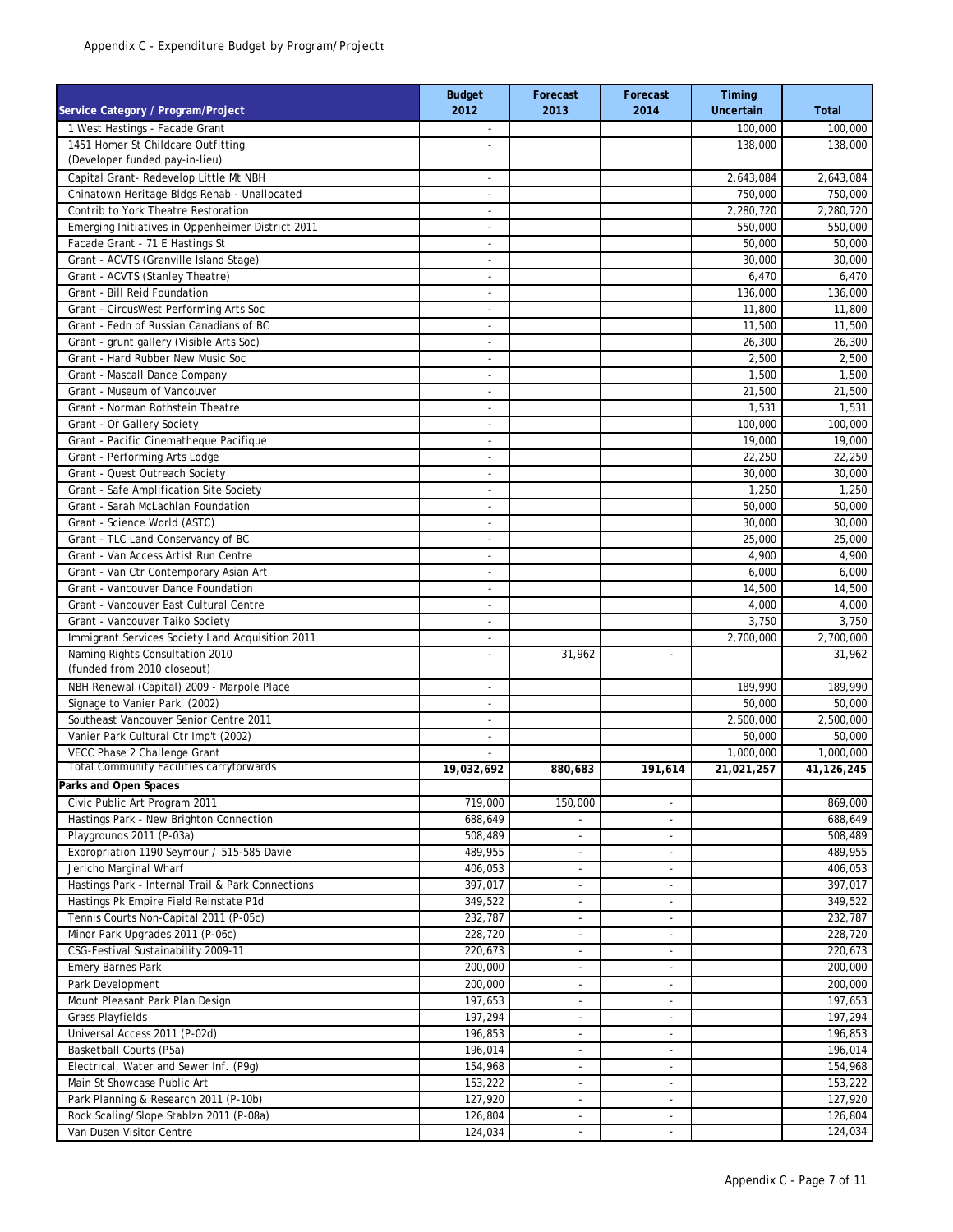| Service Category / Program/Project                | <b>Budget</b><br>2012    | Forecast<br>2013         | Forecast<br>2014         | Timing<br><b>Uncertain</b> | <b>Total</b> |
|---------------------------------------------------|--------------------------|--------------------------|--------------------------|----------------------------|--------------|
| 1 West Hastings - Facade Grant                    | $\overline{\phantom{a}}$ |                          |                          | 100.000                    | 100,000      |
| 1451 Homer St Childcare Outfitting                |                          |                          |                          | 138,000                    | 138,000      |
| (Developer funded pay-in-lieu)                    |                          |                          |                          |                            |              |
| Capital Grant- Redevelop Little Mt NBH            | $\overline{a}$           |                          |                          | 2,643,084                  | 2,643,084    |
| Chinatown Heritage Bldgs Rehab - Unallocated      | $\overline{a}$           |                          |                          | 750,000                    | 750,000      |
| Contrib to York Theatre Restoration               | $\overline{\phantom{a}}$ |                          |                          | 2,280,720                  | 2,280,720    |
| Emerging Initiatives in Oppenheimer District 2011 | ÷,                       |                          |                          | 550,000                    | 550,000      |
| Facade Grant - 71 E Hastings St                   | $\overline{\phantom{a}}$ |                          |                          | 50,000                     | 50,000       |
| Grant - ACVTS (Granville Island Stage)            | $\sim$                   |                          |                          | 30,000                     | 30,000       |
| Grant - ACVTS (Stanley Theatre)                   | L,                       |                          |                          | 6,470                      | 6,470        |
| Grant - Bill Reid Foundation                      | ٠                        |                          |                          | 136,000                    | 136,000      |
| Grant - CircusWest Performing Arts Soc            | $\overline{\phantom{a}}$ |                          |                          | 11,800                     | 11,800       |
| Grant - Fedn of Russian Canadians of BC           | $\overline{\phantom{a}}$ |                          |                          | 11,500                     | 11,500       |
| Grant - grunt gallery (Visible Arts Soc)          | $\overline{\phantom{a}}$ |                          |                          | 26,300                     | 26,300       |
| Grant - Hard Rubber New Music Soc                 | ٠                        |                          |                          | 2,500                      | 2,500        |
| Grant - Mascall Dance Company                     | $\overline{\phantom{a}}$ |                          |                          | 1,500                      | 1,500        |
| Grant - Museum of Vancouver                       | $\overline{a}$           |                          |                          | 21,500                     | 21,500       |
| Grant - Norman Rothstein Theatre                  | ä,                       |                          |                          | 1,531                      | 1,531        |
| Grant - Or Gallery Society                        | $\overline{a}$           |                          |                          | 100,000                    | 100,000      |
| Grant - Pacific Cinematheque Pacifique            | $\overline{\phantom{a}}$ |                          |                          | 19,000                     | 19,000       |
| Grant - Performing Arts Lodge                     | $\overline{\phantom{a}}$ |                          |                          | 22,250                     | 22,250       |
| Grant - Quest Outreach Society                    | $\overline{\phantom{a}}$ |                          |                          | 30,000                     | 30,000       |
| Grant - Safe Amplification Site Society           | $\overline{\phantom{m}}$ |                          |                          | 1,250                      | 1,250        |
| Grant - Sarah McLachlan Foundation                | $\overline{a}$           |                          |                          | 50,000                     | 50,000       |
| Grant - Science World (ASTC)                      | $\overline{\phantom{a}}$ |                          |                          | 30.000                     | 30,000       |
| Grant - TLC Land Conservancy of BC                | $\overline{a}$           |                          |                          | 25,000                     | 25,000       |
| Grant - Van Access Artist Run Centre              | $\overline{\phantom{m}}$ |                          |                          | 4,900                      | 4,900        |
| Grant - Van Ctr Contemporary Asian Art            | $\overline{a}$           |                          |                          | 6,000                      | 6,000        |
| Grant - Vancouver Dance Foundation                | $\overline{\phantom{m}}$ |                          |                          | 14,500                     | 14,500       |
| Grant - Vancouver East Cultural Centre            | ä,                       |                          |                          | 4,000                      | 4,000        |
| Grant - Vancouver Taiko Society                   | $\overline{\phantom{m}}$ |                          |                          | 3,750                      | 3,750        |
| Immigrant Services Society Land Acquisition 2011  |                          |                          |                          | 2,700,000                  | 2,700,000    |
| Naming Rights Consultation 2010                   | L,                       | 31,962                   | $\overline{\phantom{a}}$ |                            | 31,962       |
| (funded from 2010 closeout)                       |                          |                          |                          |                            |              |
| NBH Renewal (Capital) 2009 - Marpole Place        | $\overline{a}$           |                          |                          | 189,990                    | 189,990      |
| Signage to Vanier Park (2002)                     | ٠                        |                          |                          | 50,000                     | 50,000       |
| Southeast Vancouver Senior Centre 2011            | $\overline{\phantom{a}}$ |                          |                          | 2,500,000                  | 2,500,000    |
| Vanier Park Cultural Ctr Imp't (2002)             | $\overline{\phantom{a}}$ |                          |                          | 50,000                     | 50,000       |
| VECC Phase 2 Challenge Grant                      |                          |                          |                          | 1,000,000                  | 1,000,000    |
| <b>Total Community Facilities carryforwards</b>   | 19,032,692               | 880,683                  | 191,614                  | 21,021,257                 | 41,126,245   |
| Parks and Open Spaces                             |                          |                          |                          |                            |              |
| Civic Public Art Program 2011                     | 719,000                  | 150,000                  | $\overline{\phantom{a}}$ |                            | 869,000      |
| Hastings Park - New Brighton Connection           | 688,649                  |                          | $\overline{\phantom{a}}$ |                            | 688,649      |
| Playgrounds 2011 (P-03a)                          | 508,489                  |                          | $\overline{\phantom{a}}$ |                            | 508,489      |
| Expropriation 1190 Seymour / 515-585 Davie        | 489,955                  | $\tilde{\phantom{a}}$    | $\overline{\phantom{a}}$ |                            | 489,955      |
| Jericho Marginal Wharf                            | 406,053                  | $\overline{\phantom{a}}$ | $\overline{\phantom{a}}$ |                            | 406,053      |
| Hastings Park - Internal Trail & Park Connections | 397,017                  | $\overline{\phantom{a}}$ | $\overline{\phantom{a}}$ |                            | 397,017      |
| Hastings Pk Empire Field Reinstate P1d            | 349,522                  | $\overline{\phantom{a}}$ | $\overline{\phantom{a}}$ |                            | 349,522      |
| Tennis Courts Non-Capital 2011 (P-05c)            | 232,787                  | $\overline{\phantom{a}}$ | $\overline{\phantom{a}}$ |                            | 232,787      |
| Minor Park Upgrades 2011 (P-06c)                  | 228,720                  | $\overline{\phantom{a}}$ | $\overline{\phantom{a}}$ |                            | 228,720      |
| CSG-Festival Sustainability 2009-11               | 220,673                  | $\overline{\phantom{a}}$ | $\overline{\phantom{a}}$ |                            | 220,673      |
| <b>Emery Barnes Park</b>                          | 200,000                  | $\overline{\phantom{a}}$ | $\overline{\phantom{a}}$ |                            | 200,000      |
| Park Development                                  | 200,000                  | $\sim$                   | $\overline{a}$           |                            | 200,000      |
| Mount Pleasant Park Plan Design                   | 197,653                  | $\overline{\phantom{a}}$ | $\overline{\phantom{a}}$ |                            | 197,653      |
| <b>Grass Playfields</b>                           | 197,294                  | $\overline{\phantom{a}}$ | $\overline{\phantom{a}}$ |                            | 197,294      |
| Universal Access 2011 (P-02d)                     | 196,853                  | $\overline{\phantom{a}}$ | $\overline{\phantom{a}}$ |                            | 196,853      |
| Basketball Courts (P5a)                           | 196,014                  | $\overline{\phantom{a}}$ | $\overline{\phantom{a}}$ |                            | 196,014      |
| Electrical, Water and Sewer Inf. (P9g)            | 154,968                  | $\overline{\phantom{a}}$ | $\overline{\phantom{a}}$ |                            | 154,968      |
| Main St Showcase Public Art                       | 153,222                  | $\overline{\phantom{a}}$ | $\overline{\phantom{a}}$ |                            | 153,222      |
| Park Planning & Research 2011 (P-10b)             | 127,920                  | $\overline{\phantom{a}}$ | $\overline{\phantom{a}}$ |                            | 127,920      |
| Rock Scaling/Slope Stablzn 2011 (P-08a)           | 126,804                  |                          |                          |                            | 126,804      |
| Van Dusen Visitor Centre                          | 124,034                  | $\overline{\phantom{a}}$ | $\overline{\phantom{a}}$ |                            | 124,034      |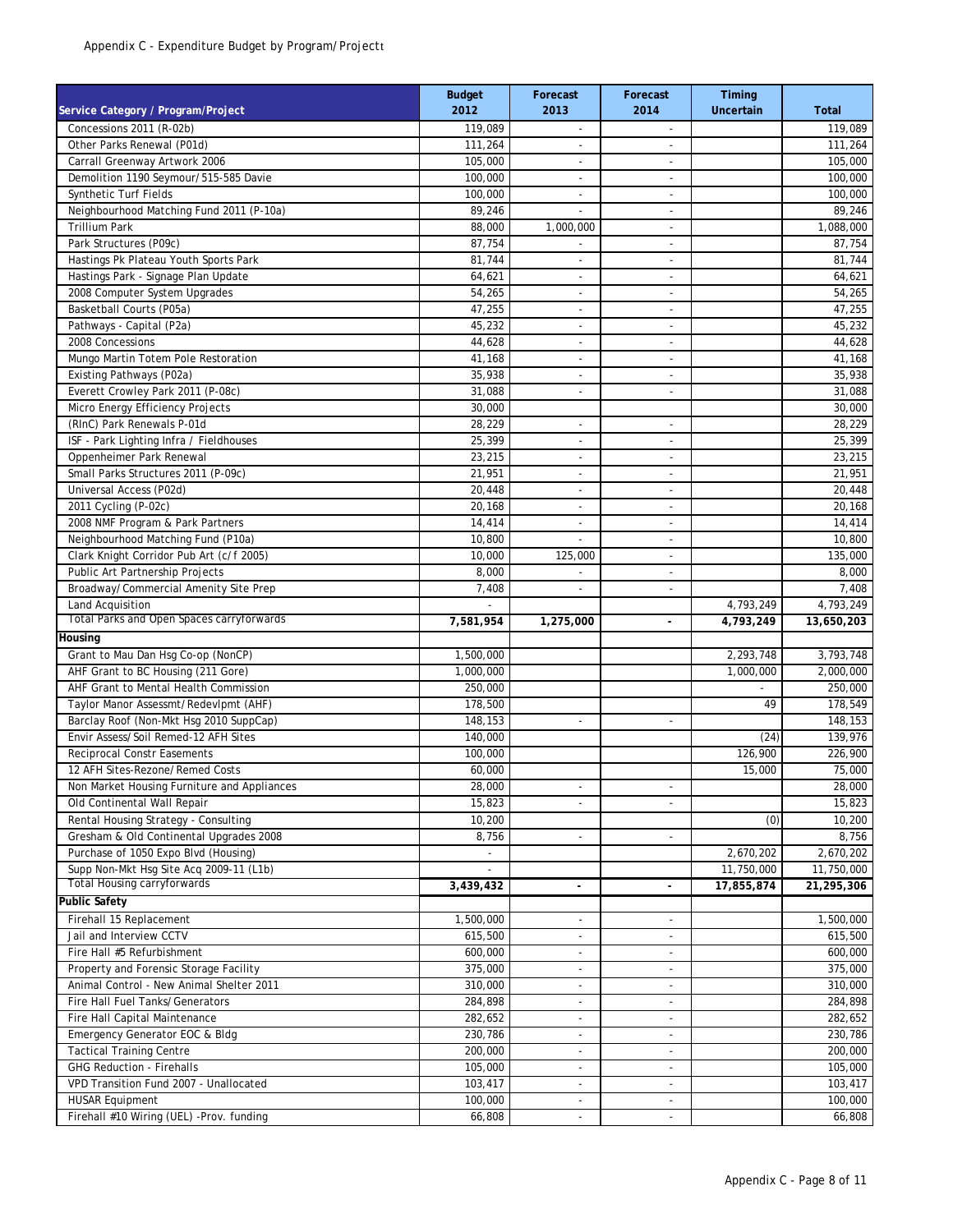| Service Category / Program/Project          | <b>Budget</b><br>2012 | Forecast<br>2013         | Forecast<br>2014         | Timing<br>Uncertain | <b>Total</b> |
|---------------------------------------------|-----------------------|--------------------------|--------------------------|---------------------|--------------|
| Concessions 2011 (R-02b)                    | 119,089               | $\overline{\phantom{a}}$ | $\overline{\phantom{a}}$ |                     | 119,089      |
| Other Parks Renewal (P01d)                  | 111,264               |                          | $\overline{a}$           |                     | 111,264      |
| Carrall Greenway Artwork 2006               | 105,000               | $\sim$                   | $\overline{\phantom{a}}$ |                     | 105,000      |
| Demolition 1190 Seymour/515-585 Davie       | 100,000               | $\blacksquare$           | $\overline{\phantom{a}}$ |                     | 100,000      |
| <b>Synthetic Turf Fields</b>                | 100,000               | $\overline{\phantom{a}}$ | $\overline{a}$           |                     | 100,000      |
| Neighbourhood Matching Fund 2011 (P-10a)    | 89,246                |                          | $\overline{\phantom{a}}$ |                     | 89,246       |
| <b>Trillium Park</b>                        | 88,000                | 1,000,000                | $\overline{\phantom{a}}$ |                     | 1,088,000    |
| Park Structures (P09c)                      | 87,754                | $\blacksquare$           | $\overline{\phantom{a}}$ |                     | 87,754       |
| Hastings Pk Plateau Youth Sports Park       | 81,744                | $\overline{\phantom{a}}$ | $\overline{a}$           |                     | 81,744       |
| Hastings Park - Signage Plan Update         | 64,621                | $\overline{a}$           | $\overline{\phantom{a}}$ |                     | 64,621       |
| 2008 Computer System Upgrades               | 54,265                | $\overline{a}$           | L,                       |                     | 54,265       |
| Basketball Courts (P05a)                    | 47,255                | $\overline{\phantom{a}}$ | $\overline{\phantom{a}}$ |                     | 47,255       |
| Pathways - Capital (P2a)                    | 45,232                | ÷,                       | L,                       |                     | 45,232       |
| 2008 Concessions                            | 44,628                | $\overline{\phantom{a}}$ | $\overline{\phantom{a}}$ |                     | 44,628       |
| Mungo Martin Totem Pole Restoration         | 41,168                | $\overline{a}$           | $\overline{a}$           |                     | 41,168       |
| Existing Pathways (P02a)                    | 35,938                | $\blacksquare$           | $\overline{\phantom{a}}$ |                     | 35,938       |
| Everett Crowley Park 2011 (P-08c)           | 31,088                | ٠                        | $\overline{\phantom{a}}$ |                     | 31,088       |
| Micro Energy Efficiency Projects            | 30,000                |                          |                          |                     | 30,000       |
| (RInC) Park Renewals P-01d                  | 28,229                | ٠                        | ٠                        |                     | 28,229       |
| ISF - Park Lighting Infra / Fieldhouses     | 25,399                | ٠                        | $\overline{\phantom{a}}$ |                     | 25,399       |
| Oppenheimer Park Renewal                    | 23,215                | $\overline{\phantom{a}}$ | $\overline{\phantom{a}}$ |                     | 23,215       |
| Small Parks Structures 2011 (P-09c)         | 21,951                | ٠                        | $\blacksquare$           |                     | 21,951       |
| Universal Access (P02d)                     | 20,448                | ÷,                       | $\overline{\phantom{a}}$ |                     | 20,448       |
|                                             |                       |                          |                          |                     |              |
| 2011 Cycling (P-02c)                        | 20,168                | $\overline{\phantom{a}}$ | $\overline{\phantom{a}}$ |                     | 20,168       |
| 2008 NMF Program & Park Partners            | 14,414                | $\overline{a}$           | $\overline{\phantom{a}}$ |                     | 14,414       |
| Neighbourhood Matching Fund (P10a)          | 10,800                | ٠                        | $\overline{\phantom{a}}$ |                     | 10,800       |
| Clark Knight Corridor Pub Art (c/f 2005)    | 10,000                | 125,000                  | ٠                        |                     | 135,000      |
| Public Art Partnership Projects             | 8,000                 | $\overline{a}$           | $\overline{\phantom{a}}$ |                     | 8,000        |
| Broadway/Commercial Amenity Site Prep       | 7,408                 | $\overline{\phantom{a}}$ | $\overline{\phantom{a}}$ |                     | 7,408        |
| Land Acquisition                            |                       |                          |                          | 4,793,249           | 4,793,249    |
| Total Parks and Open Spaces carryforwards   | 7,581,954             | 1,275,000                |                          | 4,793,249           | 13,650,203   |
| Housing                                     |                       |                          |                          |                     |              |
| Grant to Mau Dan Hsg Co-op (NonCP)          | 1,500,000             |                          |                          | 2,293,748           | 3,793,748    |
| AHF Grant to BC Housing (211 Gore)          | 1,000,000             |                          |                          | 1,000,000           | 2,000,000    |
| AHF Grant to Mental Health Commission       | 250,000               |                          |                          |                     | 250,000      |
| Taylor Manor Assessmt/Redevlpmt (AHF)       | 178,500               |                          |                          | 49                  | 178,549      |
| Barclay Roof (Non-Mkt Hsg 2010 SuppCap)     | 148,153               | $\overline{\phantom{a}}$ | $\overline{\phantom{a}}$ |                     | 148,153      |
| Envir Assess/Soil Remed-12 AFH Sites        | 140,000               |                          |                          | (24)                | 139,976      |
| <b>Reciprocal Constr Easements</b>          | 100,000               |                          |                          | 126,900             | 226,900      |
| 12 AFH Sites-Rezone/Remed Costs             | 60,000                |                          |                          | 15,000              | 75,000       |
| Non Market Housing Furniture and Appliances | 28,000                | $\overline{\phantom{a}}$ | $\overline{a}$           |                     | 28,000       |
| Old Continental Wall Repair                 | 15,823                | $\overline{\phantom{a}}$ | $\overline{\phantom{a}}$ |                     | 15,823       |
| Rental Housing Strategy - Consulting        | 10,200                |                          |                          | (0)                 | 10,200       |
| Gresham & Old Continental Upgrades 2008     | 8,756                 | $\overline{a}$           | $\overline{\phantom{a}}$ |                     | 8,756        |
| Purchase of 1050 Expo Blvd (Housing)        | $\overline{a}$        |                          |                          | 2,670,202           | 2,670,202    |
| Supp Non-Mkt Hsg Site Acq 2009-11 (L1b)     |                       |                          |                          | 11,750,000          | 11,750,000   |
| <b>Total Housing carryforwards</b>          | 3,439,432             | $\overline{\phantom{a}}$ | $\overline{\phantom{a}}$ | 17,855,874          | 21,295,306   |
| <b>Public Safety</b>                        |                       |                          |                          |                     |              |
| Firehall 15 Replacement                     | 1,500,000             |                          |                          |                     | 1,500,000    |
| Jail and Interview CCTV                     | 615,500               | $\overline{\phantom{a}}$ | $\overline{\phantom{a}}$ |                     | 615,500      |
| Fire Hall #5 Refurbishment                  | 600,000               | ٠                        | $\overline{\phantom{a}}$ |                     | 600,000      |
| Property and Forensic Storage Facility      | 375,000               | $\overline{\phantom{a}}$ | $\overline{\phantom{a}}$ |                     | 375,000      |
| Animal Control - New Animal Shelter 2011    | 310,000               | $\overline{a}$           | $\overline{\phantom{a}}$ |                     | 310,000      |
| Fire Hall Fuel Tanks/Generators             | 284,898               | $\overline{a}$           | ÷.                       |                     | 284,898      |
| Fire Hall Capital Maintenance               | 282,652               | $\overline{\phantom{a}}$ | $\overline{\phantom{a}}$ |                     | 282,652      |
| Emergency Generator EOC & Bldg              | 230,786               | $\overline{\phantom{a}}$ | $\overline{\phantom{a}}$ |                     | 230,786      |
| <b>Tactical Training Centre</b>             | 200,000               | $\overline{\phantom{a}}$ | $\overline{\phantom{a}}$ |                     | 200,000      |
| <b>GHG Reduction - Firehalls</b>            | 105,000               | $\overline{\phantom{a}}$ | ÷.                       |                     | 105,000      |
| VPD Transition Fund 2007 - Unallocated      | 103,417               | $\overline{\phantom{a}}$ | $\overline{\phantom{a}}$ |                     | 103,417      |
| <b>HUSAR Equipment</b>                      | 100,000               | $\overline{\phantom{a}}$ | $\overline{\phantom{a}}$ |                     | 100,000      |
| Firehall #10 Wiring (UEL) -Prov. funding    | 66,808                | $\overline{\phantom{a}}$ | $\overline{\phantom{a}}$ |                     | 66,808       |
|                                             |                       |                          |                          |                     |              |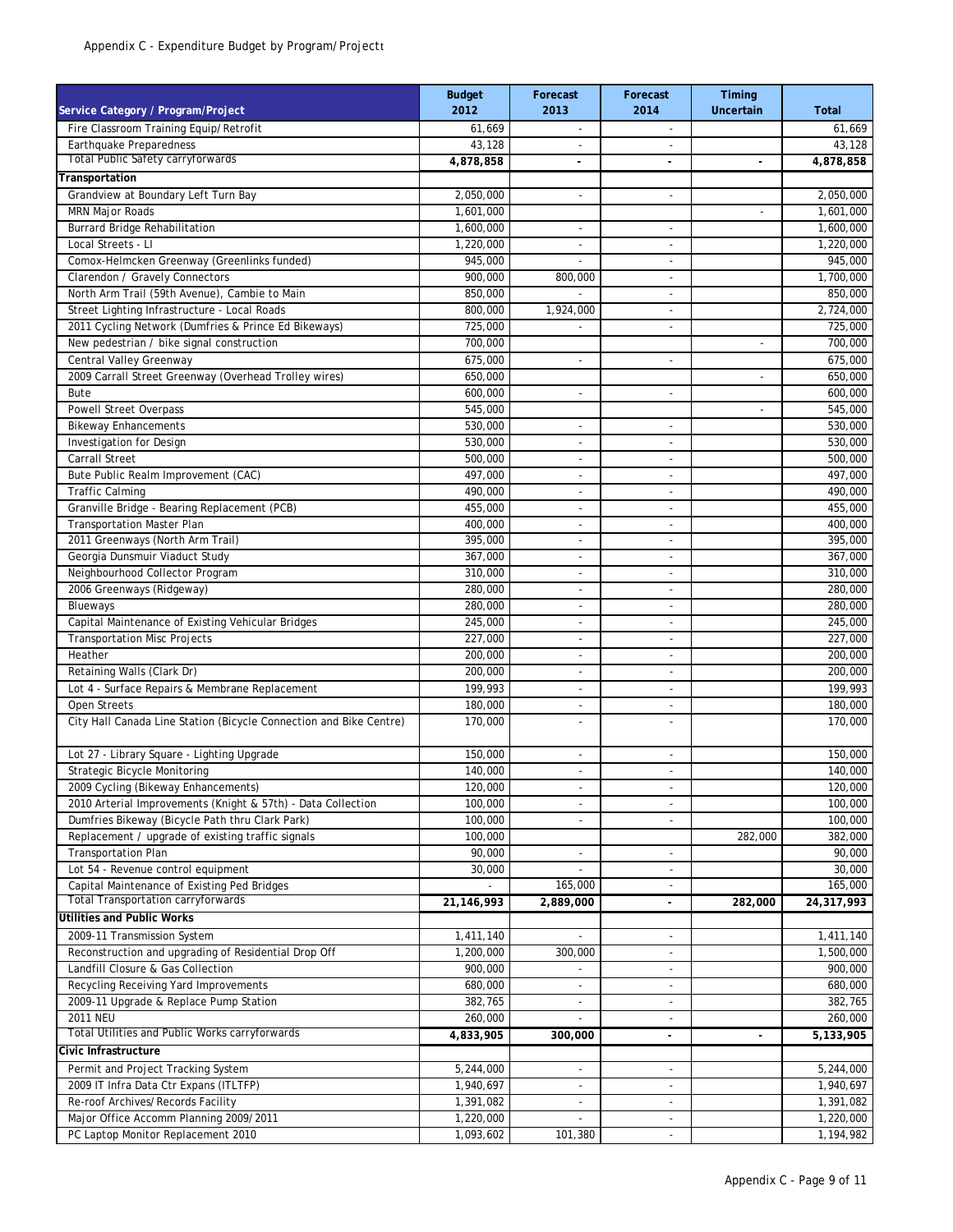| Fire Classroom Training Equip/Retrofit<br>61,669<br>61,669<br>$\overline{\phantom{a}}$<br>$\overline{\phantom{a}}$<br>Earthquake Preparedness<br>43,128<br>43,128<br><b>Total Public Safety carryforwards</b><br>4,878,858<br>4,878,858<br>Transportation<br>Grandview at Boundary Left Turn Bay<br>2,050,000<br>2,050,000<br>÷.<br>$\overline{a}$<br>MRN Major Roads<br>1,601,000<br>1,601,000<br>L,<br><b>Burrard Bridge Rehabilitation</b><br>1,600,000<br>1,600,000<br>$\overline{\phantom{0}}$<br>Local Streets - Ll<br>1,220,000<br>1,220,000<br>$\overline{\phantom{a}}$<br>$\overline{\phantom{a}}$<br>Comox-Helmcken Greenway (Greenlinks funded)<br>945,000<br>945,000<br>$\overline{\phantom{a}}$<br>Clarendon / Gravely Connectors<br>900,000<br>800,000<br>1,700,000<br>$\overline{\phantom{a}}$<br>North Arm Trail (59th Avenue), Cambie to Main<br>850,000<br>850,000<br>Street Lighting Infrastructure - Local Roads<br>1,924,000<br>2,724,000<br>800,000<br>$\overline{\phantom{0}}$<br>2011 Cycling Network (Dumfries & Prince Ed Bikeways)<br>725,000<br>725,000<br>$\overline{\phantom{a}}$<br>New pedestrian / bike signal construction<br>700,000<br>700,000<br>L,<br>Central Valley Greenway<br>675,000<br>675,000<br>L,<br>$\overline{\phantom{a}}$<br>2009 Carrall Street Greenway (Overhead Trolley wires)<br>650,000<br>650,000<br>L,<br>Bute<br>600.000<br>600,000<br>$\overline{\phantom{a}}$<br>$\overline{\phantom{a}}$<br><b>Powell Street Overpass</b><br>545,000<br>545,000<br>$\overline{a}$<br><b>Bikeway Enhancements</b><br>530,000<br>530,000<br>L,<br>$\blacksquare$<br>Investigation for Design<br>530,000<br>530,000<br>٠<br>$\overline{\phantom{a}}$<br>Carrall Street<br>500,000<br>500,000<br>$\overline{\phantom{a}}$<br>$\overline{\phantom{a}}$<br>Bute Public Realm Improvement (CAC)<br>497,000<br>497,000<br>$\overline{\phantom{a}}$<br>$\overline{\phantom{a}}$<br><b>Traffic Calming</b><br>490,000<br>490,000<br>٠<br>$\overline{\phantom{a}}$<br>Granville Bridge - Bearing Replacement (PCB)<br>455,000<br>455,000<br>٠<br>$\overline{\phantom{a}}$<br><b>Transportation Master Plan</b><br>400,000<br>400,000<br>٠<br>$\overline{\phantom{a}}$<br>2011 Greenways (North Arm Trail)<br>395,000<br>395,000<br>$\overline{\phantom{a}}$<br>$\overline{\phantom{a}}$<br>Georgia Dunsmuir Viaduct Study<br>367,000<br>367,000<br>$\overline{\phantom{a}}$<br>$\overline{\phantom{a}}$<br>Neighbourhood Collector Program<br>310,000<br>310,000<br>$\overline{a}$<br>$\overline{\phantom{a}}$<br>2006 Greenways (Ridgeway)<br>280,000<br>280,000<br>$\overline{\phantom{a}}$<br>$\overline{\phantom{a}}$<br>Blueways<br>280,000<br>280,000<br>$\overline{\phantom{a}}$<br>$\overline{a}$<br>Capital Maintenance of Existing Vehicular Bridges<br>245,000<br>245,000<br>$\overline{\phantom{a}}$<br>$\overline{\phantom{a}}$<br><b>Transportation Misc Projects</b><br>227,000<br>227,000<br>$\overline{\phantom{a}}$<br>Heather<br>200,000<br>200,000<br>$\overline{\phantom{a}}$<br>$\overline{\phantom{a}}$<br>Retaining Walls (Clark Dr)<br>200,000<br>200,000<br>$\overline{\phantom{a}}$<br>$\overline{\phantom{a}}$<br>Lot 4 - Surface Repairs & Membrane Replacement<br>199,993<br>199,993<br>$\sim$<br>$\sim$<br>Open Streets<br>180,000<br>180,000<br>$\overline{a}$<br>City Hall Canada Line Station (Bicycle Connection and Bike Centre)<br>170,000<br>170,000<br>$\overline{\phantom{a}}$<br>$\overline{a}$<br>Lot 27 - Library Square - Lighting Upgrade<br>150,000<br>150,000<br>$\overline{\phantom{a}}$<br>$\sim$<br>Strategic Bicycle Monitoring<br>140,000<br>140,000<br>L.<br>2009 Cycling (Bikeway Enhancements)<br>120,000<br>120,000<br>$\overline{a}$<br>2010 Arterial Improvements (Knight & 57th) - Data Collection<br>100,000<br>100,000<br>$\overline{\phantom{a}}$<br>$\overline{\phantom{a}}$<br>Dumfries Bikeway (Bicycle Path thru Clark Park)<br>100,000<br>100,000<br>$\overline{\phantom{a}}$<br>$\overline{\phantom{0}}$<br>Replacement / upgrade of existing traffic signals<br>282,000<br>100,000<br>382,000<br><b>Transportation Plan</b><br>90,000<br>90,000<br>٠<br>Lot 54 - Revenue control equipment<br>30,000<br>30,000<br>٠<br>$\overline{\phantom{a}}$<br>Capital Maintenance of Existing Ped Bridges<br>165,000<br>165,000<br>$\overline{\phantom{a}}$<br><b>Total Transportation carryforwards</b><br>24,317,993<br>21,146,993<br>2,889,000<br>282,000<br>$\blacksquare$<br><b>Utilities and Public Works</b><br>1,411,140<br>1,411,140<br>2009-11 Transmission System<br>$\overline{a}$<br>$\overline{\phantom{0}}$<br>Reconstruction and upgrading of Residential Drop Off<br>1,200,000<br>300,000<br>1,500,000<br>$\overline{\phantom{a}}$<br>Landfill Closure & Gas Collection<br>900,000<br>900,000<br>$\overline{\phantom{a}}$<br>Recycling Receiving Yard Improvements<br>680,000<br>680,000<br>$\overline{\phantom{a}}$<br>2009-11 Upgrade & Replace Pump Station<br>382,765<br>382,765<br>۰<br><b>2011 NEU</b><br>260,000<br>260,000<br>$\overline{\phantom{a}}$<br>Total Utilities and Public Works carryforwards<br>4,833,905<br>300,000<br>5,133,905<br>$\overline{\phantom{a}}$<br>$\overline{\phantom{a}}$<br>Civic Infrastructure<br>Permit and Project Tracking System<br>5,244,000<br>5,244,000<br>$\overline{\phantom{a}}$<br>1,940,697<br>2009 IT Infra Data Ctr Expans (ITLTFP)<br>1,940,697<br>Re-roof Archives/Records Facility<br>1,391,082<br>1,391,082<br>$\overline{\phantom{a}}$<br>$\sim$<br>Major Office Accomm Planning 2009/2011<br>1,220,000<br>1,220,000<br>$\mathbf{r}$<br>$\overline{\phantom{a}}$<br>PC Laptop Monitor Replacement 2010<br>1,093,602<br>1,194,982<br>101,380<br>$\overline{\phantom{a}}$ | Service Category / Program/Project | <b>Budget</b><br>2012 | Forecast<br>2013 | Forecast<br>2014 | Timing<br>Uncertain | <b>Total</b> |
|-------------------------------------------------------------------------------------------------------------------------------------------------------------------------------------------------------------------------------------------------------------------------------------------------------------------------------------------------------------------------------------------------------------------------------------------------------------------------------------------------------------------------------------------------------------------------------------------------------------------------------------------------------------------------------------------------------------------------------------------------------------------------------------------------------------------------------------------------------------------------------------------------------------------------------------------------------------------------------------------------------------------------------------------------------------------------------------------------------------------------------------------------------------------------------------------------------------------------------------------------------------------------------------------------------------------------------------------------------------------------------------------------------------------------------------------------------------------------------------------------------------------------------------------------------------------------------------------------------------------------------------------------------------------------------------------------------------------------------------------------------------------------------------------------------------------------------------------------------------------------------------------------------------------------------------------------------------------------------------------------------------------------------------------------------------------------------------------------------------------------------------------------------------------------------------------------------------------------------------------------------------------------------------------------------------------------------------------------------------------------------------------------------------------------------------------------------------------------------------------------------------------------------------------------------------------------------------------------------------------------------------------------------------------------------------------------------------------------------------------------------------------------------------------------------------------------------------------------------------------------------------------------------------------------------------------------------------------------------------------------------------------------------------------------------------------------------------------------------------------------------------------------------------------------------------------------------------------------------------------------------------------------------------------------------------------------------------------------------------------------------------------------------------------------------------------------------------------------------------------------------------------------------------------------------------------------------------------------------------------------------------------------------------------------------------------------------------------------------------------------------------------------------------------------------------------------------------------------------------------------------------------------------------------------------------------------------------------------------------------------------------------------------------------------------------------------------------------------------------------------------------------------------------------------------------------------------------------------------------------------------------------------------------------------------------------------------------------------------------------------------------------------------------------------------------------------------------------------------------------------------------------------------------------------------------------------------------------------------------------------------------------------------------------------------------------------------------------------------------------------------------------------------------------------------------------------------------------------------------------------------------------------------------------------------------------------------------------------------------------------------------------------------------------------------------------------------------------------------------------------------------------------------------------------------------------------------------------------------------------------------------------------------------------------------------------------------------------------------------------------------------------------------------------------------------------------------------------------------------------------------------------------------------------------------------------------------------------------------------------------------------------------------------------------------------------------------------------------------------------------|------------------------------------|-----------------------|------------------|------------------|---------------------|--------------|
|                                                                                                                                                                                                                                                                                                                                                                                                                                                                                                                                                                                                                                                                                                                                                                                                                                                                                                                                                                                                                                                                                                                                                                                                                                                                                                                                                                                                                                                                                                                                                                                                                                                                                                                                                                                                                                                                                                                                                                                                                                                                                                                                                                                                                                                                                                                                                                                                                                                                                                                                                                                                                                                                                                                                                                                                                                                                                                                                                                                                                                                                                                                                                                                                                                                                                                                                                                                                                                                                                                                                                                                                                                                                                                                                                                                                                                                                                                                                                                                                                                                                                                                                                                                                                                                                                                                                                                                                                                                                                                                                                                                                                                                                                                                                                                                                                                                                                                                                                                                                                                                                                                                                                                                                                                                                                                                                                                                                                                                                                                                                                                                                                                                                                                                                                 |                                    |                       |                  |                  |                     |              |
|                                                                                                                                                                                                                                                                                                                                                                                                                                                                                                                                                                                                                                                                                                                                                                                                                                                                                                                                                                                                                                                                                                                                                                                                                                                                                                                                                                                                                                                                                                                                                                                                                                                                                                                                                                                                                                                                                                                                                                                                                                                                                                                                                                                                                                                                                                                                                                                                                                                                                                                                                                                                                                                                                                                                                                                                                                                                                                                                                                                                                                                                                                                                                                                                                                                                                                                                                                                                                                                                                                                                                                                                                                                                                                                                                                                                                                                                                                                                                                                                                                                                                                                                                                                                                                                                                                                                                                                                                                                                                                                                                                                                                                                                                                                                                                                                                                                                                                                                                                                                                                                                                                                                                                                                                                                                                                                                                                                                                                                                                                                                                                                                                                                                                                                                                 |                                    |                       |                  |                  |                     |              |
|                                                                                                                                                                                                                                                                                                                                                                                                                                                                                                                                                                                                                                                                                                                                                                                                                                                                                                                                                                                                                                                                                                                                                                                                                                                                                                                                                                                                                                                                                                                                                                                                                                                                                                                                                                                                                                                                                                                                                                                                                                                                                                                                                                                                                                                                                                                                                                                                                                                                                                                                                                                                                                                                                                                                                                                                                                                                                                                                                                                                                                                                                                                                                                                                                                                                                                                                                                                                                                                                                                                                                                                                                                                                                                                                                                                                                                                                                                                                                                                                                                                                                                                                                                                                                                                                                                                                                                                                                                                                                                                                                                                                                                                                                                                                                                                                                                                                                                                                                                                                                                                                                                                                                                                                                                                                                                                                                                                                                                                                                                                                                                                                                                                                                                                                                 |                                    |                       |                  |                  |                     |              |
|                                                                                                                                                                                                                                                                                                                                                                                                                                                                                                                                                                                                                                                                                                                                                                                                                                                                                                                                                                                                                                                                                                                                                                                                                                                                                                                                                                                                                                                                                                                                                                                                                                                                                                                                                                                                                                                                                                                                                                                                                                                                                                                                                                                                                                                                                                                                                                                                                                                                                                                                                                                                                                                                                                                                                                                                                                                                                                                                                                                                                                                                                                                                                                                                                                                                                                                                                                                                                                                                                                                                                                                                                                                                                                                                                                                                                                                                                                                                                                                                                                                                                                                                                                                                                                                                                                                                                                                                                                                                                                                                                                                                                                                                                                                                                                                                                                                                                                                                                                                                                                                                                                                                                                                                                                                                                                                                                                                                                                                                                                                                                                                                                                                                                                                                                 |                                    |                       |                  |                  |                     |              |
|                                                                                                                                                                                                                                                                                                                                                                                                                                                                                                                                                                                                                                                                                                                                                                                                                                                                                                                                                                                                                                                                                                                                                                                                                                                                                                                                                                                                                                                                                                                                                                                                                                                                                                                                                                                                                                                                                                                                                                                                                                                                                                                                                                                                                                                                                                                                                                                                                                                                                                                                                                                                                                                                                                                                                                                                                                                                                                                                                                                                                                                                                                                                                                                                                                                                                                                                                                                                                                                                                                                                                                                                                                                                                                                                                                                                                                                                                                                                                                                                                                                                                                                                                                                                                                                                                                                                                                                                                                                                                                                                                                                                                                                                                                                                                                                                                                                                                                                                                                                                                                                                                                                                                                                                                                                                                                                                                                                                                                                                                                                                                                                                                                                                                                                                                 |                                    |                       |                  |                  |                     |              |
|                                                                                                                                                                                                                                                                                                                                                                                                                                                                                                                                                                                                                                                                                                                                                                                                                                                                                                                                                                                                                                                                                                                                                                                                                                                                                                                                                                                                                                                                                                                                                                                                                                                                                                                                                                                                                                                                                                                                                                                                                                                                                                                                                                                                                                                                                                                                                                                                                                                                                                                                                                                                                                                                                                                                                                                                                                                                                                                                                                                                                                                                                                                                                                                                                                                                                                                                                                                                                                                                                                                                                                                                                                                                                                                                                                                                                                                                                                                                                                                                                                                                                                                                                                                                                                                                                                                                                                                                                                                                                                                                                                                                                                                                                                                                                                                                                                                                                                                                                                                                                                                                                                                                                                                                                                                                                                                                                                                                                                                                                                                                                                                                                                                                                                                                                 |                                    |                       |                  |                  |                     |              |
|                                                                                                                                                                                                                                                                                                                                                                                                                                                                                                                                                                                                                                                                                                                                                                                                                                                                                                                                                                                                                                                                                                                                                                                                                                                                                                                                                                                                                                                                                                                                                                                                                                                                                                                                                                                                                                                                                                                                                                                                                                                                                                                                                                                                                                                                                                                                                                                                                                                                                                                                                                                                                                                                                                                                                                                                                                                                                                                                                                                                                                                                                                                                                                                                                                                                                                                                                                                                                                                                                                                                                                                                                                                                                                                                                                                                                                                                                                                                                                                                                                                                                                                                                                                                                                                                                                                                                                                                                                                                                                                                                                                                                                                                                                                                                                                                                                                                                                                                                                                                                                                                                                                                                                                                                                                                                                                                                                                                                                                                                                                                                                                                                                                                                                                                                 |                                    |                       |                  |                  |                     |              |
|                                                                                                                                                                                                                                                                                                                                                                                                                                                                                                                                                                                                                                                                                                                                                                                                                                                                                                                                                                                                                                                                                                                                                                                                                                                                                                                                                                                                                                                                                                                                                                                                                                                                                                                                                                                                                                                                                                                                                                                                                                                                                                                                                                                                                                                                                                                                                                                                                                                                                                                                                                                                                                                                                                                                                                                                                                                                                                                                                                                                                                                                                                                                                                                                                                                                                                                                                                                                                                                                                                                                                                                                                                                                                                                                                                                                                                                                                                                                                                                                                                                                                                                                                                                                                                                                                                                                                                                                                                                                                                                                                                                                                                                                                                                                                                                                                                                                                                                                                                                                                                                                                                                                                                                                                                                                                                                                                                                                                                                                                                                                                                                                                                                                                                                                                 |                                    |                       |                  |                  |                     |              |
|                                                                                                                                                                                                                                                                                                                                                                                                                                                                                                                                                                                                                                                                                                                                                                                                                                                                                                                                                                                                                                                                                                                                                                                                                                                                                                                                                                                                                                                                                                                                                                                                                                                                                                                                                                                                                                                                                                                                                                                                                                                                                                                                                                                                                                                                                                                                                                                                                                                                                                                                                                                                                                                                                                                                                                                                                                                                                                                                                                                                                                                                                                                                                                                                                                                                                                                                                                                                                                                                                                                                                                                                                                                                                                                                                                                                                                                                                                                                                                                                                                                                                                                                                                                                                                                                                                                                                                                                                                                                                                                                                                                                                                                                                                                                                                                                                                                                                                                                                                                                                                                                                                                                                                                                                                                                                                                                                                                                                                                                                                                                                                                                                                                                                                                                                 |                                    |                       |                  |                  |                     |              |
|                                                                                                                                                                                                                                                                                                                                                                                                                                                                                                                                                                                                                                                                                                                                                                                                                                                                                                                                                                                                                                                                                                                                                                                                                                                                                                                                                                                                                                                                                                                                                                                                                                                                                                                                                                                                                                                                                                                                                                                                                                                                                                                                                                                                                                                                                                                                                                                                                                                                                                                                                                                                                                                                                                                                                                                                                                                                                                                                                                                                                                                                                                                                                                                                                                                                                                                                                                                                                                                                                                                                                                                                                                                                                                                                                                                                                                                                                                                                                                                                                                                                                                                                                                                                                                                                                                                                                                                                                                                                                                                                                                                                                                                                                                                                                                                                                                                                                                                                                                                                                                                                                                                                                                                                                                                                                                                                                                                                                                                                                                                                                                                                                                                                                                                                                 |                                    |                       |                  |                  |                     |              |
|                                                                                                                                                                                                                                                                                                                                                                                                                                                                                                                                                                                                                                                                                                                                                                                                                                                                                                                                                                                                                                                                                                                                                                                                                                                                                                                                                                                                                                                                                                                                                                                                                                                                                                                                                                                                                                                                                                                                                                                                                                                                                                                                                                                                                                                                                                                                                                                                                                                                                                                                                                                                                                                                                                                                                                                                                                                                                                                                                                                                                                                                                                                                                                                                                                                                                                                                                                                                                                                                                                                                                                                                                                                                                                                                                                                                                                                                                                                                                                                                                                                                                                                                                                                                                                                                                                                                                                                                                                                                                                                                                                                                                                                                                                                                                                                                                                                                                                                                                                                                                                                                                                                                                                                                                                                                                                                                                                                                                                                                                                                                                                                                                                                                                                                                                 |                                    |                       |                  |                  |                     |              |
|                                                                                                                                                                                                                                                                                                                                                                                                                                                                                                                                                                                                                                                                                                                                                                                                                                                                                                                                                                                                                                                                                                                                                                                                                                                                                                                                                                                                                                                                                                                                                                                                                                                                                                                                                                                                                                                                                                                                                                                                                                                                                                                                                                                                                                                                                                                                                                                                                                                                                                                                                                                                                                                                                                                                                                                                                                                                                                                                                                                                                                                                                                                                                                                                                                                                                                                                                                                                                                                                                                                                                                                                                                                                                                                                                                                                                                                                                                                                                                                                                                                                                                                                                                                                                                                                                                                                                                                                                                                                                                                                                                                                                                                                                                                                                                                                                                                                                                                                                                                                                                                                                                                                                                                                                                                                                                                                                                                                                                                                                                                                                                                                                                                                                                                                                 |                                    |                       |                  |                  |                     |              |
|                                                                                                                                                                                                                                                                                                                                                                                                                                                                                                                                                                                                                                                                                                                                                                                                                                                                                                                                                                                                                                                                                                                                                                                                                                                                                                                                                                                                                                                                                                                                                                                                                                                                                                                                                                                                                                                                                                                                                                                                                                                                                                                                                                                                                                                                                                                                                                                                                                                                                                                                                                                                                                                                                                                                                                                                                                                                                                                                                                                                                                                                                                                                                                                                                                                                                                                                                                                                                                                                                                                                                                                                                                                                                                                                                                                                                                                                                                                                                                                                                                                                                                                                                                                                                                                                                                                                                                                                                                                                                                                                                                                                                                                                                                                                                                                                                                                                                                                                                                                                                                                                                                                                                                                                                                                                                                                                                                                                                                                                                                                                                                                                                                                                                                                                                 |                                    |                       |                  |                  |                     |              |
|                                                                                                                                                                                                                                                                                                                                                                                                                                                                                                                                                                                                                                                                                                                                                                                                                                                                                                                                                                                                                                                                                                                                                                                                                                                                                                                                                                                                                                                                                                                                                                                                                                                                                                                                                                                                                                                                                                                                                                                                                                                                                                                                                                                                                                                                                                                                                                                                                                                                                                                                                                                                                                                                                                                                                                                                                                                                                                                                                                                                                                                                                                                                                                                                                                                                                                                                                                                                                                                                                                                                                                                                                                                                                                                                                                                                                                                                                                                                                                                                                                                                                                                                                                                                                                                                                                                                                                                                                                                                                                                                                                                                                                                                                                                                                                                                                                                                                                                                                                                                                                                                                                                                                                                                                                                                                                                                                                                                                                                                                                                                                                                                                                                                                                                                                 |                                    |                       |                  |                  |                     |              |
|                                                                                                                                                                                                                                                                                                                                                                                                                                                                                                                                                                                                                                                                                                                                                                                                                                                                                                                                                                                                                                                                                                                                                                                                                                                                                                                                                                                                                                                                                                                                                                                                                                                                                                                                                                                                                                                                                                                                                                                                                                                                                                                                                                                                                                                                                                                                                                                                                                                                                                                                                                                                                                                                                                                                                                                                                                                                                                                                                                                                                                                                                                                                                                                                                                                                                                                                                                                                                                                                                                                                                                                                                                                                                                                                                                                                                                                                                                                                                                                                                                                                                                                                                                                                                                                                                                                                                                                                                                                                                                                                                                                                                                                                                                                                                                                                                                                                                                                                                                                                                                                                                                                                                                                                                                                                                                                                                                                                                                                                                                                                                                                                                                                                                                                                                 |                                    |                       |                  |                  |                     |              |
|                                                                                                                                                                                                                                                                                                                                                                                                                                                                                                                                                                                                                                                                                                                                                                                                                                                                                                                                                                                                                                                                                                                                                                                                                                                                                                                                                                                                                                                                                                                                                                                                                                                                                                                                                                                                                                                                                                                                                                                                                                                                                                                                                                                                                                                                                                                                                                                                                                                                                                                                                                                                                                                                                                                                                                                                                                                                                                                                                                                                                                                                                                                                                                                                                                                                                                                                                                                                                                                                                                                                                                                                                                                                                                                                                                                                                                                                                                                                                                                                                                                                                                                                                                                                                                                                                                                                                                                                                                                                                                                                                                                                                                                                                                                                                                                                                                                                                                                                                                                                                                                                                                                                                                                                                                                                                                                                                                                                                                                                                                                                                                                                                                                                                                                                                 |                                    |                       |                  |                  |                     |              |
|                                                                                                                                                                                                                                                                                                                                                                                                                                                                                                                                                                                                                                                                                                                                                                                                                                                                                                                                                                                                                                                                                                                                                                                                                                                                                                                                                                                                                                                                                                                                                                                                                                                                                                                                                                                                                                                                                                                                                                                                                                                                                                                                                                                                                                                                                                                                                                                                                                                                                                                                                                                                                                                                                                                                                                                                                                                                                                                                                                                                                                                                                                                                                                                                                                                                                                                                                                                                                                                                                                                                                                                                                                                                                                                                                                                                                                                                                                                                                                                                                                                                                                                                                                                                                                                                                                                                                                                                                                                                                                                                                                                                                                                                                                                                                                                                                                                                                                                                                                                                                                                                                                                                                                                                                                                                                                                                                                                                                                                                                                                                                                                                                                                                                                                                                 |                                    |                       |                  |                  |                     |              |
|                                                                                                                                                                                                                                                                                                                                                                                                                                                                                                                                                                                                                                                                                                                                                                                                                                                                                                                                                                                                                                                                                                                                                                                                                                                                                                                                                                                                                                                                                                                                                                                                                                                                                                                                                                                                                                                                                                                                                                                                                                                                                                                                                                                                                                                                                                                                                                                                                                                                                                                                                                                                                                                                                                                                                                                                                                                                                                                                                                                                                                                                                                                                                                                                                                                                                                                                                                                                                                                                                                                                                                                                                                                                                                                                                                                                                                                                                                                                                                                                                                                                                                                                                                                                                                                                                                                                                                                                                                                                                                                                                                                                                                                                                                                                                                                                                                                                                                                                                                                                                                                                                                                                                                                                                                                                                                                                                                                                                                                                                                                                                                                                                                                                                                                                                 |                                    |                       |                  |                  |                     |              |
|                                                                                                                                                                                                                                                                                                                                                                                                                                                                                                                                                                                                                                                                                                                                                                                                                                                                                                                                                                                                                                                                                                                                                                                                                                                                                                                                                                                                                                                                                                                                                                                                                                                                                                                                                                                                                                                                                                                                                                                                                                                                                                                                                                                                                                                                                                                                                                                                                                                                                                                                                                                                                                                                                                                                                                                                                                                                                                                                                                                                                                                                                                                                                                                                                                                                                                                                                                                                                                                                                                                                                                                                                                                                                                                                                                                                                                                                                                                                                                                                                                                                                                                                                                                                                                                                                                                                                                                                                                                                                                                                                                                                                                                                                                                                                                                                                                                                                                                                                                                                                                                                                                                                                                                                                                                                                                                                                                                                                                                                                                                                                                                                                                                                                                                                                 |                                    |                       |                  |                  |                     |              |
|                                                                                                                                                                                                                                                                                                                                                                                                                                                                                                                                                                                                                                                                                                                                                                                                                                                                                                                                                                                                                                                                                                                                                                                                                                                                                                                                                                                                                                                                                                                                                                                                                                                                                                                                                                                                                                                                                                                                                                                                                                                                                                                                                                                                                                                                                                                                                                                                                                                                                                                                                                                                                                                                                                                                                                                                                                                                                                                                                                                                                                                                                                                                                                                                                                                                                                                                                                                                                                                                                                                                                                                                                                                                                                                                                                                                                                                                                                                                                                                                                                                                                                                                                                                                                                                                                                                                                                                                                                                                                                                                                                                                                                                                                                                                                                                                                                                                                                                                                                                                                                                                                                                                                                                                                                                                                                                                                                                                                                                                                                                                                                                                                                                                                                                                                 |                                    |                       |                  |                  |                     |              |
|                                                                                                                                                                                                                                                                                                                                                                                                                                                                                                                                                                                                                                                                                                                                                                                                                                                                                                                                                                                                                                                                                                                                                                                                                                                                                                                                                                                                                                                                                                                                                                                                                                                                                                                                                                                                                                                                                                                                                                                                                                                                                                                                                                                                                                                                                                                                                                                                                                                                                                                                                                                                                                                                                                                                                                                                                                                                                                                                                                                                                                                                                                                                                                                                                                                                                                                                                                                                                                                                                                                                                                                                                                                                                                                                                                                                                                                                                                                                                                                                                                                                                                                                                                                                                                                                                                                                                                                                                                                                                                                                                                                                                                                                                                                                                                                                                                                                                                                                                                                                                                                                                                                                                                                                                                                                                                                                                                                                                                                                                                                                                                                                                                                                                                                                                 |                                    |                       |                  |                  |                     |              |
|                                                                                                                                                                                                                                                                                                                                                                                                                                                                                                                                                                                                                                                                                                                                                                                                                                                                                                                                                                                                                                                                                                                                                                                                                                                                                                                                                                                                                                                                                                                                                                                                                                                                                                                                                                                                                                                                                                                                                                                                                                                                                                                                                                                                                                                                                                                                                                                                                                                                                                                                                                                                                                                                                                                                                                                                                                                                                                                                                                                                                                                                                                                                                                                                                                                                                                                                                                                                                                                                                                                                                                                                                                                                                                                                                                                                                                                                                                                                                                                                                                                                                                                                                                                                                                                                                                                                                                                                                                                                                                                                                                                                                                                                                                                                                                                                                                                                                                                                                                                                                                                                                                                                                                                                                                                                                                                                                                                                                                                                                                                                                                                                                                                                                                                                                 |                                    |                       |                  |                  |                     |              |
|                                                                                                                                                                                                                                                                                                                                                                                                                                                                                                                                                                                                                                                                                                                                                                                                                                                                                                                                                                                                                                                                                                                                                                                                                                                                                                                                                                                                                                                                                                                                                                                                                                                                                                                                                                                                                                                                                                                                                                                                                                                                                                                                                                                                                                                                                                                                                                                                                                                                                                                                                                                                                                                                                                                                                                                                                                                                                                                                                                                                                                                                                                                                                                                                                                                                                                                                                                                                                                                                                                                                                                                                                                                                                                                                                                                                                                                                                                                                                                                                                                                                                                                                                                                                                                                                                                                                                                                                                                                                                                                                                                                                                                                                                                                                                                                                                                                                                                                                                                                                                                                                                                                                                                                                                                                                                                                                                                                                                                                                                                                                                                                                                                                                                                                                                 |                                    |                       |                  |                  |                     |              |
|                                                                                                                                                                                                                                                                                                                                                                                                                                                                                                                                                                                                                                                                                                                                                                                                                                                                                                                                                                                                                                                                                                                                                                                                                                                                                                                                                                                                                                                                                                                                                                                                                                                                                                                                                                                                                                                                                                                                                                                                                                                                                                                                                                                                                                                                                                                                                                                                                                                                                                                                                                                                                                                                                                                                                                                                                                                                                                                                                                                                                                                                                                                                                                                                                                                                                                                                                                                                                                                                                                                                                                                                                                                                                                                                                                                                                                                                                                                                                                                                                                                                                                                                                                                                                                                                                                                                                                                                                                                                                                                                                                                                                                                                                                                                                                                                                                                                                                                                                                                                                                                                                                                                                                                                                                                                                                                                                                                                                                                                                                                                                                                                                                                                                                                                                 |                                    |                       |                  |                  |                     |              |
|                                                                                                                                                                                                                                                                                                                                                                                                                                                                                                                                                                                                                                                                                                                                                                                                                                                                                                                                                                                                                                                                                                                                                                                                                                                                                                                                                                                                                                                                                                                                                                                                                                                                                                                                                                                                                                                                                                                                                                                                                                                                                                                                                                                                                                                                                                                                                                                                                                                                                                                                                                                                                                                                                                                                                                                                                                                                                                                                                                                                                                                                                                                                                                                                                                                                                                                                                                                                                                                                                                                                                                                                                                                                                                                                                                                                                                                                                                                                                                                                                                                                                                                                                                                                                                                                                                                                                                                                                                                                                                                                                                                                                                                                                                                                                                                                                                                                                                                                                                                                                                                                                                                                                                                                                                                                                                                                                                                                                                                                                                                                                                                                                                                                                                                                                 |                                    |                       |                  |                  |                     |              |
|                                                                                                                                                                                                                                                                                                                                                                                                                                                                                                                                                                                                                                                                                                                                                                                                                                                                                                                                                                                                                                                                                                                                                                                                                                                                                                                                                                                                                                                                                                                                                                                                                                                                                                                                                                                                                                                                                                                                                                                                                                                                                                                                                                                                                                                                                                                                                                                                                                                                                                                                                                                                                                                                                                                                                                                                                                                                                                                                                                                                                                                                                                                                                                                                                                                                                                                                                                                                                                                                                                                                                                                                                                                                                                                                                                                                                                                                                                                                                                                                                                                                                                                                                                                                                                                                                                                                                                                                                                                                                                                                                                                                                                                                                                                                                                                                                                                                                                                                                                                                                                                                                                                                                                                                                                                                                                                                                                                                                                                                                                                                                                                                                                                                                                                                                 |                                    |                       |                  |                  |                     |              |
|                                                                                                                                                                                                                                                                                                                                                                                                                                                                                                                                                                                                                                                                                                                                                                                                                                                                                                                                                                                                                                                                                                                                                                                                                                                                                                                                                                                                                                                                                                                                                                                                                                                                                                                                                                                                                                                                                                                                                                                                                                                                                                                                                                                                                                                                                                                                                                                                                                                                                                                                                                                                                                                                                                                                                                                                                                                                                                                                                                                                                                                                                                                                                                                                                                                                                                                                                                                                                                                                                                                                                                                                                                                                                                                                                                                                                                                                                                                                                                                                                                                                                                                                                                                                                                                                                                                                                                                                                                                                                                                                                                                                                                                                                                                                                                                                                                                                                                                                                                                                                                                                                                                                                                                                                                                                                                                                                                                                                                                                                                                                                                                                                                                                                                                                                 |                                    |                       |                  |                  |                     |              |
|                                                                                                                                                                                                                                                                                                                                                                                                                                                                                                                                                                                                                                                                                                                                                                                                                                                                                                                                                                                                                                                                                                                                                                                                                                                                                                                                                                                                                                                                                                                                                                                                                                                                                                                                                                                                                                                                                                                                                                                                                                                                                                                                                                                                                                                                                                                                                                                                                                                                                                                                                                                                                                                                                                                                                                                                                                                                                                                                                                                                                                                                                                                                                                                                                                                                                                                                                                                                                                                                                                                                                                                                                                                                                                                                                                                                                                                                                                                                                                                                                                                                                                                                                                                                                                                                                                                                                                                                                                                                                                                                                                                                                                                                                                                                                                                                                                                                                                                                                                                                                                                                                                                                                                                                                                                                                                                                                                                                                                                                                                                                                                                                                                                                                                                                                 |                                    |                       |                  |                  |                     |              |
|                                                                                                                                                                                                                                                                                                                                                                                                                                                                                                                                                                                                                                                                                                                                                                                                                                                                                                                                                                                                                                                                                                                                                                                                                                                                                                                                                                                                                                                                                                                                                                                                                                                                                                                                                                                                                                                                                                                                                                                                                                                                                                                                                                                                                                                                                                                                                                                                                                                                                                                                                                                                                                                                                                                                                                                                                                                                                                                                                                                                                                                                                                                                                                                                                                                                                                                                                                                                                                                                                                                                                                                                                                                                                                                                                                                                                                                                                                                                                                                                                                                                                                                                                                                                                                                                                                                                                                                                                                                                                                                                                                                                                                                                                                                                                                                                                                                                                                                                                                                                                                                                                                                                                                                                                                                                                                                                                                                                                                                                                                                                                                                                                                                                                                                                                 |                                    |                       |                  |                  |                     |              |
|                                                                                                                                                                                                                                                                                                                                                                                                                                                                                                                                                                                                                                                                                                                                                                                                                                                                                                                                                                                                                                                                                                                                                                                                                                                                                                                                                                                                                                                                                                                                                                                                                                                                                                                                                                                                                                                                                                                                                                                                                                                                                                                                                                                                                                                                                                                                                                                                                                                                                                                                                                                                                                                                                                                                                                                                                                                                                                                                                                                                                                                                                                                                                                                                                                                                                                                                                                                                                                                                                                                                                                                                                                                                                                                                                                                                                                                                                                                                                                                                                                                                                                                                                                                                                                                                                                                                                                                                                                                                                                                                                                                                                                                                                                                                                                                                                                                                                                                                                                                                                                                                                                                                                                                                                                                                                                                                                                                                                                                                                                                                                                                                                                                                                                                                                 |                                    |                       |                  |                  |                     |              |
|                                                                                                                                                                                                                                                                                                                                                                                                                                                                                                                                                                                                                                                                                                                                                                                                                                                                                                                                                                                                                                                                                                                                                                                                                                                                                                                                                                                                                                                                                                                                                                                                                                                                                                                                                                                                                                                                                                                                                                                                                                                                                                                                                                                                                                                                                                                                                                                                                                                                                                                                                                                                                                                                                                                                                                                                                                                                                                                                                                                                                                                                                                                                                                                                                                                                                                                                                                                                                                                                                                                                                                                                                                                                                                                                                                                                                                                                                                                                                                                                                                                                                                                                                                                                                                                                                                                                                                                                                                                                                                                                                                                                                                                                                                                                                                                                                                                                                                                                                                                                                                                                                                                                                                                                                                                                                                                                                                                                                                                                                                                                                                                                                                                                                                                                                 |                                    |                       |                  |                  |                     |              |
|                                                                                                                                                                                                                                                                                                                                                                                                                                                                                                                                                                                                                                                                                                                                                                                                                                                                                                                                                                                                                                                                                                                                                                                                                                                                                                                                                                                                                                                                                                                                                                                                                                                                                                                                                                                                                                                                                                                                                                                                                                                                                                                                                                                                                                                                                                                                                                                                                                                                                                                                                                                                                                                                                                                                                                                                                                                                                                                                                                                                                                                                                                                                                                                                                                                                                                                                                                                                                                                                                                                                                                                                                                                                                                                                                                                                                                                                                                                                                                                                                                                                                                                                                                                                                                                                                                                                                                                                                                                                                                                                                                                                                                                                                                                                                                                                                                                                                                                                                                                                                                                                                                                                                                                                                                                                                                                                                                                                                                                                                                                                                                                                                                                                                                                                                 |                                    |                       |                  |                  |                     |              |
|                                                                                                                                                                                                                                                                                                                                                                                                                                                                                                                                                                                                                                                                                                                                                                                                                                                                                                                                                                                                                                                                                                                                                                                                                                                                                                                                                                                                                                                                                                                                                                                                                                                                                                                                                                                                                                                                                                                                                                                                                                                                                                                                                                                                                                                                                                                                                                                                                                                                                                                                                                                                                                                                                                                                                                                                                                                                                                                                                                                                                                                                                                                                                                                                                                                                                                                                                                                                                                                                                                                                                                                                                                                                                                                                                                                                                                                                                                                                                                                                                                                                                                                                                                                                                                                                                                                                                                                                                                                                                                                                                                                                                                                                                                                                                                                                                                                                                                                                                                                                                                                                                                                                                                                                                                                                                                                                                                                                                                                                                                                                                                                                                                                                                                                                                 |                                    |                       |                  |                  |                     |              |
|                                                                                                                                                                                                                                                                                                                                                                                                                                                                                                                                                                                                                                                                                                                                                                                                                                                                                                                                                                                                                                                                                                                                                                                                                                                                                                                                                                                                                                                                                                                                                                                                                                                                                                                                                                                                                                                                                                                                                                                                                                                                                                                                                                                                                                                                                                                                                                                                                                                                                                                                                                                                                                                                                                                                                                                                                                                                                                                                                                                                                                                                                                                                                                                                                                                                                                                                                                                                                                                                                                                                                                                                                                                                                                                                                                                                                                                                                                                                                                                                                                                                                                                                                                                                                                                                                                                                                                                                                                                                                                                                                                                                                                                                                                                                                                                                                                                                                                                                                                                                                                                                                                                                                                                                                                                                                                                                                                                                                                                                                                                                                                                                                                                                                                                                                 |                                    |                       |                  |                  |                     |              |
|                                                                                                                                                                                                                                                                                                                                                                                                                                                                                                                                                                                                                                                                                                                                                                                                                                                                                                                                                                                                                                                                                                                                                                                                                                                                                                                                                                                                                                                                                                                                                                                                                                                                                                                                                                                                                                                                                                                                                                                                                                                                                                                                                                                                                                                                                                                                                                                                                                                                                                                                                                                                                                                                                                                                                                                                                                                                                                                                                                                                                                                                                                                                                                                                                                                                                                                                                                                                                                                                                                                                                                                                                                                                                                                                                                                                                                                                                                                                                                                                                                                                                                                                                                                                                                                                                                                                                                                                                                                                                                                                                                                                                                                                                                                                                                                                                                                                                                                                                                                                                                                                                                                                                                                                                                                                                                                                                                                                                                                                                                                                                                                                                                                                                                                                                 |                                    |                       |                  |                  |                     |              |
|                                                                                                                                                                                                                                                                                                                                                                                                                                                                                                                                                                                                                                                                                                                                                                                                                                                                                                                                                                                                                                                                                                                                                                                                                                                                                                                                                                                                                                                                                                                                                                                                                                                                                                                                                                                                                                                                                                                                                                                                                                                                                                                                                                                                                                                                                                                                                                                                                                                                                                                                                                                                                                                                                                                                                                                                                                                                                                                                                                                                                                                                                                                                                                                                                                                                                                                                                                                                                                                                                                                                                                                                                                                                                                                                                                                                                                                                                                                                                                                                                                                                                                                                                                                                                                                                                                                                                                                                                                                                                                                                                                                                                                                                                                                                                                                                                                                                                                                                                                                                                                                                                                                                                                                                                                                                                                                                                                                                                                                                                                                                                                                                                                                                                                                                                 |                                    |                       |                  |                  |                     |              |
|                                                                                                                                                                                                                                                                                                                                                                                                                                                                                                                                                                                                                                                                                                                                                                                                                                                                                                                                                                                                                                                                                                                                                                                                                                                                                                                                                                                                                                                                                                                                                                                                                                                                                                                                                                                                                                                                                                                                                                                                                                                                                                                                                                                                                                                                                                                                                                                                                                                                                                                                                                                                                                                                                                                                                                                                                                                                                                                                                                                                                                                                                                                                                                                                                                                                                                                                                                                                                                                                                                                                                                                                                                                                                                                                                                                                                                                                                                                                                                                                                                                                                                                                                                                                                                                                                                                                                                                                                                                                                                                                                                                                                                                                                                                                                                                                                                                                                                                                                                                                                                                                                                                                                                                                                                                                                                                                                                                                                                                                                                                                                                                                                                                                                                                                                 |                                    |                       |                  |                  |                     |              |
|                                                                                                                                                                                                                                                                                                                                                                                                                                                                                                                                                                                                                                                                                                                                                                                                                                                                                                                                                                                                                                                                                                                                                                                                                                                                                                                                                                                                                                                                                                                                                                                                                                                                                                                                                                                                                                                                                                                                                                                                                                                                                                                                                                                                                                                                                                                                                                                                                                                                                                                                                                                                                                                                                                                                                                                                                                                                                                                                                                                                                                                                                                                                                                                                                                                                                                                                                                                                                                                                                                                                                                                                                                                                                                                                                                                                                                                                                                                                                                                                                                                                                                                                                                                                                                                                                                                                                                                                                                                                                                                                                                                                                                                                                                                                                                                                                                                                                                                                                                                                                                                                                                                                                                                                                                                                                                                                                                                                                                                                                                                                                                                                                                                                                                                                                 |                                    |                       |                  |                  |                     |              |
|                                                                                                                                                                                                                                                                                                                                                                                                                                                                                                                                                                                                                                                                                                                                                                                                                                                                                                                                                                                                                                                                                                                                                                                                                                                                                                                                                                                                                                                                                                                                                                                                                                                                                                                                                                                                                                                                                                                                                                                                                                                                                                                                                                                                                                                                                                                                                                                                                                                                                                                                                                                                                                                                                                                                                                                                                                                                                                                                                                                                                                                                                                                                                                                                                                                                                                                                                                                                                                                                                                                                                                                                                                                                                                                                                                                                                                                                                                                                                                                                                                                                                                                                                                                                                                                                                                                                                                                                                                                                                                                                                                                                                                                                                                                                                                                                                                                                                                                                                                                                                                                                                                                                                                                                                                                                                                                                                                                                                                                                                                                                                                                                                                                                                                                                                 |                                    |                       |                  |                  |                     |              |
|                                                                                                                                                                                                                                                                                                                                                                                                                                                                                                                                                                                                                                                                                                                                                                                                                                                                                                                                                                                                                                                                                                                                                                                                                                                                                                                                                                                                                                                                                                                                                                                                                                                                                                                                                                                                                                                                                                                                                                                                                                                                                                                                                                                                                                                                                                                                                                                                                                                                                                                                                                                                                                                                                                                                                                                                                                                                                                                                                                                                                                                                                                                                                                                                                                                                                                                                                                                                                                                                                                                                                                                                                                                                                                                                                                                                                                                                                                                                                                                                                                                                                                                                                                                                                                                                                                                                                                                                                                                                                                                                                                                                                                                                                                                                                                                                                                                                                                                                                                                                                                                                                                                                                                                                                                                                                                                                                                                                                                                                                                                                                                                                                                                                                                                                                 |                                    |                       |                  |                  |                     |              |
|                                                                                                                                                                                                                                                                                                                                                                                                                                                                                                                                                                                                                                                                                                                                                                                                                                                                                                                                                                                                                                                                                                                                                                                                                                                                                                                                                                                                                                                                                                                                                                                                                                                                                                                                                                                                                                                                                                                                                                                                                                                                                                                                                                                                                                                                                                                                                                                                                                                                                                                                                                                                                                                                                                                                                                                                                                                                                                                                                                                                                                                                                                                                                                                                                                                                                                                                                                                                                                                                                                                                                                                                                                                                                                                                                                                                                                                                                                                                                                                                                                                                                                                                                                                                                                                                                                                                                                                                                                                                                                                                                                                                                                                                                                                                                                                                                                                                                                                                                                                                                                                                                                                                                                                                                                                                                                                                                                                                                                                                                                                                                                                                                                                                                                                                                 |                                    |                       |                  |                  |                     |              |
|                                                                                                                                                                                                                                                                                                                                                                                                                                                                                                                                                                                                                                                                                                                                                                                                                                                                                                                                                                                                                                                                                                                                                                                                                                                                                                                                                                                                                                                                                                                                                                                                                                                                                                                                                                                                                                                                                                                                                                                                                                                                                                                                                                                                                                                                                                                                                                                                                                                                                                                                                                                                                                                                                                                                                                                                                                                                                                                                                                                                                                                                                                                                                                                                                                                                                                                                                                                                                                                                                                                                                                                                                                                                                                                                                                                                                                                                                                                                                                                                                                                                                                                                                                                                                                                                                                                                                                                                                                                                                                                                                                                                                                                                                                                                                                                                                                                                                                                                                                                                                                                                                                                                                                                                                                                                                                                                                                                                                                                                                                                                                                                                                                                                                                                                                 |                                    |                       |                  |                  |                     |              |
|                                                                                                                                                                                                                                                                                                                                                                                                                                                                                                                                                                                                                                                                                                                                                                                                                                                                                                                                                                                                                                                                                                                                                                                                                                                                                                                                                                                                                                                                                                                                                                                                                                                                                                                                                                                                                                                                                                                                                                                                                                                                                                                                                                                                                                                                                                                                                                                                                                                                                                                                                                                                                                                                                                                                                                                                                                                                                                                                                                                                                                                                                                                                                                                                                                                                                                                                                                                                                                                                                                                                                                                                                                                                                                                                                                                                                                                                                                                                                                                                                                                                                                                                                                                                                                                                                                                                                                                                                                                                                                                                                                                                                                                                                                                                                                                                                                                                                                                                                                                                                                                                                                                                                                                                                                                                                                                                                                                                                                                                                                                                                                                                                                                                                                                                                 |                                    |                       |                  |                  |                     |              |
|                                                                                                                                                                                                                                                                                                                                                                                                                                                                                                                                                                                                                                                                                                                                                                                                                                                                                                                                                                                                                                                                                                                                                                                                                                                                                                                                                                                                                                                                                                                                                                                                                                                                                                                                                                                                                                                                                                                                                                                                                                                                                                                                                                                                                                                                                                                                                                                                                                                                                                                                                                                                                                                                                                                                                                                                                                                                                                                                                                                                                                                                                                                                                                                                                                                                                                                                                                                                                                                                                                                                                                                                                                                                                                                                                                                                                                                                                                                                                                                                                                                                                                                                                                                                                                                                                                                                                                                                                                                                                                                                                                                                                                                                                                                                                                                                                                                                                                                                                                                                                                                                                                                                                                                                                                                                                                                                                                                                                                                                                                                                                                                                                                                                                                                                                 |                                    |                       |                  |                  |                     |              |
|                                                                                                                                                                                                                                                                                                                                                                                                                                                                                                                                                                                                                                                                                                                                                                                                                                                                                                                                                                                                                                                                                                                                                                                                                                                                                                                                                                                                                                                                                                                                                                                                                                                                                                                                                                                                                                                                                                                                                                                                                                                                                                                                                                                                                                                                                                                                                                                                                                                                                                                                                                                                                                                                                                                                                                                                                                                                                                                                                                                                                                                                                                                                                                                                                                                                                                                                                                                                                                                                                                                                                                                                                                                                                                                                                                                                                                                                                                                                                                                                                                                                                                                                                                                                                                                                                                                                                                                                                                                                                                                                                                                                                                                                                                                                                                                                                                                                                                                                                                                                                                                                                                                                                                                                                                                                                                                                                                                                                                                                                                                                                                                                                                                                                                                                                 |                                    |                       |                  |                  |                     |              |
|                                                                                                                                                                                                                                                                                                                                                                                                                                                                                                                                                                                                                                                                                                                                                                                                                                                                                                                                                                                                                                                                                                                                                                                                                                                                                                                                                                                                                                                                                                                                                                                                                                                                                                                                                                                                                                                                                                                                                                                                                                                                                                                                                                                                                                                                                                                                                                                                                                                                                                                                                                                                                                                                                                                                                                                                                                                                                                                                                                                                                                                                                                                                                                                                                                                                                                                                                                                                                                                                                                                                                                                                                                                                                                                                                                                                                                                                                                                                                                                                                                                                                                                                                                                                                                                                                                                                                                                                                                                                                                                                                                                                                                                                                                                                                                                                                                                                                                                                                                                                                                                                                                                                                                                                                                                                                                                                                                                                                                                                                                                                                                                                                                                                                                                                                 |                                    |                       |                  |                  |                     |              |
|                                                                                                                                                                                                                                                                                                                                                                                                                                                                                                                                                                                                                                                                                                                                                                                                                                                                                                                                                                                                                                                                                                                                                                                                                                                                                                                                                                                                                                                                                                                                                                                                                                                                                                                                                                                                                                                                                                                                                                                                                                                                                                                                                                                                                                                                                                                                                                                                                                                                                                                                                                                                                                                                                                                                                                                                                                                                                                                                                                                                                                                                                                                                                                                                                                                                                                                                                                                                                                                                                                                                                                                                                                                                                                                                                                                                                                                                                                                                                                                                                                                                                                                                                                                                                                                                                                                                                                                                                                                                                                                                                                                                                                                                                                                                                                                                                                                                                                                                                                                                                                                                                                                                                                                                                                                                                                                                                                                                                                                                                                                                                                                                                                                                                                                                                 |                                    |                       |                  |                  |                     |              |
|                                                                                                                                                                                                                                                                                                                                                                                                                                                                                                                                                                                                                                                                                                                                                                                                                                                                                                                                                                                                                                                                                                                                                                                                                                                                                                                                                                                                                                                                                                                                                                                                                                                                                                                                                                                                                                                                                                                                                                                                                                                                                                                                                                                                                                                                                                                                                                                                                                                                                                                                                                                                                                                                                                                                                                                                                                                                                                                                                                                                                                                                                                                                                                                                                                                                                                                                                                                                                                                                                                                                                                                                                                                                                                                                                                                                                                                                                                                                                                                                                                                                                                                                                                                                                                                                                                                                                                                                                                                                                                                                                                                                                                                                                                                                                                                                                                                                                                                                                                                                                                                                                                                                                                                                                                                                                                                                                                                                                                                                                                                                                                                                                                                                                                                                                 |                                    |                       |                  |                  |                     |              |
|                                                                                                                                                                                                                                                                                                                                                                                                                                                                                                                                                                                                                                                                                                                                                                                                                                                                                                                                                                                                                                                                                                                                                                                                                                                                                                                                                                                                                                                                                                                                                                                                                                                                                                                                                                                                                                                                                                                                                                                                                                                                                                                                                                                                                                                                                                                                                                                                                                                                                                                                                                                                                                                                                                                                                                                                                                                                                                                                                                                                                                                                                                                                                                                                                                                                                                                                                                                                                                                                                                                                                                                                                                                                                                                                                                                                                                                                                                                                                                                                                                                                                                                                                                                                                                                                                                                                                                                                                                                                                                                                                                                                                                                                                                                                                                                                                                                                                                                                                                                                                                                                                                                                                                                                                                                                                                                                                                                                                                                                                                                                                                                                                                                                                                                                                 |                                    |                       |                  |                  |                     |              |
|                                                                                                                                                                                                                                                                                                                                                                                                                                                                                                                                                                                                                                                                                                                                                                                                                                                                                                                                                                                                                                                                                                                                                                                                                                                                                                                                                                                                                                                                                                                                                                                                                                                                                                                                                                                                                                                                                                                                                                                                                                                                                                                                                                                                                                                                                                                                                                                                                                                                                                                                                                                                                                                                                                                                                                                                                                                                                                                                                                                                                                                                                                                                                                                                                                                                                                                                                                                                                                                                                                                                                                                                                                                                                                                                                                                                                                                                                                                                                                                                                                                                                                                                                                                                                                                                                                                                                                                                                                                                                                                                                                                                                                                                                                                                                                                                                                                                                                                                                                                                                                                                                                                                                                                                                                                                                                                                                                                                                                                                                                                                                                                                                                                                                                                                                 |                                    |                       |                  |                  |                     |              |
|                                                                                                                                                                                                                                                                                                                                                                                                                                                                                                                                                                                                                                                                                                                                                                                                                                                                                                                                                                                                                                                                                                                                                                                                                                                                                                                                                                                                                                                                                                                                                                                                                                                                                                                                                                                                                                                                                                                                                                                                                                                                                                                                                                                                                                                                                                                                                                                                                                                                                                                                                                                                                                                                                                                                                                                                                                                                                                                                                                                                                                                                                                                                                                                                                                                                                                                                                                                                                                                                                                                                                                                                                                                                                                                                                                                                                                                                                                                                                                                                                                                                                                                                                                                                                                                                                                                                                                                                                                                                                                                                                                                                                                                                                                                                                                                                                                                                                                                                                                                                                                                                                                                                                                                                                                                                                                                                                                                                                                                                                                                                                                                                                                                                                                                                                 |                                    |                       |                  |                  |                     |              |
|                                                                                                                                                                                                                                                                                                                                                                                                                                                                                                                                                                                                                                                                                                                                                                                                                                                                                                                                                                                                                                                                                                                                                                                                                                                                                                                                                                                                                                                                                                                                                                                                                                                                                                                                                                                                                                                                                                                                                                                                                                                                                                                                                                                                                                                                                                                                                                                                                                                                                                                                                                                                                                                                                                                                                                                                                                                                                                                                                                                                                                                                                                                                                                                                                                                                                                                                                                                                                                                                                                                                                                                                                                                                                                                                                                                                                                                                                                                                                                                                                                                                                                                                                                                                                                                                                                                                                                                                                                                                                                                                                                                                                                                                                                                                                                                                                                                                                                                                                                                                                                                                                                                                                                                                                                                                                                                                                                                                                                                                                                                                                                                                                                                                                                                                                 |                                    |                       |                  |                  |                     |              |
|                                                                                                                                                                                                                                                                                                                                                                                                                                                                                                                                                                                                                                                                                                                                                                                                                                                                                                                                                                                                                                                                                                                                                                                                                                                                                                                                                                                                                                                                                                                                                                                                                                                                                                                                                                                                                                                                                                                                                                                                                                                                                                                                                                                                                                                                                                                                                                                                                                                                                                                                                                                                                                                                                                                                                                                                                                                                                                                                                                                                                                                                                                                                                                                                                                                                                                                                                                                                                                                                                                                                                                                                                                                                                                                                                                                                                                                                                                                                                                                                                                                                                                                                                                                                                                                                                                                                                                                                                                                                                                                                                                                                                                                                                                                                                                                                                                                                                                                                                                                                                                                                                                                                                                                                                                                                                                                                                                                                                                                                                                                                                                                                                                                                                                                                                 |                                    |                       |                  |                  |                     |              |
|                                                                                                                                                                                                                                                                                                                                                                                                                                                                                                                                                                                                                                                                                                                                                                                                                                                                                                                                                                                                                                                                                                                                                                                                                                                                                                                                                                                                                                                                                                                                                                                                                                                                                                                                                                                                                                                                                                                                                                                                                                                                                                                                                                                                                                                                                                                                                                                                                                                                                                                                                                                                                                                                                                                                                                                                                                                                                                                                                                                                                                                                                                                                                                                                                                                                                                                                                                                                                                                                                                                                                                                                                                                                                                                                                                                                                                                                                                                                                                                                                                                                                                                                                                                                                                                                                                                                                                                                                                                                                                                                                                                                                                                                                                                                                                                                                                                                                                                                                                                                                                                                                                                                                                                                                                                                                                                                                                                                                                                                                                                                                                                                                                                                                                                                                 |                                    |                       |                  |                  |                     |              |
|                                                                                                                                                                                                                                                                                                                                                                                                                                                                                                                                                                                                                                                                                                                                                                                                                                                                                                                                                                                                                                                                                                                                                                                                                                                                                                                                                                                                                                                                                                                                                                                                                                                                                                                                                                                                                                                                                                                                                                                                                                                                                                                                                                                                                                                                                                                                                                                                                                                                                                                                                                                                                                                                                                                                                                                                                                                                                                                                                                                                                                                                                                                                                                                                                                                                                                                                                                                                                                                                                                                                                                                                                                                                                                                                                                                                                                                                                                                                                                                                                                                                                                                                                                                                                                                                                                                                                                                                                                                                                                                                                                                                                                                                                                                                                                                                                                                                                                                                                                                                                                                                                                                                                                                                                                                                                                                                                                                                                                                                                                                                                                                                                                                                                                                                                 |                                    |                       |                  |                  |                     |              |
|                                                                                                                                                                                                                                                                                                                                                                                                                                                                                                                                                                                                                                                                                                                                                                                                                                                                                                                                                                                                                                                                                                                                                                                                                                                                                                                                                                                                                                                                                                                                                                                                                                                                                                                                                                                                                                                                                                                                                                                                                                                                                                                                                                                                                                                                                                                                                                                                                                                                                                                                                                                                                                                                                                                                                                                                                                                                                                                                                                                                                                                                                                                                                                                                                                                                                                                                                                                                                                                                                                                                                                                                                                                                                                                                                                                                                                                                                                                                                                                                                                                                                                                                                                                                                                                                                                                                                                                                                                                                                                                                                                                                                                                                                                                                                                                                                                                                                                                                                                                                                                                                                                                                                                                                                                                                                                                                                                                                                                                                                                                                                                                                                                                                                                                                                 |                                    |                       |                  |                  |                     |              |
|                                                                                                                                                                                                                                                                                                                                                                                                                                                                                                                                                                                                                                                                                                                                                                                                                                                                                                                                                                                                                                                                                                                                                                                                                                                                                                                                                                                                                                                                                                                                                                                                                                                                                                                                                                                                                                                                                                                                                                                                                                                                                                                                                                                                                                                                                                                                                                                                                                                                                                                                                                                                                                                                                                                                                                                                                                                                                                                                                                                                                                                                                                                                                                                                                                                                                                                                                                                                                                                                                                                                                                                                                                                                                                                                                                                                                                                                                                                                                                                                                                                                                                                                                                                                                                                                                                                                                                                                                                                                                                                                                                                                                                                                                                                                                                                                                                                                                                                                                                                                                                                                                                                                                                                                                                                                                                                                                                                                                                                                                                                                                                                                                                                                                                                                                 |                                    |                       |                  |                  |                     |              |
|                                                                                                                                                                                                                                                                                                                                                                                                                                                                                                                                                                                                                                                                                                                                                                                                                                                                                                                                                                                                                                                                                                                                                                                                                                                                                                                                                                                                                                                                                                                                                                                                                                                                                                                                                                                                                                                                                                                                                                                                                                                                                                                                                                                                                                                                                                                                                                                                                                                                                                                                                                                                                                                                                                                                                                                                                                                                                                                                                                                                                                                                                                                                                                                                                                                                                                                                                                                                                                                                                                                                                                                                                                                                                                                                                                                                                                                                                                                                                                                                                                                                                                                                                                                                                                                                                                                                                                                                                                                                                                                                                                                                                                                                                                                                                                                                                                                                                                                                                                                                                                                                                                                                                                                                                                                                                                                                                                                                                                                                                                                                                                                                                                                                                                                                                 |                                    |                       |                  |                  |                     |              |
|                                                                                                                                                                                                                                                                                                                                                                                                                                                                                                                                                                                                                                                                                                                                                                                                                                                                                                                                                                                                                                                                                                                                                                                                                                                                                                                                                                                                                                                                                                                                                                                                                                                                                                                                                                                                                                                                                                                                                                                                                                                                                                                                                                                                                                                                                                                                                                                                                                                                                                                                                                                                                                                                                                                                                                                                                                                                                                                                                                                                                                                                                                                                                                                                                                                                                                                                                                                                                                                                                                                                                                                                                                                                                                                                                                                                                                                                                                                                                                                                                                                                                                                                                                                                                                                                                                                                                                                                                                                                                                                                                                                                                                                                                                                                                                                                                                                                                                                                                                                                                                                                                                                                                                                                                                                                                                                                                                                                                                                                                                                                                                                                                                                                                                                                                 |                                    |                       |                  |                  |                     |              |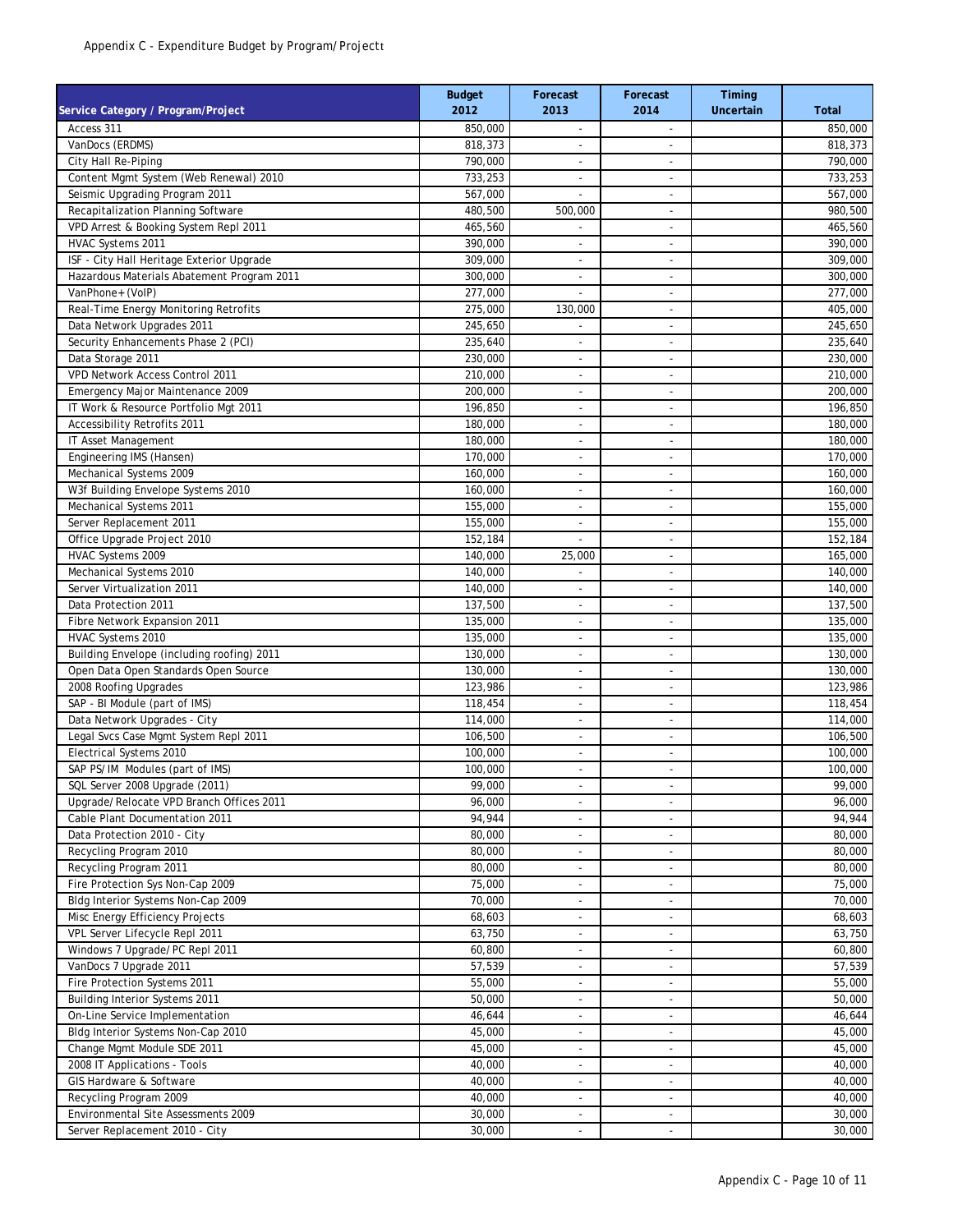| Service Category / Program/Project                                | <b>Budget</b><br>2012 | Forecast<br>2013               | Forecast<br>2014               | Timing<br>Uncertain | <b>Total</b>       |
|-------------------------------------------------------------------|-----------------------|--------------------------------|--------------------------------|---------------------|--------------------|
| Access 311                                                        | 850,000               | $\overline{\phantom{a}}$       | $\overline{\phantom{a}}$       |                     | 850,000            |
| VanDocs (ERDMS)                                                   | 818,373               |                                | $\overline{a}$                 |                     | 818,373            |
| City Hall Re-Piping                                               | 790,000               | ٠                              | ٠                              |                     | 790.000            |
| Content Mgmt System (Web Renewal) 2010                            | 733,253               | $\overline{\phantom{a}}$       | $\overline{\phantom{a}}$       |                     | 733,253            |
| Seismic Upgrading Program 2011                                    | 567,000               | $\overline{\phantom{a}}$       | $\overline{a}$                 |                     | 567,000            |
| Recapitalization Planning Software                                | 480,500               | 500,000                        | $\overline{\phantom{m}}$       |                     | 980,500            |
| VPD Arrest & Booking System Repl 2011                             | 465,560               | $\overline{\phantom{a}}$       | $\overline{a}$                 |                     | 465,560            |
| HVAC Systems 2011                                                 | 390,000               | $\overline{\phantom{a}}$       | $\overline{\phantom{a}}$       |                     | 390,000            |
| ISF - City Hall Heritage Exterior Upgrade                         | 309,000               | $\overline{\phantom{a}}$       | $\overline{\phantom{m}}$       |                     | 309,000            |
| Hazardous Materials Abatement Program 2011                        | 300,000               | $\overline{\phantom{a}}$       | $\overline{\phantom{a}}$       |                     | 300,000            |
| VanPhone+ (VoIP)                                                  | 277,000               |                                | ٠                              |                     | 277,000            |
| Real-Time Energy Monitoring Retrofits                             | 275,000               | 130,000<br>÷,                  | $\overline{\phantom{m}}$<br>ä, |                     | 405,000            |
| Data Network Upgrades 2011<br>Security Enhancements Phase 2 (PCI) | 245,650<br>235,640    |                                | ٠                              |                     | 245,650<br>235,640 |
| Data Storage 2011                                                 | 230,000               | $\overline{\phantom{a}}$       | ٠                              |                     | 230,000            |
| VPD Network Access Control 2011                                   | $\overline{210,000}$  | $\overline{\phantom{a}}$       | $\overline{\phantom{a}}$       |                     | 210,000            |
| Emergency Major Maintenance 2009                                  | 200,000               | $\overline{\phantom{a}}$       | ٠                              |                     | 200,000            |
| IT Work & Resource Portfolio Mgt 2011                             | 196,850               | $\overline{\phantom{a}}$       | ٠                              |                     | 196,850            |
| <b>Accessibility Retrofits 2011</b>                               | 180,000               | $\blacksquare$                 | ٠                              |                     | 180,000            |
| IT Asset Management                                               | 180,000               | $\overline{\phantom{a}}$       | $\overline{\phantom{a}}$       |                     | 180,000            |
| Engineering IMS (Hansen)                                          | 170,000               | $\overline{\phantom{a}}$       | ٠                              |                     | 170,000            |
| Mechanical Systems 2009                                           | 160,000               | ٠                              | $\overline{\phantom{a}}$       |                     | 160,000            |
| W3f Building Envelope Systems 2010                                | 160,000               | ٠                              | ٠                              |                     | 160,000            |
| Mechanical Systems 2011                                           | 155,000               | $\overline{\phantom{a}}$       | $\overline{\phantom{0}}$       |                     | 155,000            |
| Server Replacement 2011                                           | 155,000               | $\overline{\phantom{a}}$       | $\overline{\phantom{a}}$       |                     | 155,000            |
| Office Upgrade Project 2010                                       | 152,184               | ٠                              | ä,                             |                     | 152,184            |
| HVAC Systems 2009                                                 | 140,000               | 25,000                         | $\overline{a}$                 |                     | 165,000            |
| Mechanical Systems 2010                                           | 140,000               | $\overline{\phantom{a}}$       | ٠                              |                     | 140,000            |
| Server Virtualization 2011                                        | 140,000               | $\overline{\phantom{a}}$       | $\overline{\phantom{a}}$       |                     | 140,000            |
| Data Protection 2011                                              | 137,500               | $\overline{a}$                 | $\overline{a}$                 |                     | 137,500            |
| Fibre Network Expansion 2011                                      | 135,000               | $\overline{\phantom{a}}$       | $\overline{\phantom{0}}$       |                     | 135,000            |
| HVAC Systems 2010                                                 | 135,000               | $\overline{\phantom{a}}$       | $\overline{a}$                 |                     | 135,000            |
| Building Envelope (including roofing) 2011                        | 130,000               | $\overline{\phantom{a}}$       | $\overline{\phantom{a}}$       |                     | 130,000            |
| Open Data Open Standards Open Source                              | 130,000               | ÷,                             |                                |                     | 130,000            |
| 2008 Roofing Upgrades                                             | 123,986               | $\overline{\phantom{a}}$       | $\overline{\phantom{a}}$       |                     | 123,986            |
| SAP - BI Module (part of IMS)<br>Data Network Upgrades - City     | 118,454<br>114,000    | $\overline{\phantom{a}}$       | ä,                             |                     | 118,454            |
| Legal Svcs Case Mgmt System Repl 2011                             | 106,500               | $\overline{\phantom{a}}$<br>÷, | $\overline{\phantom{m}}$<br>ä, |                     | 114,000<br>106,500 |
| Electrical Systems 2010                                           | 100,000               | $\overline{\phantom{a}}$       | $\overline{\phantom{a}}$       |                     | 100,000            |
| SAP PS/IM Modules (part of IMS)                                   | 100,000               | $\overline{\phantom{a}}$       | $\overline{\phantom{a}}$       |                     | 100,000            |
| SQL Server 2008 Upgrade (2011)                                    | 99,000                | $\overline{\phantom{a}}$       | $\overline{\phantom{a}}$       |                     | 99,000             |
| Upgrade/Relocate VPD Branch Offices 2011                          | 96,000                | $\tilde{\phantom{a}}$          | ٠                              |                     | 96,000             |
| Cable Plant Documentation 2011                                    | 94,944                | ٠                              | $\overline{\phantom{a}}$       |                     | 94,944             |
| Data Protection 2010 - City                                       | 80,000                | ٠                              | ٠                              |                     | 80,000             |
| Recycling Program 2010                                            | 80,000                | $\overline{\phantom{a}}$       | $\overline{\phantom{a}}$       |                     | 80,000             |
| Recycling Program 2011                                            | 80,000                | $\overline{\phantom{a}}$       | $\overline{\phantom{a}}$       |                     | 80,000             |
| Fire Protection Sys Non-Cap 2009                                  | 75,000                | ٠                              | $\overline{\phantom{a}}$       |                     | 75,000             |
| Bldg Interior Systems Non-Cap 2009                                | 70,000                | ٠                              | ٠                              |                     | 70,000             |
| Misc Energy Efficiency Projects                                   | 68,603                | $\overline{\phantom{a}}$       | $\overline{\phantom{m}}$       |                     | 68,603             |
| VPL Server Lifecycle Repl 2011                                    | 63,750                | $\overline{\phantom{a}}$       | $\overline{\phantom{a}}$       |                     | 63,750             |
| Windows 7 Upgrade/PC Repl 2011                                    | 60,800                | $\overline{\phantom{a}}$       | $\overline{\phantom{m}}$       |                     | 60,800             |
| VanDocs 7 Upgrade 2011                                            | 57,539                | ٠                              | $\overline{a}$                 |                     | 57,539             |
| Fire Protection Systems 2011                                      | 55,000                | $\overline{\phantom{a}}$       | $\overline{\phantom{a}}$       |                     | 55,000             |
| Building Interior Systems 2011                                    | 50,000                | $\overline{\phantom{a}}$       | $\blacksquare$                 |                     | 50,000             |
| On-Line Service Implementation                                    | 46,644                | $\overline{\phantom{a}}$       | $\overline{\phantom{m}}$       |                     | 46,644             |
| Bldg Interior Systems Non-Cap 2010                                | 45,000                | $\overline{\phantom{m}}$       | $\overline{\phantom{m}}$       |                     | 45,000             |
| Change Mgmt Module SDE 2011                                       | 45,000                | $\overline{\phantom{a}}$       | $\overline{a}$                 |                     | 45,000             |
| 2008 IT Applications - Tools                                      | 40,000                | $\overline{\phantom{a}}$       | $\blacksquare$                 |                     | 40,000             |
| GIS Hardware & Software                                           | 40,000                | $\overline{\phantom{a}}$       | $\overline{\phantom{m}}$       |                     | 40,000             |
| Recycling Program 2009                                            | 40,000                | $\overline{\phantom{a}}$       | $\qquad \qquad \blacksquare$   |                     | 40,000             |
| Environmental Site Assessments 2009                               | 30,000                | $\overline{\phantom{a}}$       | ٠                              |                     | 30,000             |
| Server Replacement 2010 - City                                    | 30,000                | $\overline{\phantom{a}}$       | $\overline{a}$                 |                     | 30,000             |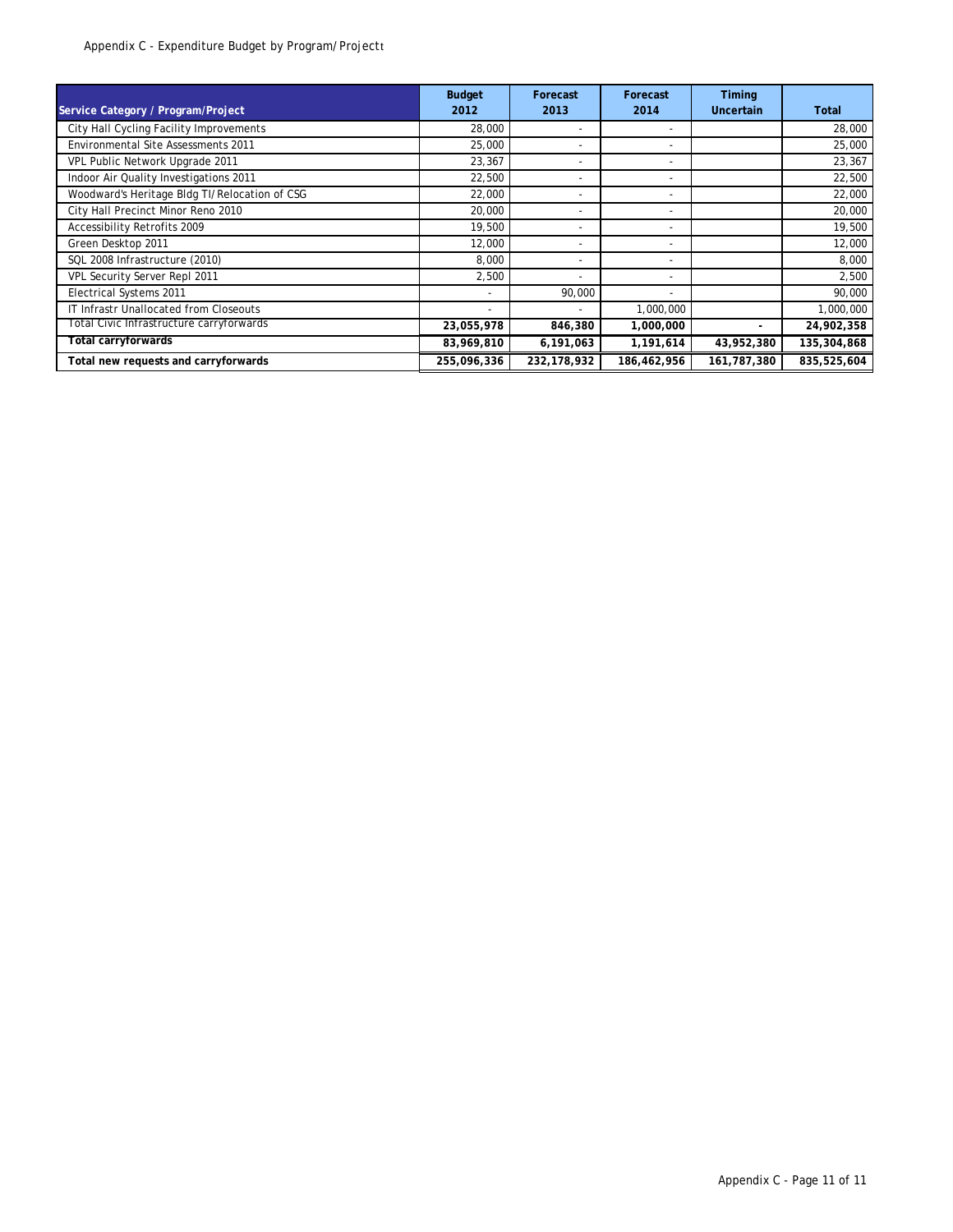| Service Category / Program/Project            | <b>Budget</b><br>2012 | Forecast<br>2013         | Forecast<br>2014         | Timing<br>Uncertain | Total       |
|-----------------------------------------------|-----------------------|--------------------------|--------------------------|---------------------|-------------|
| City Hall Cycling Facility Improvements       | 28,000                | ۰                        | ٠                        |                     | 28,000      |
| <b>Environmental Site Assessments 2011</b>    | 25,000                | $\overline{\phantom{a}}$ | $\overline{\phantom{a}}$ |                     | 25,000      |
| VPL Public Network Upgrade 2011               | 23,367                | ۰                        | ٠                        |                     | 23,367      |
| Indoor Air Quality Investigations 2011        | 22,500                | ۰                        | ٠                        |                     | 22,500      |
| Woodward's Heritage Bldg TI/Relocation of CSG | 22,000                | ۰                        | ٠                        |                     | 22,000      |
| City Hall Precinct Minor Reno 2010            | 20,000                | ۰                        | ٠                        |                     | 20,000      |
| Accessibility Retrofits 2009                  | 19,500                | ۰                        | ۰                        |                     | 19,500      |
| Green Desktop 2011                            | 12,000                | ۰                        | ۰                        |                     | 12,000      |
| SQL 2008 Infrastructure (2010)                | 8,000                 | ۰                        | ٠                        |                     | 8,000       |
| VPL Security Server Repl 2011                 | 2,500                 | ٠                        | ٠                        |                     | 2,500       |
| Electrical Systems 2011                       |                       | 90,000                   | ۰                        |                     | 90,000      |
| IT Infrastr Unallocated from Closeouts        |                       |                          | 1,000,000                |                     | 1,000,000   |
| Total Civic Infrastructure carryforwards      | 23,055,978            | 846,380                  | 1,000,000                | ٠                   | 24,902,358  |
| Total carryforwards                           | 83,969,810            | 6,191,063                | 1,191,614                | 43,952,380          | 135,304,868 |
| Total new requests and carryforwards          | 255,096,336           | 232,178,932              | 186,462,956              | 161,787,380         | 835,525,604 |